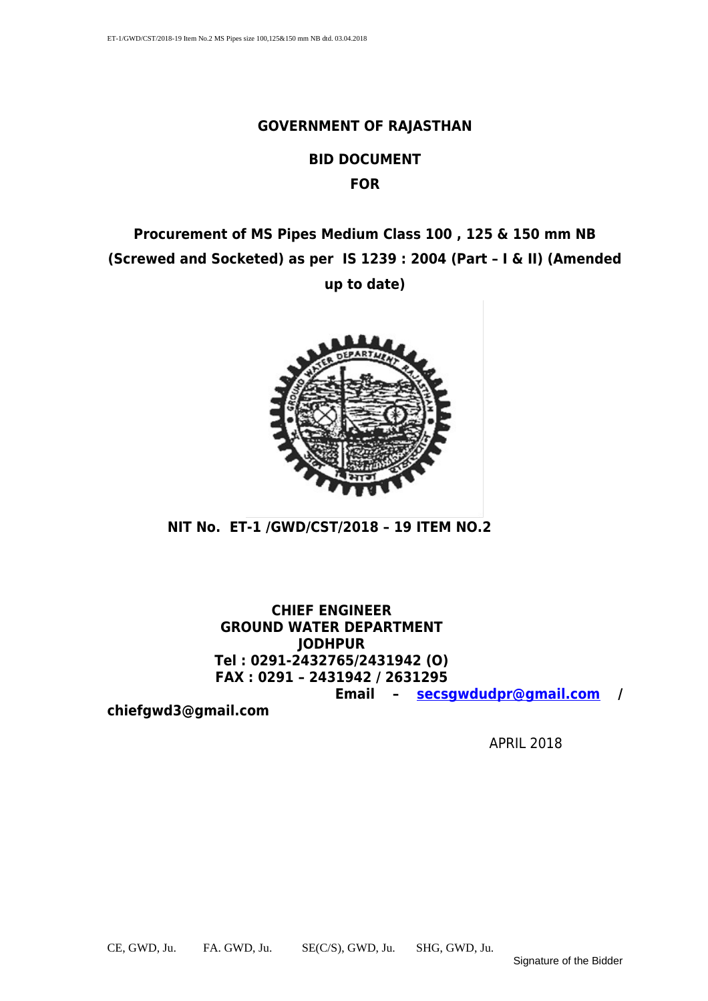#### **GOVERNMENT OF RAJASTHAN**

#### **BID DOCUMENT FOR**

### **Procurement of MS Pipes Medium Class 100 , 125 & 150 mm NB (Screwed and Socketed) as per IS 1239 : 2004 (Part – I & II) (Amended up to date)**



**NIT No. ET-1 /GWD/CST/2018 – 19 ITEM NO.2** 

**CHIEF ENGINEER GROUND WATER DEPARTMENT JODHPUR Tel : 0291-2432765/2431942 (O) FAX : 0291 – 2431942 / 2631295 Email – [secsgwdudpr@gmail.com](mailto:secsgwdudpr@gmail.com) /**

**chiefgwd3@gmail.com**

APRIL 2018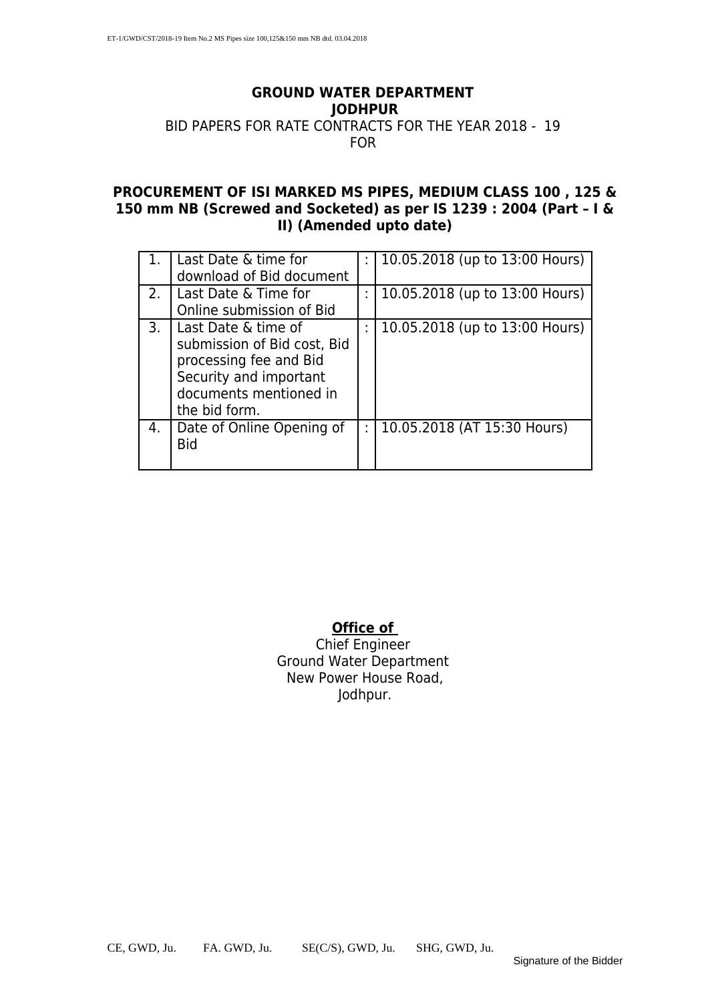#### **GROUND WATER DEPARTMENT JODHPUR** BID PAPERS FOR RATE CONTRACTS FOR THE YEAR 2018 - 19

#### FOR

#### **PROCUREMENT OF ISI MARKED MS PIPES, MEDIUM CLASS 100 , 125 & 150 mm NB (Screwed and Socketed) as per IS 1239 : 2004 (Part – I & II) (Amended upto date)**

|                | Last Date & time for        | 10.05.2018 (up to 13:00 Hours) |
|----------------|-----------------------------|--------------------------------|
|                | download of Bid document    |                                |
| 2 <sup>1</sup> | l Last Date & Time for      | 10.05.2018 (up to 13:00 Hours) |
|                | Online submission of Bid    |                                |
| 3.             | Last Date & time of         | 10.05.2018 (up to 13:00 Hours) |
|                | submission of Bid cost, Bid |                                |
|                | processing fee and Bid      |                                |
|                | Security and important      |                                |
|                | documents mentioned in      |                                |
|                | the bid form.               |                                |
| 4.             | Date of Online Opening of   | 10.05.2018 (AT 15:30 Hours)    |
|                | <b>Bid</b>                  |                                |
|                |                             |                                |

#### **Office of**

Chief Engineer Ground Water Department New Power House Road, Jodhpur.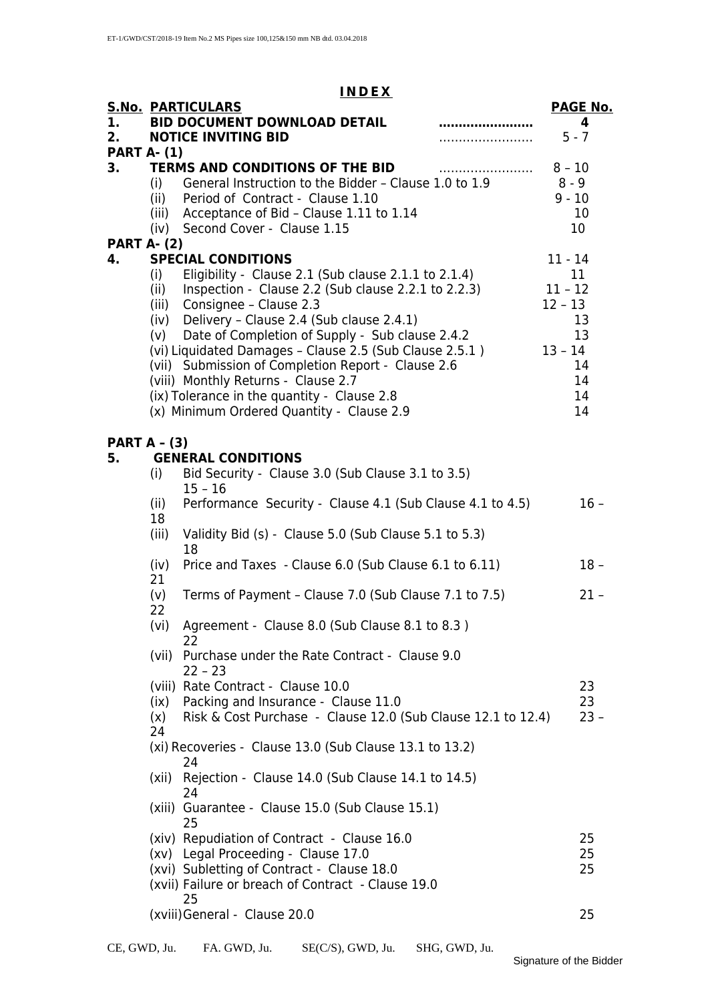#### **I N D E X**

|                     |       | <b>S.No. PARTICULARS</b>                                     | <b>PAGE No.</b> |
|---------------------|-------|--------------------------------------------------------------|-----------------|
| 1.                  |       | <b>BID DOCUMENT DOWNLOAD DETAIL</b>                          | 4               |
| 2 <sub>1</sub>      |       | <b>NOTICE INVITING BID</b>                                   | $5 - 7$         |
| <b>PART A- (1)</b>  |       |                                                              |                 |
| 3.                  |       | TERMS AND CONDITIONS OF THE BID                              |                 |
|                     |       | (i) General Instruction to the Bidder - Clause 1.0 to 1.9    | 8 - 9           |
|                     |       | (ii) Period of Contract - Clause 1.10                        | $9 - 10$        |
|                     |       | (iii) Acceptance of Bid - Clause 1.11 to 1.14                | 10              |
|                     |       | (iv) Second Cover - Clause 1.15                              | 10              |
| <b>PART A- (2)</b>  |       |                                                              |                 |
| 4.                  |       | <b>SPECIAL CONDITIONS</b>                                    | $11 - 14$       |
|                     | (i)   | Eligibility - Clause 2.1 (Sub clause 2.1.1 to 2.1.4)         | $11 \,$         |
|                     |       | (ii) Inspection - Clause 2.2 (Sub clause 2.2.1 to 2.2.3)     | $11 - 12$       |
|                     |       | (iii) Consignee - Clause 2.3                                 | $12 - 13$       |
|                     |       | (iv) Delivery - Clause 2.4 (Sub clause 2.4.1)                | 13              |
|                     | (v)   | Date of Completion of Supply - Sub clause 2.4.2              | 13              |
|                     |       | (vi) Liquidated Damages - Clause 2.5 (Sub Clause 2.5.1)      | $13 - 14$       |
|                     |       | (vii) Submission of Completion Report - Clause 2.6           | 14              |
|                     |       | (viii) Monthly Returns - Clause 2.7                          | 14              |
|                     |       | (ix) Tolerance in the quantity - Clause 2.8                  | 14              |
|                     |       | (x) Minimum Ordered Quantity - Clause 2.9                    | 14              |
|                     |       |                                                              |                 |
| <b>PART A - (3)</b> |       |                                                              |                 |
| 5.                  |       | <b>GENERAL CONDITIONS</b>                                    |                 |
|                     | (i)   | Bid Security - Clause 3.0 (Sub Clause 3.1 to 3.5)            |                 |
|                     |       | $15 - 16$                                                    |                 |
|                     | (iii) | Performance Security - Clause 4.1 (Sub Clause 4.1 to 4.5)    | $16 -$          |
|                     | 18    |                                                              |                 |
|                     | (iii) | Validity Bid (s) - Clause 5.0 (Sub Clause 5.1 to 5.3)        |                 |
|                     |       | 18                                                           |                 |
|                     | (iv)  | Price and Taxes - Clause 6.0 (Sub Clause 6.1 to 6.11)        | $18 -$          |
|                     | 21    |                                                              |                 |
|                     | (v)   | Terms of Payment - Clause 7.0 (Sub Clause 7.1 to 7.5)        | $21 -$          |
|                     | 22    |                                                              |                 |
|                     | (vi)  | Agreement - Clause 8.0 (Sub Clause 8.1 to 8.3)               |                 |
|                     |       | 22                                                           |                 |
|                     |       | (vii) Purchase under the Rate Contract - Clause 9.0          |                 |
|                     |       | $22 - 23$                                                    |                 |
|                     |       | (viii) Rate Contract - Clause 10.0                           | 23              |
|                     | (ix)  | Packing and Insurance - Clause 11.0                          | 23              |
|                     | (x)   | Risk & Cost Purchase - Clause 12.0 (Sub Clause 12.1 to 12.4) | $23 -$          |
|                     | 24    |                                                              |                 |
|                     |       | (xi) Recoveries - Clause 13.0 (Sub Clause 13.1 to 13.2)      |                 |
|                     |       | 24                                                           |                 |
|                     | (xii) | Rejection - Clause 14.0 (Sub Clause 14.1 to 14.5)            |                 |
|                     |       | 24                                                           |                 |
|                     |       | (xiii) Guarantee - Clause 15.0 (Sub Clause 15.1)             |                 |
|                     |       | 25                                                           |                 |
|                     |       | (xiv) Repudiation of Contract - Clause 16.0                  | 25              |
|                     |       | (xv) Legal Proceeding - Clause 17.0                          | 25              |
|                     |       | (xvi) Subletting of Contract - Clause 18.0                   | 25              |
|                     |       | (xvii) Failure or breach of Contract - Clause 19.0           |                 |
|                     |       | 25                                                           |                 |
|                     |       | (xviii) General - Clause 20.0                                | 25              |
|                     |       |                                                              |                 |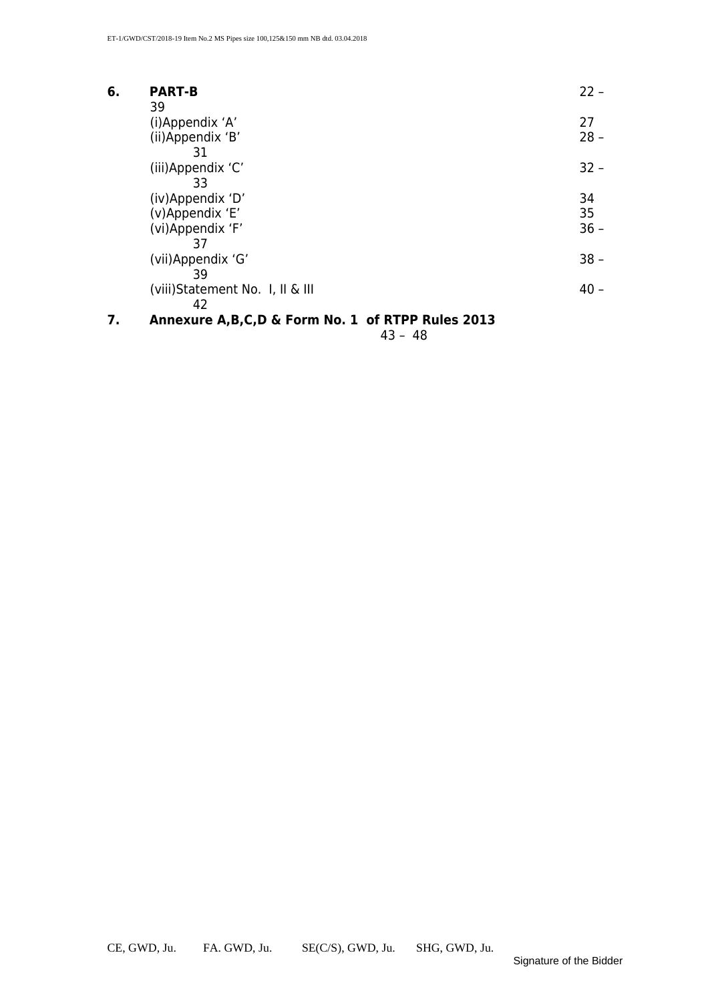| 6. | <b>PART-B</b>                                           | $22 -$             |
|----|---------------------------------------------------------|--------------------|
|    | 39<br>(i)Appendix 'A'<br>(ii)Appendix 'B'               | 27<br>$28 -$       |
|    | 31<br>(iii)Appendix 'C'<br>33                           | $32 -$             |
|    | (iv)Appendix 'D'<br>(v)Appendix 'E'<br>(vi)Appendix 'F' | 34<br>35<br>$36 -$ |
|    | 37<br>(vii)Appendix 'G'                                 | $38 -$             |
|    | 39<br>(viii)Statement No. 1, II & III<br>42             | $40 -$             |

#### **7. Annexure A,B,C,D & Form No. 1 of RTPP Rules 2013**

43 – 48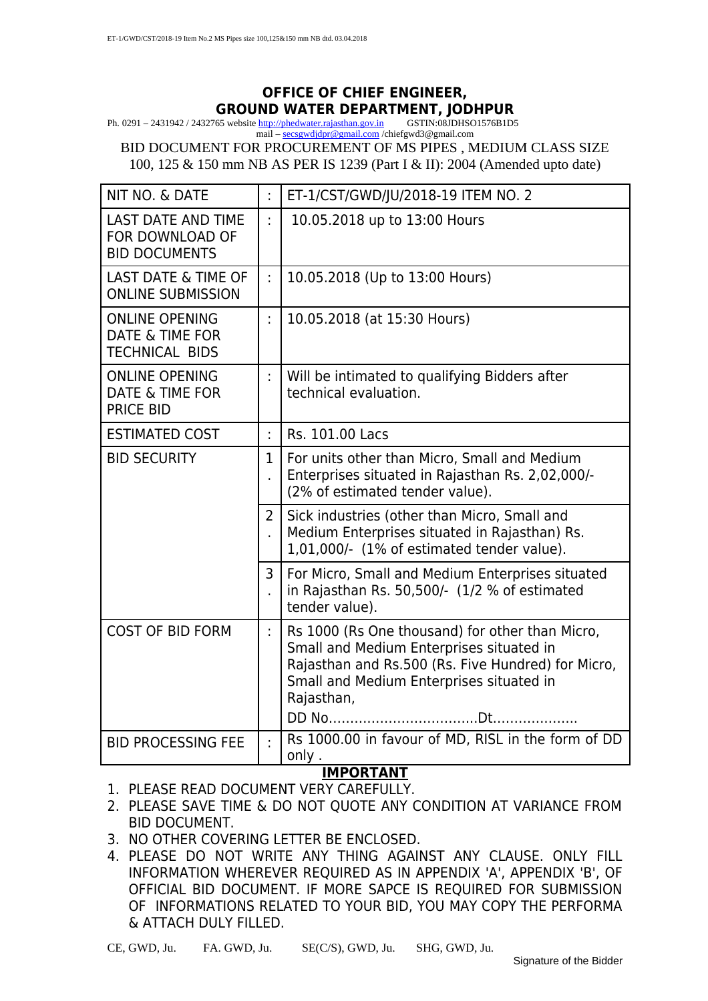### **OFFICE OF CHIEF ENGINEER, GROUND WATER DEPARTMENT, JODHPUR**<br> **CS website http://phedwater.rajasthan.gov.in** GSTIN:08JDHSO1576B1D5

Ph.  $0291 - 2431942 / 2432765$  website [http://phedwater.rajasthan.gov.in](http://phedwater.rajasthan.gov.in/) mail – [secsgwdjdpr@gmail.com](mailto:secsgwdjdpr@gmail.com) /chiefgwd3@gmail.com

BID DOCUMENT FOR PROCUREMENT OF MS PIPES , MEDIUM CLASS SIZE 100, 125 & 150 mm NB AS PER IS 1239 (Part I & II): 2004 (Amended upto date)

| NIT NO. & DATE                                                               | ł.                | ET-1/CST/GWD/JU/2018-19 ITEM NO. 2                                                                                                                                                                          |
|------------------------------------------------------------------------------|-------------------|-------------------------------------------------------------------------------------------------------------------------------------------------------------------------------------------------------------|
| <b>LAST DATE AND TIME</b><br>FOR DOWNLOAD OF<br><b>BID DOCUMENTS</b>         | ÷.                | 10.05.2018 up to 13:00 Hours                                                                                                                                                                                |
| <b>LAST DATE &amp; TIME OF</b><br><b>ONLINE SUBMISSION</b>                   | ł.                | 10.05.2018 (Up to 13:00 Hours)                                                                                                                                                                              |
| <b>ONLINE OPENING</b><br><b>DATE &amp; TIME FOR</b><br><b>TECHNICAL BIDS</b> | ÷                 | 10.05.2018 (at 15:30 Hours)                                                                                                                                                                                 |
| <b>ONLINE OPENING</b><br>DATE & TIME FOR<br><b>PRICE BID</b>                 | ł.                | Will be intimated to qualifying Bidders after<br>technical evaluation.                                                                                                                                      |
| <b>ESTIMATED COST</b>                                                        | ł.                | Rs. 101.00 Lacs                                                                                                                                                                                             |
| <b>BID SECURITY</b>                                                          | $\mathbf 1$<br>Ĭ. | For units other than Micro, Small and Medium<br>Enterprises situated in Rajasthan Rs. 2,02,000/-<br>(2% of estimated tender value).                                                                         |
|                                                                              | 2<br>J.           | Sick industries (other than Micro, Small and<br>Medium Enterprises situated in Rajasthan) Rs.<br>1,01,000/- (1% of estimated tender value).                                                                 |
|                                                                              | 3<br>J.           | For Micro, Small and Medium Enterprises situated<br>in Rajasthan Rs. 50,500/- (1/2 % of estimated<br>tender value).                                                                                         |
| <b>COST OF BID FORM</b>                                                      | ř.                | Rs 1000 (Rs One thousand) for other than Micro,<br>Small and Medium Enterprises situated in<br>Rajasthan and Rs.500 (Rs. Five Hundred) for Micro,<br>Small and Medium Enterprises situated in<br>Rajasthan, |
| <b>BID PROCESSING FEE</b>                                                    | ÷                 | Rs 1000.00 in favour of MD, RISL in the form of DD<br>only.                                                                                                                                                 |

#### **IMPORTANT**

- 1. PLEASE READ DOCUMENT VERY CAREFULLY.
- 2. PLEASE SAVE TIME & DO NOT QUOTE ANY CONDITION AT VARIANCE FROM BID DOCUMENT.
- 3. NO OTHER COVERING LETTER BE ENCLOSED.
- 4. PLEASE DO NOT WRITE ANY THING AGAINST ANY CLAUSE. ONLY FILL INFORMATION WHEREVER REQUIRED AS IN APPENDIX 'A', APPENDIX 'B', OF OFFICIAL BID DOCUMENT. IF MORE SAPCE IS REQUIRED FOR SUBMISSION OF INFORMATIONS RELATED TO YOUR BID, YOU MAY COPY THE PERFORMA & ATTACH DULY FILLED.

CE, GWD, Ju. FA. GWD, Ju. SE(C/S), GWD, Ju. SHG, GWD, Ju.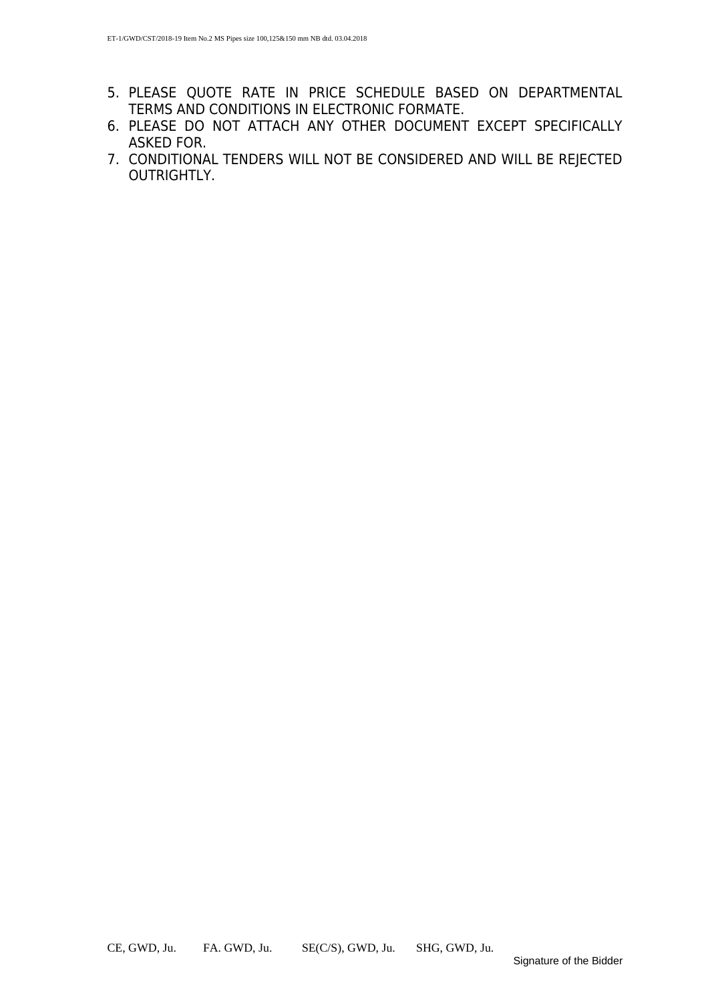- 5. PLEASE QUOTE RATE IN PRICE SCHEDULE BASED ON DEPARTMENTAL TERMS AND CONDITIONS IN ELECTRONIC FORMATE.
- 6. PLEASE DO NOT ATTACH ANY OTHER DOCUMENT EXCEPT SPECIFICALLY ASKED FOR.
- 7. CONDITIONAL TENDERS WILL NOT BE CONSIDERED AND WILL BE REJECTED OUTRIGHTLY.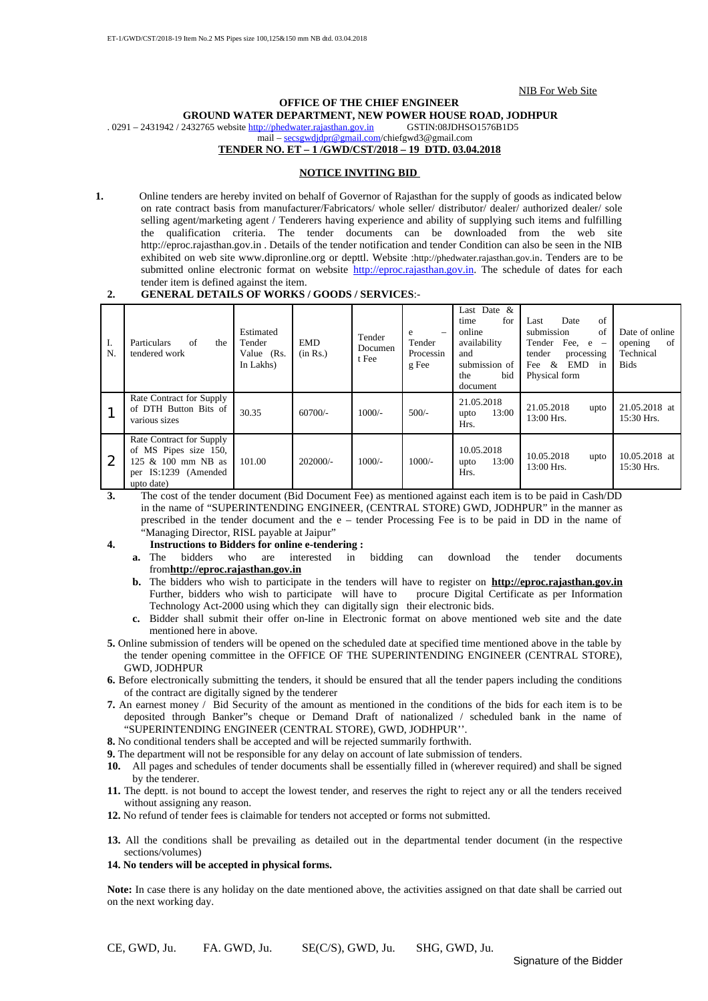NIB For Web Site

#### **OFFICE OF THE CHIEF ENGINEER GROUND WATER DEPARTMENT, NEW POWER HOUSE ROAD, JODHPUR** 2432765 website http://phedwater.raiasthan.gov.in GSTIN:08JDHSO1576B1D5

 $. 0291 - 2431942 / 2432765$  website [http://phedwater.rajasthan.gov.in](http://phedwater.rajasthan.gov.in/)

mail – [secsgwdjdpr@gmail.com/](mailto:secsgwdjdpr@gmail.com)chiefgwd3@gmail.com

#### **TENDER NO. ET – 1 /GWD/CST/2018 – 19 DTD. 03.04.2018**

#### **NOTICE INVITING BID**

**1.** Online tenders are hereby invited on behalf of Governor of Rajasthan for the supply of goods as indicated below on rate contract basis from manufacturer/Fabricators/ whole seller/ distributor/ dealer/ authorized dealer/ sole selling agent/marketing agent / Tenderers having experience and ability of supplying such items and fulfilling the qualification criteria. The tender documents can be downloaded from the web site http://eproc.rajasthan.gov.in . Details of the tender notification and tender Condition can also be seen in the NIB exhibited on web site www.dipronline.org or depttl. Website :[http://phedwater.rajasthan.gov.in](http://phedwater.rajasthan.gov.in/). Tenders are to be submitted online electronic format on website [http://eproc.rajasthan.gov.in.](http://eproc.rajasthan.gov.in/) The schedule of dates for each tender item is defined against the item.

#### **2. GENERAL DETAILS OF WORKS / GOODS / SERVICES**:-

| I.<br>N. | of<br>Particulars<br>the<br>tendered work                                                                     | Estimated<br>Tender<br>Value (Rs.<br>In Lakhs) | <b>EMD</b><br>(in Rs.) | Tender<br>Documen<br>t Fee | e<br>$\overline{\phantom{0}}$<br>Tender<br>Processin<br>g Fee | Last Date $&$<br>for<br>time<br>online<br>availability<br>and<br>submission of<br>bid<br>the<br>document | of<br>Date<br>Last<br>submission<br>of<br>Tender Fee, $e -$<br>tender<br>processing<br>&<br>EMD<br>Fee<br>in<br>Physical form | Date of online<br>-of<br>opening<br>Technical<br><b>Bids</b> |
|----------|---------------------------------------------------------------------------------------------------------------|------------------------------------------------|------------------------|----------------------------|---------------------------------------------------------------|----------------------------------------------------------------------------------------------------------|-------------------------------------------------------------------------------------------------------------------------------|--------------------------------------------------------------|
|          | Rate Contract for Supply<br>of DTH Button Bits of<br>various sizes                                            | 30.35                                          | $60700/-$              | $1000/-$                   | $500/-$                                                       | 21.05.2018<br>13:00<br>upto<br>Hrs.                                                                      | 21.05.2018<br>upto<br>$13:00$ Hrs.                                                                                            | 21.05.2018 at<br>15:30 Hrs.                                  |
| 2        | Rate Contract for Supply<br>of MS Pipes size 150,<br>125 & 100 mm NB as<br>per IS:1239 (Amended<br>upto date) | 101.00                                         | $202000/-$             | $1000/-$                   | $1000/-$                                                      | 10.05.2018<br>13:00<br>upto<br>Hrs.                                                                      | 10.05.2018<br>upto<br>$13:00$ Hrs.                                                                                            | 10.05.2018 at<br>$15:30$ Hrs.                                |

**3.** The cost of the tender document (Bid Document Fee) as mentioned against each item is to be paid in Cash/DD in the name of "SUPERINTENDING ENGINEER, (CENTRAL STORE) GWD, JODHPUR" in the manner as prescribed in the tender document and the e – tender Processing Fee is to be paid in DD in the name of "Managing Director, RISL payable at Jaipur"

- **4. Instructions to Bidders for online e-tendering :** 
	- **a.** The bidders who are interested in bidding can download the tender documents from**http://eproc.rajasthan.gov.in**
	- **b.** The bidders who wish to participate in the tenders will have to register on **http://eproc.rajasthan.gov.in**<br>Further, bidders who wish to participate will have to procure Digital Certificate as per Information Further, bidders who wish to participate will have to Technology Act-2000 using which they can digitally sign their electronic bids.
	- **c.** Bidder shall submit their offer on-line in Electronic format on above mentioned web site and the date mentioned here in above.
- **5.** Online submission of tenders will be opened on the scheduled date at specified time mentioned above in the table by the tender opening committee in the OFFICE OF THE SUPERINTENDING ENGINEER (CENTRAL STORE), GWD, JODHPUR
- **6.** Before electronically submitting the tenders, it should be ensured that all the tender papers including the conditions of the contract are digitally signed by the tenderer
- **7.** An earnest money / Bid Security of the amount as mentioned in the conditions of the bids for each item is to be deposited through Banker"s cheque or Demand Draft of nationalized / scheduled bank in the name of "SUPERINTENDING ENGINEER (CENTRAL STORE), GWD, JODHPUR''.
- **8.** No conditional tenders shall be accepted and will be rejected summarily forthwith.
- **9.** The department will not be responsible for any delay on account of late submission of tenders.
- **10.** All pages and schedules of tender documents shall be essentially filled in (wherever required) and shall be signed by the tenderer.
- **11.** The deptt. is not bound to accept the lowest tender, and reserves the right to reject any or all the tenders received without assigning any reason.
- **12.** No refund of tender fees is claimable for tenders not accepted or forms not submitted.
- **13.** All the conditions shall be prevailing as detailed out in the departmental tender document (in the respective sections/volumes)

#### **14. No tenders will be accepted in physical forms.**

**Note:** In case there is any holiday on the date mentioned above, the activities assigned on that date shall be carried out on the next working day.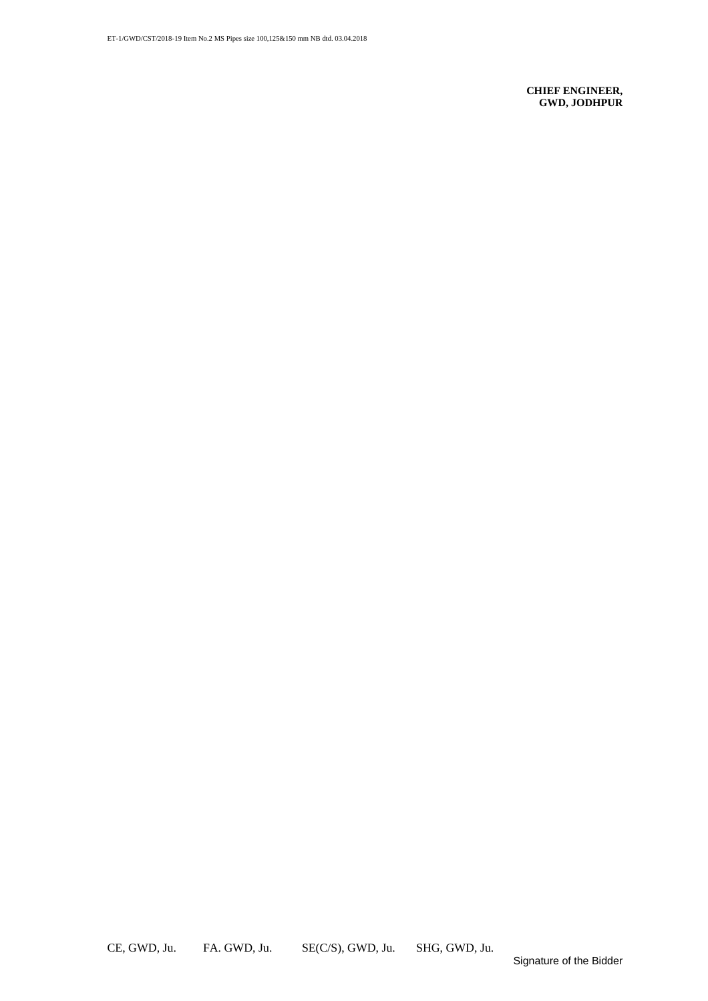**CHIEF ENGINEER, GWD, JODHPUR**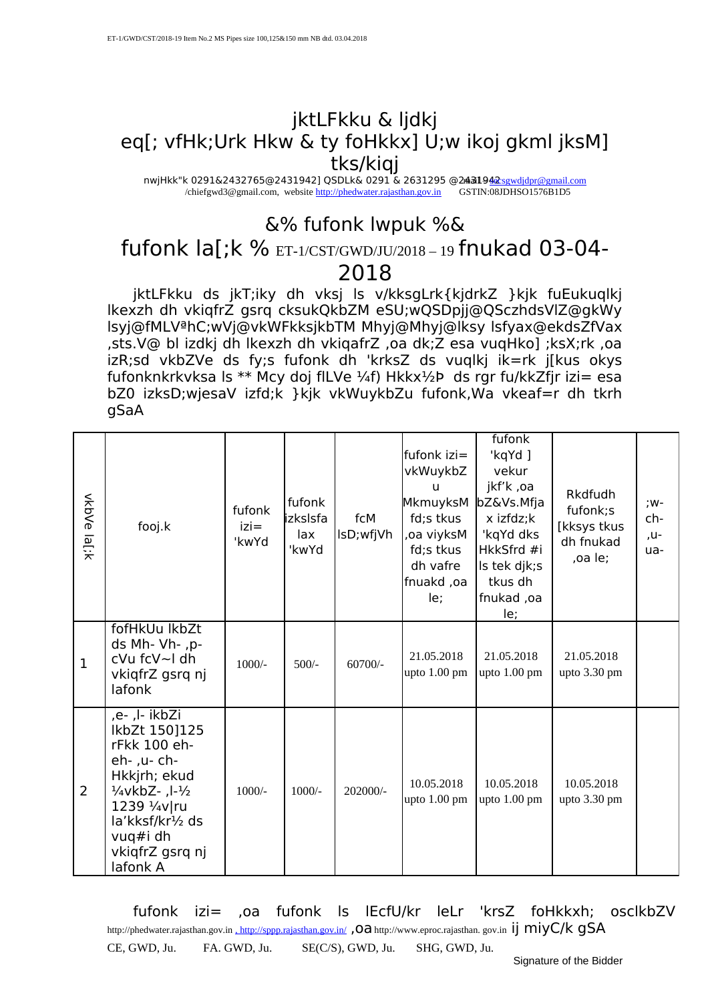#### jktLFkku & ljdkj eq[; vfHk;Urk Hkw & ty foHkkx] U;w ikoj gkml jksM] tks/kiqj

nwjHkk"k 0291&2432765@2431942] QSDLk& 0291 & 2631295 @2431942 sexudidpr@gmail.com /chiefgwd3@gmail.com, website [http://phedwater.rajasthan.gov.in](http://phedwater.rajasthan.gov.in/)

### &% fufonk lwpuk %&

## fufonk la[;k % ET-1/CST/GWD/JU/2018 – 19 fnukad 03-04-

#### 2018

jktLFkku ds jkT;iky dh vksj ls v/kksgLrk{kjdrkZ }kjk fuEukuqlkj lkexzh dh vkiqfrZ gsrq cksukQkbZM eSU;wQSDpjj@QSczhdsVlZ@gkWy lsyj@fMLVªhC;wVj@vkWFkksjkbTM Mhyj@Mhyj@lksy lsfyax@ekdsZfVax ,sts.V@ bl izdkj dh lkexzh dh vkiqafrZ ,oa dk;Z esa vuqHko] ;ksX;rk ,oa izR;sd vkbZVe ds fy;s fufonk dh 'krksZ ds vuqlkj ik=rk j[kus okys fufonknkrkvksa ls \*\* Mcy doj flLVe ¼f) Hkkx $\frac{1}{2}$ Þ ds rgr fu/kkZfjr izi= esa bZ0 izksD;wjesaV izfd;k }kjk vkWuykbZu fufonk,Wa vkeaf=r dh tkrh gSaA

| vkbVe la[;k    | fooj.k                                                                                                                                                                                              | fufonk<br>$izi =$<br>'kwYd | fufonk<br>lizksIsfa<br>lax<br>'kwYd | fcM<br>lsD;wfjVh | fufonk izi=<br>vkWuykbZ<br>u<br>MkmuyksM<br>fd;s tkus<br>oa viyksM,<br>fd;s tkus<br>dh vafre<br>fnuakd, oa<br>le; | fufonk<br>'kqYd ]<br>vekur<br>jkf'k, oa<br>bZ&Vs.Mfja<br>x izfdz;k<br>'kqYd dks<br>HkkSfrd #i<br>Is tek djk;s<br>tkus dh<br>fnukad, oa<br>le; | <b>Rkdfudh</b><br>fufonk;s<br>[kksys tkus<br>dh fnukad<br>,oa le; | ;w-<br>ch-<br>,u-<br>ua- |
|----------------|-----------------------------------------------------------------------------------------------------------------------------------------------------------------------------------------------------|----------------------------|-------------------------------------|------------------|-------------------------------------------------------------------------------------------------------------------|-----------------------------------------------------------------------------------------------------------------------------------------------|-------------------------------------------------------------------|--------------------------|
| $\mathbf{1}$   | fofHkUu lkbZt<br>ds Mh- Vh-, p-<br>cVu fcV~l dh<br>vkiqfrZ gsrq nj<br>lafonk                                                                                                                        | $1000/-$                   | $500/-$                             | $60700/-$        | 21.05.2018<br>upto 1.00 pm                                                                                        | 21.05.2018<br>upto $1.00$ pm                                                                                                                  | 21.05.2018<br>upto $3.30$ pm                                      |                          |
| $\overline{2}$ | ,e- ,l- ikbZi<br>lkbZt 150]125<br>rFkk 100 eh-<br>eh-, u- ch-<br>Hkkjrh; ekud<br>$\frac{1}{4}$ vkbZ- ,l- $\frac{1}{2}$<br>1239 1/4v/ru<br>la'kksf/kr½ ds<br>vuq#i dh<br>vkiqfrZ gsrq nj<br>lafonk A | $1000/-$                   | $1000/-$                            | 202000/-         | 10.05.2018<br>upto $1.00$ pm                                                                                      | 10.05.2018<br>upto $1.00$ pm                                                                                                                  | 10.05.2018<br>upto $3.30$ pm                                      |                          |

fufonk izi= ,oa fufonk ls lEcfU/kr leLr 'krsZ foHkkxh; osclkbZV http://phedwater.rajasthan.gov.in , <http://sppp.rajasthan.gov.in/> ,Oa http://www.eproc.rajasthan.gov.in ij miyC/k gSA

CE, GWD, Ju. FA. GWD, Ju. SE(C/S), GWD, Ju. SHG, GWD, Ju.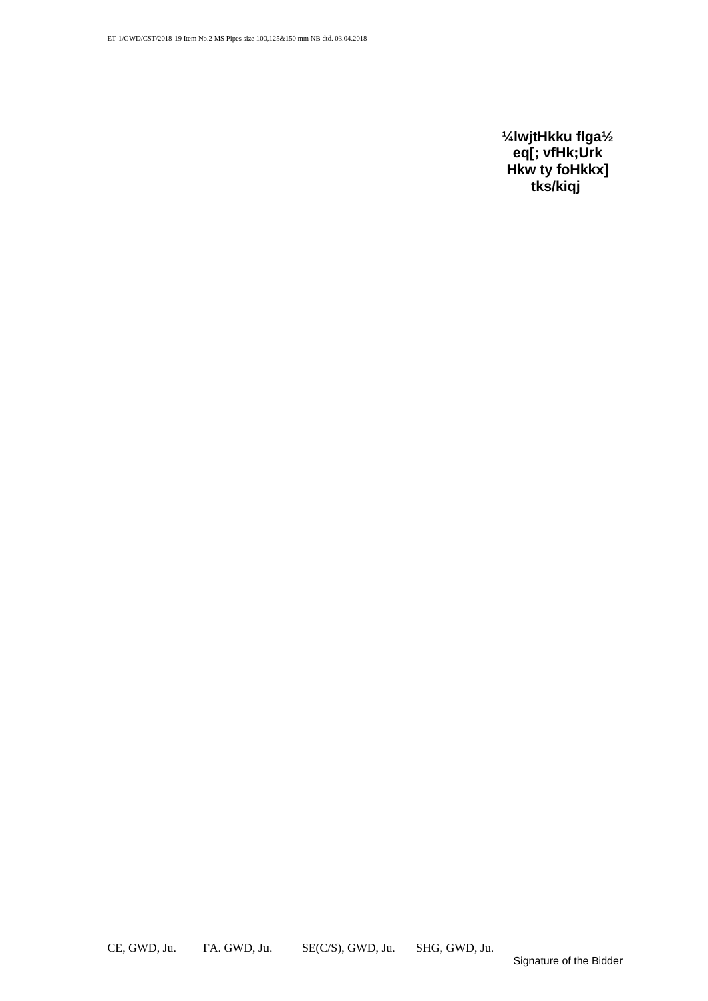**¼lwjtHkku flga½ eq[; vfHk;Urk Hkw ty foHkkx] tks/kiqj**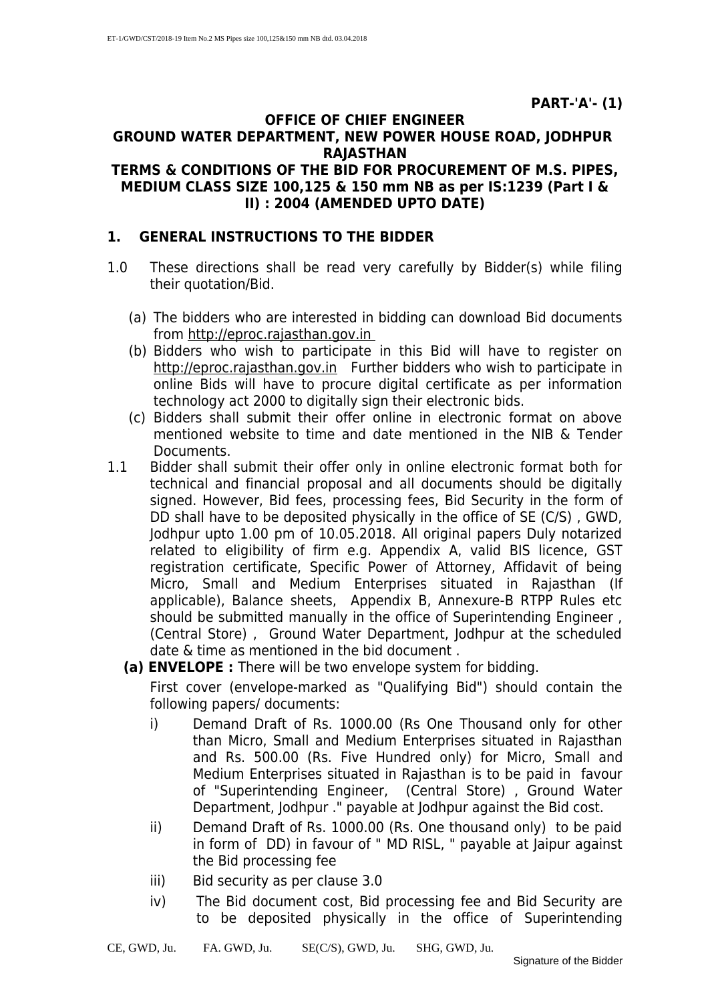#### **OFFICE OF CHIEF ENGINEER GROUND WATER DEPARTMENT, NEW POWER HOUSE ROAD, JODHPUR RAJASTHAN**

#### **TERMS & CONDITIONS OF THE BID FOR PROCUREMENT OF M.S. PIPES, MEDIUM CLASS SIZE 100,125 & 150 mm NB as per IS:1239 (Part I & II) : 2004 (AMENDED UPTO DATE)**

#### **1. GENERAL INSTRUCTIONS TO THE BIDDER**

- 1.0 These directions shall be read very carefully by Bidder(s) while filing their quotation/Bid.
	- (a) The bidders who are interested in bidding can download Bid documents from http://eproc.rajasthan.gov.in
	- (b) Bidders who wish to participate in this Bid will have to register on http://eproc.rajasthan.gov.in Further bidders who wish to participate in online Bids will have to procure digital certificate as per information technology act 2000 to digitally sign their electronic bids.
	- (c) Bidders shall submit their offer online in electronic format on above mentioned website to time and date mentioned in the NIB & Tender **Documents**
- 1.1 Bidder shall submit their offer only in online electronic format both for technical and financial proposal and all documents should be digitally signed. However, Bid fees, processing fees, Bid Security in the form of DD shall have to be deposited physically in the office of SE (C/S) , GWD, Jodhpur upto 1.00 pm of 10.05.2018. All original papers Duly notarized related to eligibility of firm e.g. Appendix A, valid BIS licence, GST registration certificate, Specific Power of Attorney, Affidavit of being Micro, Small and Medium Enterprises situated in Rajasthan (If applicable), Balance sheets, Appendix B, Annexure-B RTPP Rules etc should be submitted manually in the office of Superintending Engineer , (Central Store) , Ground Water Department, Jodhpur at the scheduled date & time as mentioned in the bid document .
	- **(a) ENVELOPE :** There will be two envelope system for bidding.

First cover (envelope-marked as "Qualifying Bid") should contain the following papers/ documents:

- i) Demand Draft of Rs. 1000.00 (Rs One Thousand only for other than Micro, Small and Medium Enterprises situated in Rajasthan and Rs. 500.00 (Rs. Five Hundred only) for Micro, Small and Medium Enterprises situated in Rajasthan is to be paid in favour of "Superintending Engineer, (Central Store) , Ground Water Department, Jodhpur ." payable at Jodhpur against the Bid cost.
- ii) Demand Draft of Rs. 1000.00 (Rs. One thousand only) to be paid in form of DD) in favour of " MD RISL, " payable at Jaipur against the Bid processing fee
- iii) Bid security as per clause 3.0
- iv) The Bid document cost, Bid processing fee and Bid Security are to be deposited physically in the office of Superintending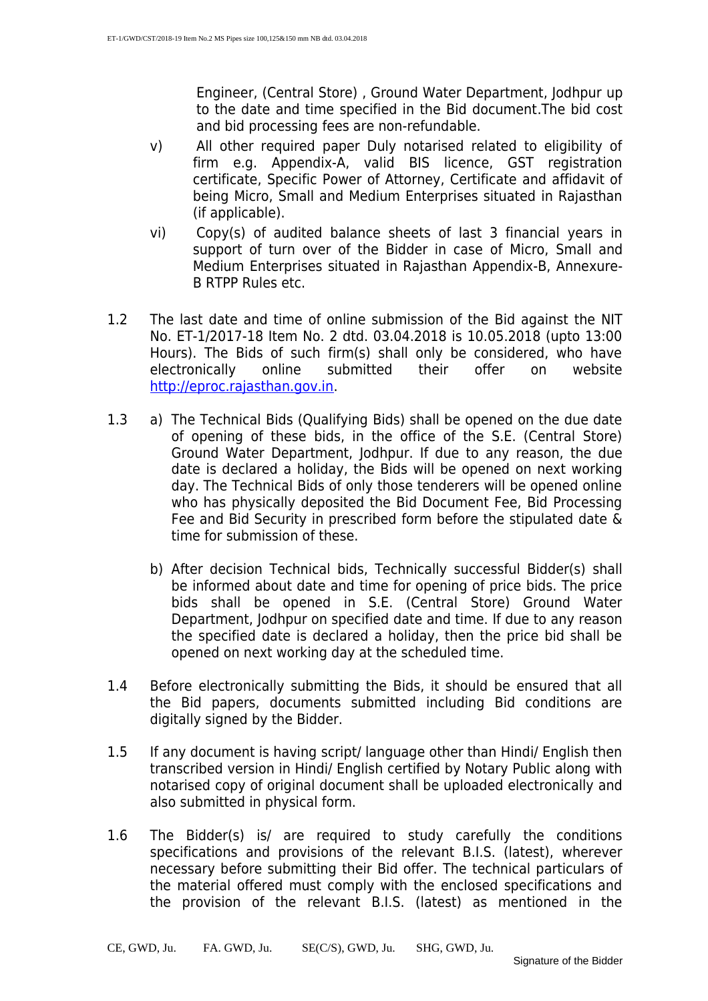Engineer, (Central Store) , Ground Water Department, Jodhpur up to the date and time specified in the Bid document.The bid cost and bid processing fees are non-refundable.

- v) All other required paper Duly notarised related to eligibility of firm e.g. Appendix-A, valid BIS licence, GST registration certificate, Specific Power of Attorney, Certificate and affidavit of being Micro, Small and Medium Enterprises situated in Rajasthan (if applicable).
- vi) Copy(s) of audited balance sheets of last 3 financial years in support of turn over of the Bidder in case of Micro, Small and Medium Enterprises situated in Rajasthan Appendix-B, Annexure-B RTPP Rules etc.
- 1.2 The last date and time of online submission of the Bid against the NIT No. ET-1/2017-18 Item No. 2 dtd. 03.04.2018 is 10.05.2018 (upto 13:00 Hours). The Bids of such firm(s) shall only be considered, who have electronically online submitted their offer on website [http://eproc.rajasthan.gov.in.](http://rproc.rajasthan.gov.in/)
- 1.3 a) The Technical Bids (Qualifying Bids) shall be opened on the due date of opening of these bids, in the office of the S.E. (Central Store) Ground Water Department, Jodhpur. If due to any reason, the due date is declared a holiday, the Bids will be opened on next working day. The Technical Bids of only those tenderers will be opened online who has physically deposited the Bid Document Fee, Bid Processing Fee and Bid Security in prescribed form before the stipulated date & time for submission of these.
	- b) After decision Technical bids, Technically successful Bidder(s) shall be informed about date and time for opening of price bids. The price bids shall be opened in S.E. (Central Store) Ground Water Department, Jodhpur on specified date and time. If due to any reason the specified date is declared a holiday, then the price bid shall be opened on next working day at the scheduled time.
- 1.4 Before electronically submitting the Bids, it should be ensured that all the Bid papers, documents submitted including Bid conditions are digitally signed by the Bidder.
- 1.5 If any document is having script/ language other than Hindi/ English then transcribed version in Hindi/ English certified by Notary Public along with notarised copy of original document shall be uploaded electronically and also submitted in physical form.
- 1.6 The Bidder(s) is/ are required to study carefully the conditions specifications and provisions of the relevant B.I.S. (latest), wherever necessary before submitting their Bid offer. The technical particulars of the material offered must comply with the enclosed specifications and the provision of the relevant B.I.S. (latest) as mentioned in the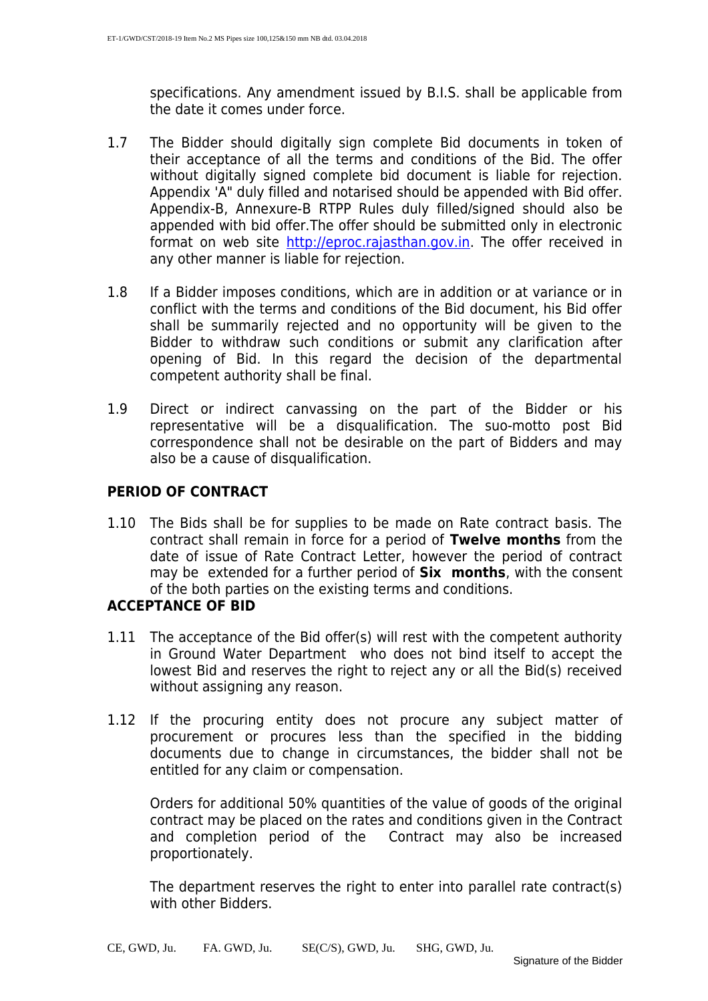specifications. Any amendment issued by B.I.S. shall be applicable from the date it comes under force.

- 1.7 The Bidder should digitally sign complete Bid documents in token of their acceptance of all the terms and conditions of the Bid. The offer without digitally signed complete bid document is liable for rejection. Appendix 'A" duly filled and notarised should be appended with Bid offer. Appendix-B, Annexure-B RTPP Rules duly filled/signed should also be appended with bid offer.The offer should be submitted only in electronic format on web site [http://eproc.rajasthan.gov.in.](http://rproc.rajasthan.gov.in/) The offer received in any other manner is liable for rejection.
- 1.8 If a Bidder imposes conditions, which are in addition or at variance or in conflict with the terms and conditions of the Bid document, his Bid offer shall be summarily rejected and no opportunity will be given to the Bidder to withdraw such conditions or submit any clarification after opening of Bid. In this regard the decision of the departmental competent authority shall be final.
- 1.9 Direct or indirect canvassing on the part of the Bidder or his representative will be a disqualification. The suo-motto post Bid correspondence shall not be desirable on the part of Bidders and may also be a cause of disqualification.

#### **PERIOD OF CONTRACT**

1.10 The Bids shall be for supplies to be made on Rate contract basis. The contract shall remain in force for a period of **Twelve months** from the date of issue of Rate Contract Letter, however the period of contract may be extended for a further period of **Six months**, with the consent of the both parties on the existing terms and conditions.

#### **ACCEPTANCE OF BID**

- 1.11 The acceptance of the Bid offer(s) will rest with the competent authority in Ground Water Department who does not bind itself to accept the lowest Bid and reserves the right to reject any or all the Bid(s) received without assigning any reason.
- 1.12 If the procuring entity does not procure any subject matter of procurement or procures less than the specified in the bidding documents due to change in circumstances, the bidder shall not be entitled for any claim or compensation.

Orders for additional 50% quantities of the value of goods of the original contract may be placed on the rates and conditions given in the Contract and completion period of the Contract may also be increased proportionately.

The department reserves the right to enter into parallel rate contract(s) with other Bidders.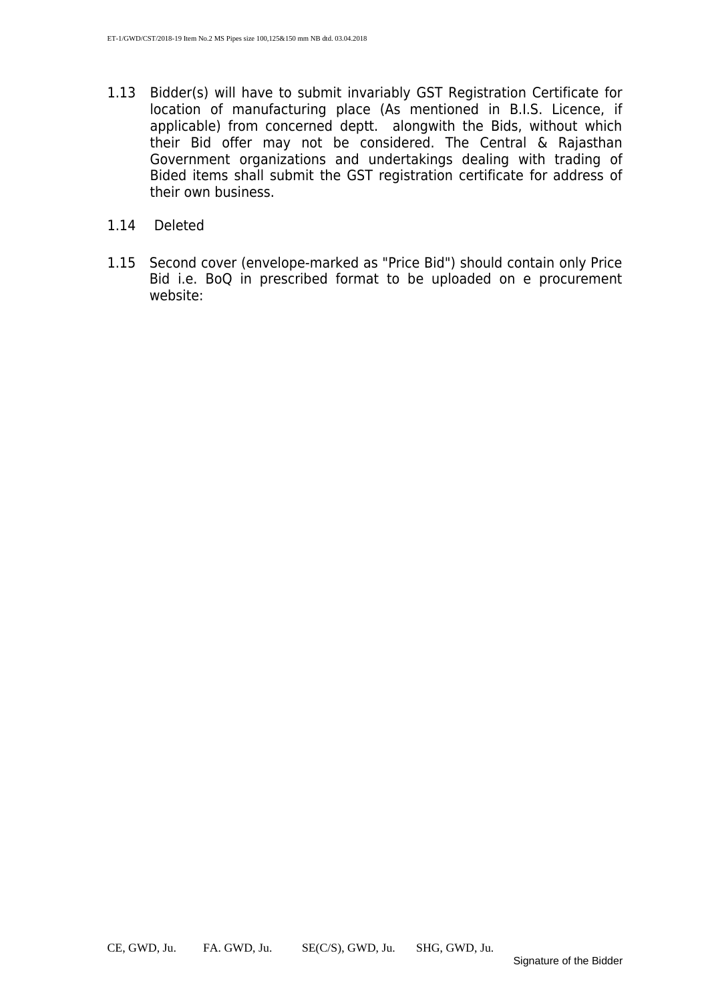- 1.13 Bidder(s) will have to submit invariably GST Registration Certificate for location of manufacturing place (As mentioned in B.I.S. Licence, if applicable) from concerned deptt. alongwith the Bids, without which their Bid offer may not be considered. The Central & Rajasthan Government organizations and undertakings dealing with trading of Bided items shall submit the GST registration certificate for address of their own business.
- 1.14 Deleted
- 1.15 Second cover (envelope-marked as "Price Bid") should contain only Price Bid i.e. BoQ in prescribed format to be uploaded on e procurement website: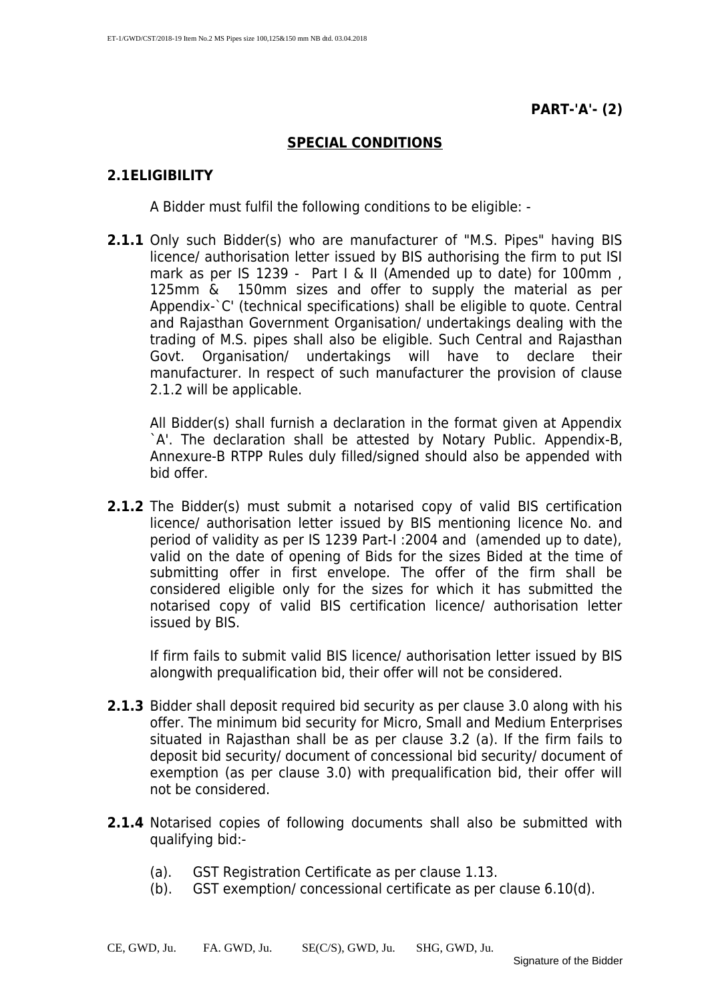#### **SPECIAL CONDITIONS**

#### **2.1ELIGIBILITY**

A Bidder must fulfil the following conditions to be eligible: -

**2.1.1** Only such Bidder(s) who are manufacturer of "M.S. Pipes" having BIS licence/ authorisation letter issued by BIS authorising the firm to put ISI mark as per IS 1239 - Part I & II (Amended up to date) for 100mm, 125mm & 150mm sizes and offer to supply the material as per Appendix-`C' (technical specifications) shall be eligible to quote. Central and Rajasthan Government Organisation/ undertakings dealing with the trading of M.S. pipes shall also be eligible. Such Central and Rajasthan Govt. Organisation/ undertakings will have to declare their manufacturer. In respect of such manufacturer the provision of clause 2.1.2 will be applicable.

All Bidder(s) shall furnish a declaration in the format given at Appendix `A'. The declaration shall be attested by Notary Public. Appendix-B, Annexure-B RTPP Rules duly filled/signed should also be appended with bid offer.

**2.1.2** The Bidder(s) must submit a notarised copy of valid BIS certification licence/ authorisation letter issued by BIS mentioning licence No. and period of validity as per IS 1239 Part-I :2004 and (amended up to date), valid on the date of opening of Bids for the sizes Bided at the time of submitting offer in first envelope. The offer of the firm shall be considered eligible only for the sizes for which it has submitted the notarised copy of valid BIS certification licence/ authorisation letter issued by BIS.

If firm fails to submit valid BIS licence/ authorisation letter issued by BIS alongwith prequalification bid, their offer will not be considered.

- **2.1.3** Bidder shall deposit required bid security as per clause 3.0 along with his offer. The minimum bid security for Micro, Small and Medium Enterprises situated in Rajasthan shall be as per clause 3.2 (a). If the firm fails to deposit bid security/ document of concessional bid security/ document of exemption (as per clause 3.0) with prequalification bid, their offer will not be considered.
- **2.1.4** Notarised copies of following documents shall also be submitted with qualifying bid:-
	- (a). GST Registration Certificate as per clause 1.13.
	- (b). GST exemption/ concessional certificate as per clause 6.10(d).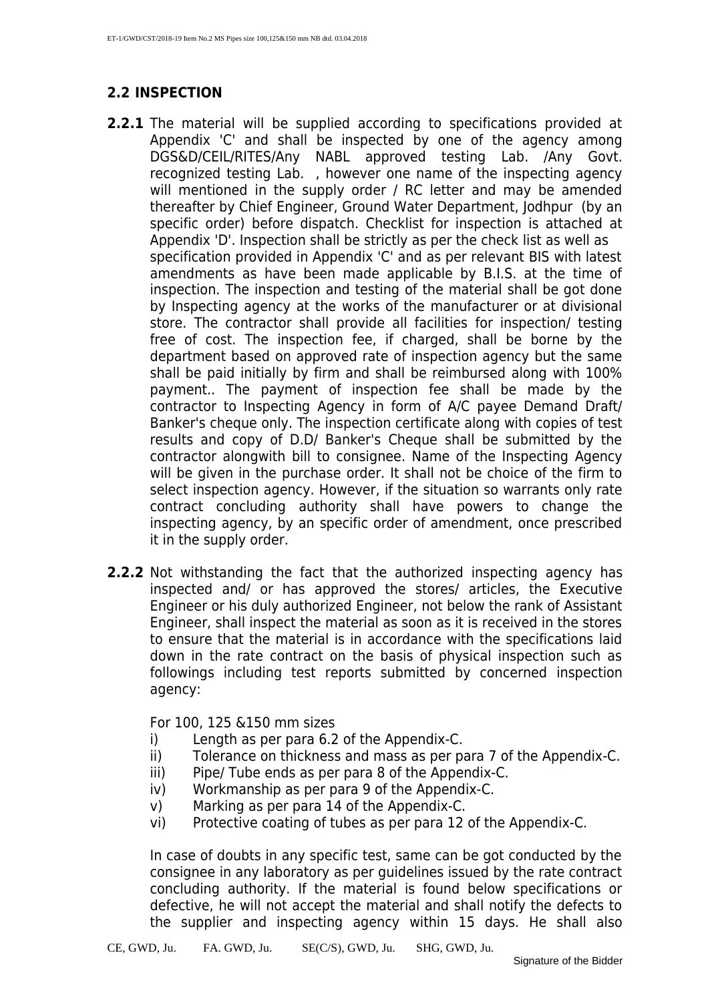#### **2.2 INSPECTION**

- **2.2.1** The material will be supplied according to specifications provided at Appendix 'C' and shall be inspected by one of the agency among DGS&D/CEIL/RITES/Any NABL approved testing Lab. /Any Govt. recognized testing Lab. , however one name of the inspecting agency will mentioned in the supply order / RC letter and may be amended thereafter by Chief Engineer, Ground Water Department, Jodhpur (by an specific order) before dispatch. Checklist for inspection is attached at Appendix 'D'. Inspection shall be strictly as per the check list as well as specification provided in Appendix 'C' and as per relevant BIS with latest amendments as have been made applicable by B.I.S. at the time of inspection. The inspection and testing of the material shall be got done by Inspecting agency at the works of the manufacturer or at divisional store. The contractor shall provide all facilities for inspection/ testing free of cost. The inspection fee, if charged, shall be borne by the department based on approved rate of inspection agency but the same shall be paid initially by firm and shall be reimbursed along with 100% payment.. The payment of inspection fee shall be made by the contractor to Inspecting Agency in form of A/C payee Demand Draft/ Banker's cheque only. The inspection certificate along with copies of test results and copy of D.D/ Banker's Cheque shall be submitted by the contractor alongwith bill to consignee. Name of the Inspecting Agency will be given in the purchase order. It shall not be choice of the firm to select inspection agency. However, if the situation so warrants only rate contract concluding authority shall have powers to change the inspecting agency, by an specific order of amendment, once prescribed it in the supply order.
- **2.2.2** Not withstanding the fact that the authorized inspecting agency has inspected and/ or has approved the stores/ articles, the Executive Engineer or his duly authorized Engineer, not below the rank of Assistant Engineer, shall inspect the material as soon as it is received in the stores to ensure that the material is in accordance with the specifications laid down in the rate contract on the basis of physical inspection such as followings including test reports submitted by concerned inspection agency:

For 100, 125 &150 mm sizes

- i) Length as per para 6.2 of the Appendix-C.
- ii) Tolerance on thickness and mass as per para 7 of the Appendix-C.
- iii) Pipe/ Tube ends as per para 8 of the Appendix-C.
- iv) Workmanship as per para 9 of the Appendix-C.
- v) Marking as per para 14 of the Appendix-C.
- vi) Protective coating of tubes as per para 12 of the Appendix-C.

In case of doubts in any specific test, same can be got conducted by the consignee in any laboratory as per guidelines issued by the rate contract concluding authority. If the material is found below specifications or defective, he will not accept the material and shall notify the defects to the supplier and inspecting agency within 15 days. He shall also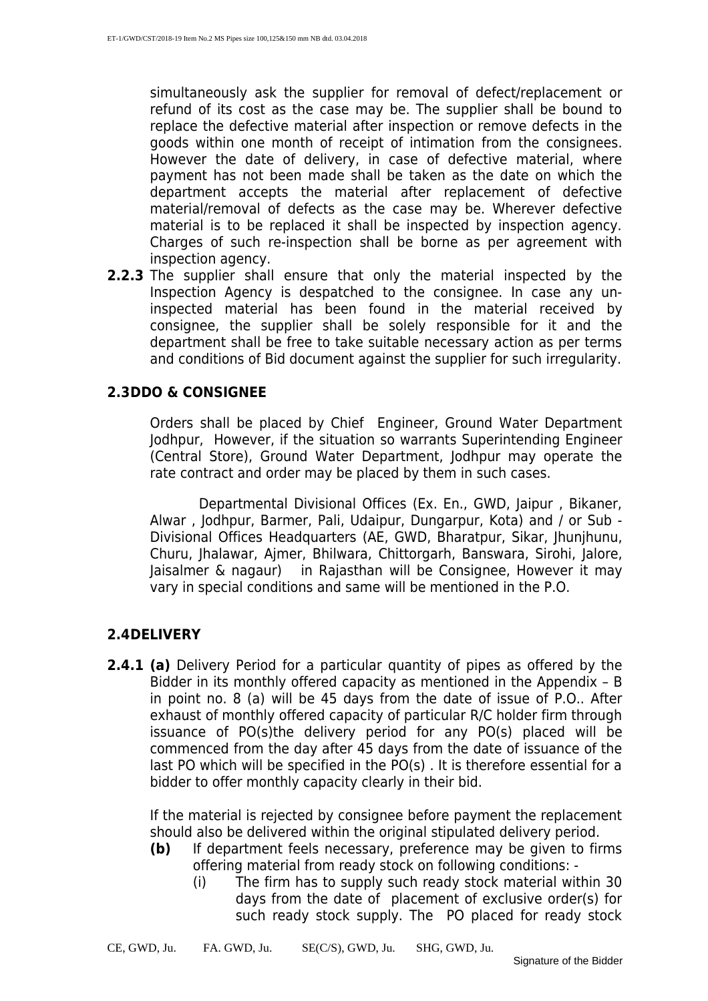simultaneously ask the supplier for removal of defect/replacement or refund of its cost as the case may be. The supplier shall be bound to replace the defective material after inspection or remove defects in the goods within one month of receipt of intimation from the consignees. However the date of delivery, in case of defective material, where payment has not been made shall be taken as the date on which the department accepts the material after replacement of defective material/removal of defects as the case may be. Wherever defective material is to be replaced it shall be inspected by inspection agency. Charges of such re-inspection shall be borne as per agreement with inspection agency.

**2.2.3** The supplier shall ensure that only the material inspected by the Inspection Agency is despatched to the consignee. In case any uninspected material has been found in the material received by consignee, the supplier shall be solely responsible for it and the department shall be free to take suitable necessary action as per terms and conditions of Bid document against the supplier for such irregularity.

#### **2.3DDO & CONSIGNEE**

Orders shall be placed by Chief Engineer, Ground Water Department Jodhpur, However, if the situation so warrants Superintending Engineer (Central Store), Ground Water Department, Jodhpur may operate the rate contract and order may be placed by them in such cases.

 Departmental Divisional Offices (Ex. En., GWD, Jaipur , Bikaner, Alwar , Jodhpur, Barmer, Pali, Udaipur, Dungarpur, Kota) and / or Sub - Divisional Offices Headquarters (AE, GWD, Bharatpur, Sikar, Jhunjhunu, Churu, Jhalawar, Ajmer, Bhilwara, Chittorgarh, Banswara, Sirohi, Jalore, Jaisalmer & nagaur) in Rajasthan will be Consignee, However it may vary in special conditions and same will be mentioned in the P.O.

#### **2.4DELIVERY**

**2.4.1 (a)** Delivery Period for a particular quantity of pipes as offered by the Bidder in its monthly offered capacity as mentioned in the Appendix – B in point no. 8 (a) will be 45 days from the date of issue of P.O.. After exhaust of monthly offered capacity of particular R/C holder firm through issuance of PO(s)the delivery period for any PO(s) placed will be commenced from the day after 45 days from the date of issuance of the last PO which will be specified in the PO(s) . It is therefore essential for a bidder to offer monthly capacity clearly in their bid.

If the material is rejected by consignee before payment the replacement should also be delivered within the original stipulated delivery period.

- **(b)** If department feels necessary, preference may be given to firms offering material from ready stock on following conditions: -
	- (i) The firm has to supply such ready stock material within 30 days from the date of placement of exclusive order(s) for such ready stock supply. The PO placed for ready stock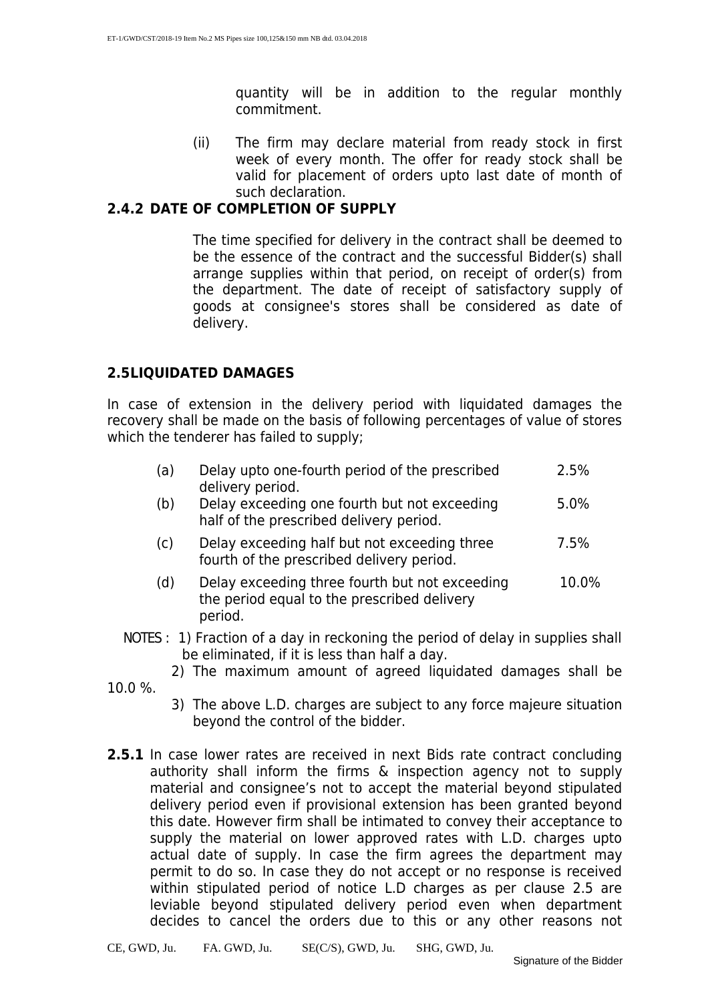quantity will be in addition to the regular monthly commitment.

(ii) The firm may declare material from ready stock in first week of every month. The offer for ready stock shall be valid for placement of orders upto last date of month of such declaration.

#### **2.4.2 DATE OF COMPLETION OF SUPPLY**

 The time specified for delivery in the contract shall be deemed to be the essence of the contract and the successful Bidder(s) shall arrange supplies within that period, on receipt of order(s) from the department. The date of receipt of satisfactory supply of goods at consignee's stores shall be considered as date of delivery.

#### **2.5LIQUIDATED DAMAGES**

In case of extension in the delivery period with liquidated damages the recovery shall be made on the basis of following percentages of value of stores which the tenderer has failed to supply;

| (a) | Delay upto one-fourth period of the prescribed<br>delivery period.                        | 2.5%  |
|-----|-------------------------------------------------------------------------------------------|-------|
| (b) | Delay exceeding one fourth but not exceeding<br>half of the prescribed delivery period.   | 5.0%  |
| (c) | Delay exceeding half but not exceeding three<br>fourth of the prescribed delivery period. | 7.5%  |
| (d) | Delay exceeding three fourth but not exceeding                                            | 10.0% |

- the period equal to the prescribed delivery period.
- NOTES : 1) Fraction of a day in reckoning the period of delay in supplies shall be eliminated, if it is less than half a day.
	- 2) The maximum amount of agreed liquidated damages shall be
- 10.0 %.
	- 3) The above L.D. charges are subject to any force majeure situation beyond the control of the bidder.
- **2.5.1** In case lower rates are received in next Bids rate contract concluding authority shall inform the firms & inspection agency not to supply material and consignee's not to accept the material beyond stipulated delivery period even if provisional extension has been granted beyond this date. However firm shall be intimated to convey their acceptance to supply the material on lower approved rates with L.D. charges upto actual date of supply. In case the firm agrees the department may permit to do so. In case they do not accept or no response is received within stipulated period of notice L.D charges as per clause 2.5 are leviable beyond stipulated delivery period even when department decides to cancel the orders due to this or any other reasons not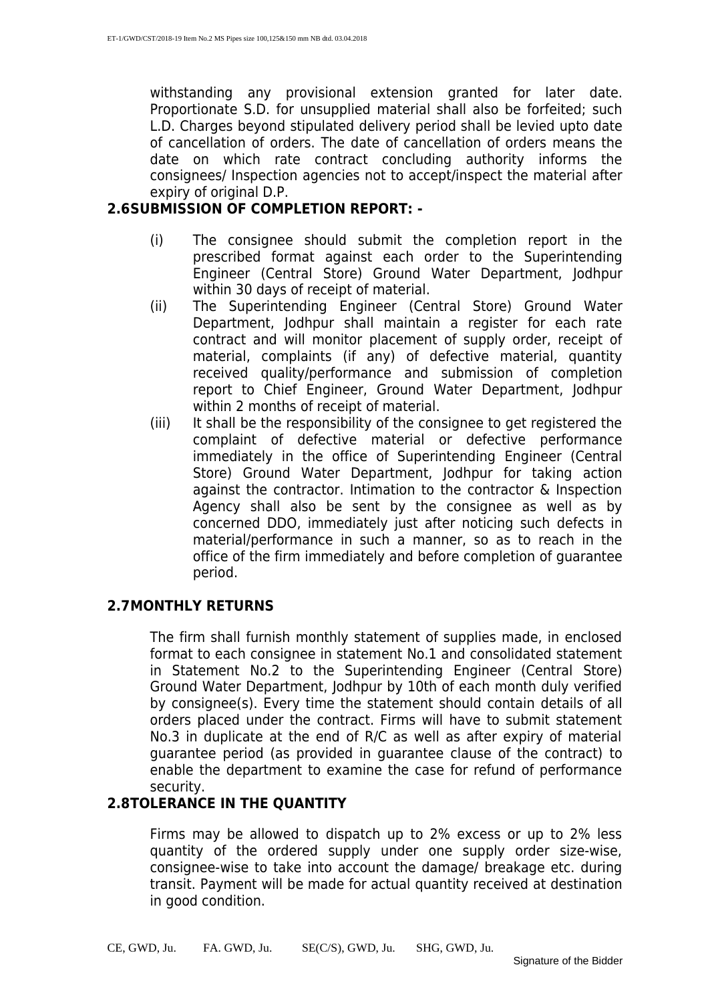withstanding any provisional extension granted for later date. Proportionate S.D. for unsupplied material shall also be forfeited; such L.D. Charges beyond stipulated delivery period shall be levied upto date of cancellation of orders. The date of cancellation of orders means the date on which rate contract concluding authority informs the consignees/ Inspection agencies not to accept/inspect the material after expiry of original D.P.

#### **2.6SUBMISSION OF COMPLETION REPORT: -**

- (i) The consignee should submit the completion report in the prescribed format against each order to the Superintending Engineer (Central Store) Ground Water Department, Jodhpur within 30 days of receipt of material.
- (ii) The Superintending Engineer (Central Store) Ground Water Department, Jodhpur shall maintain a register for each rate contract and will monitor placement of supply order, receipt of material, complaints (if any) of defective material, quantity received quality/performance and submission of completion report to Chief Engineer, Ground Water Department, Jodhpur within 2 months of receipt of material.
- (iii) It shall be the responsibility of the consignee to get registered the complaint of defective material or defective performance immediately in the office of Superintending Engineer (Central Store) Ground Water Department, Jodhpur for taking action against the contractor. Intimation to the contractor & Inspection Agency shall also be sent by the consignee as well as by concerned DDO, immediately just after noticing such defects in material/performance in such a manner, so as to reach in the office of the firm immediately and before completion of guarantee period.

#### **2.7MONTHLY RETURNS**

The firm shall furnish monthly statement of supplies made, in enclosed format to each consignee in statement No.1 and consolidated statement in Statement No.2 to the Superintending Engineer (Central Store) Ground Water Department, Jodhpur by 10th of each month duly verified by consignee(s). Every time the statement should contain details of all orders placed under the contract. Firms will have to submit statement No.3 in duplicate at the end of R/C as well as after expiry of material guarantee period (as provided in guarantee clause of the contract) to enable the department to examine the case for refund of performance security.

#### **2.8TOLERANCE IN THE QUANTITY**

Firms may be allowed to dispatch up to 2% excess or up to 2% less quantity of the ordered supply under one supply order size-wise, consignee-wise to take into account the damage/ breakage etc. during transit. Payment will be made for actual quantity received at destination in good condition.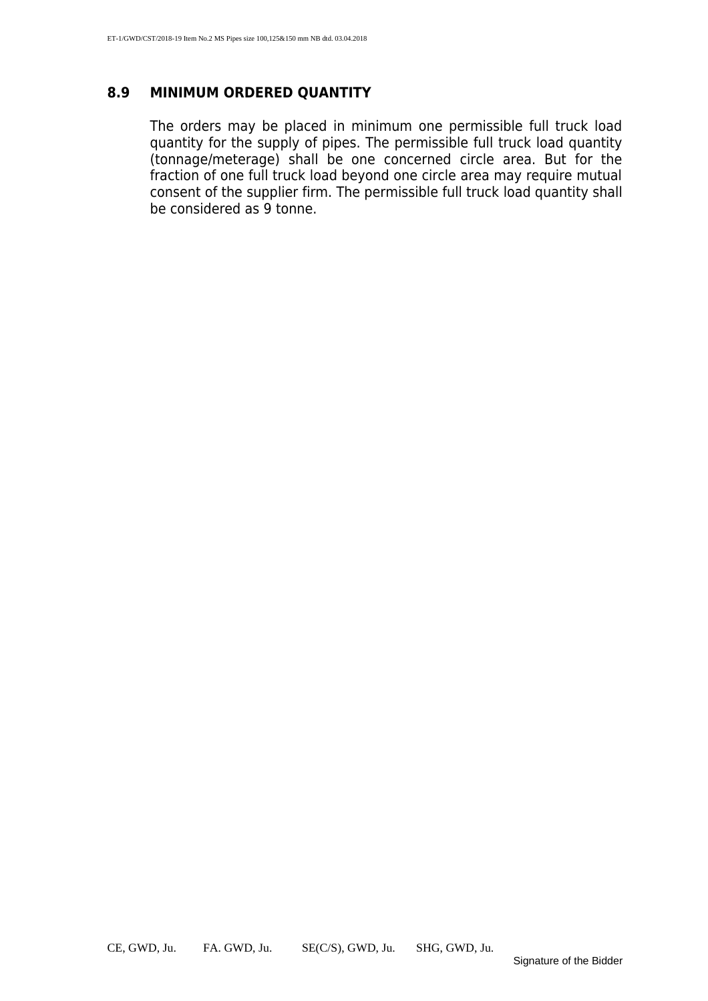#### **8.9 MINIMUM ORDERED QUANTITY**

The orders may be placed in minimum one permissible full truck load quantity for the supply of pipes. The permissible full truck load quantity (tonnage/meterage) shall be one concerned circle area. But for the fraction of one full truck load beyond one circle area may require mutual consent of the supplier firm. The permissible full truck load quantity shall be considered as 9 tonne.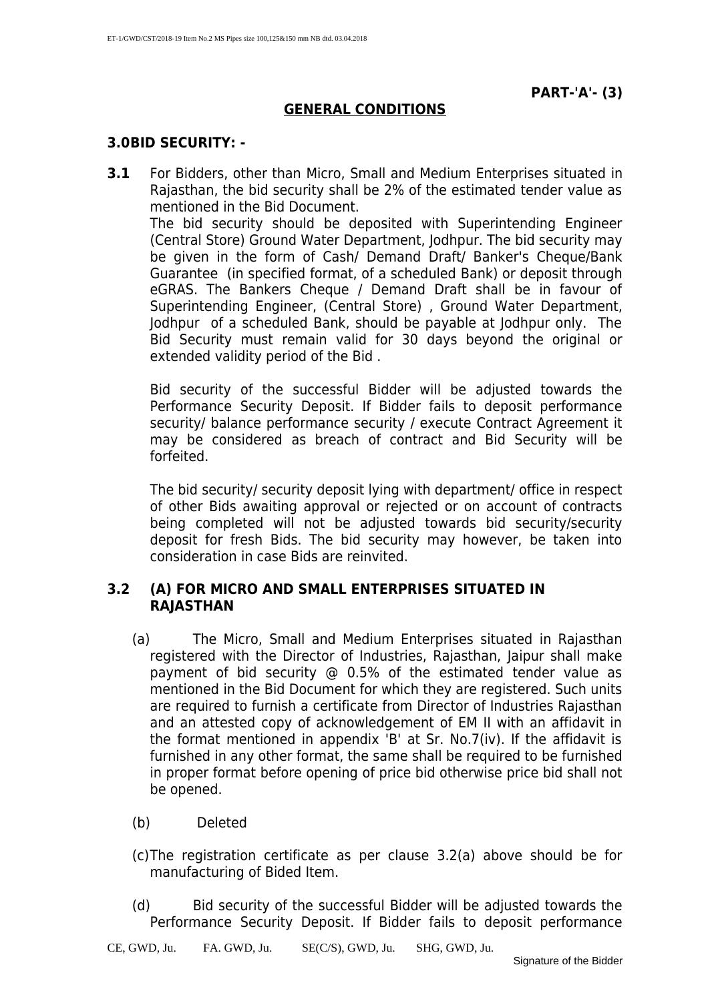#### **GENERAL CONDITIONS**

#### **3.0BID SECURITY: -**

**3.1** For Bidders, other than Micro, Small and Medium Enterprises situated in Rajasthan, the bid security shall be 2% of the estimated tender value as mentioned in the Bid Document. The bid security should be deposited with Superintending Engineer (Central Store) Ground Water Department, Jodhpur. The bid security may be given in the form of Cash/ Demand Draft/ Banker's Cheque/Bank Guarantee (in specified format, of a scheduled Bank) or deposit through eGRAS. The Bankers Cheque / Demand Draft shall be in favour of Superintending Engineer, (Central Store) , Ground Water Department, Jodhpur of a scheduled Bank, should be payable at Jodhpur only. The Bid Security must remain valid for 30 days beyond the original or extended validity period of the Bid .

Bid security of the successful Bidder will be adjusted towards the Performance Security Deposit. If Bidder fails to deposit performance security/ balance performance security / execute Contract Agreement it may be considered as breach of contract and Bid Security will be forfeited.

The bid security/ security deposit lying with department/ office in respect of other Bids awaiting approval or rejected or on account of contracts being completed will not be adjusted towards bid security/security deposit for fresh Bids. The bid security may however, be taken into consideration in case Bids are reinvited.

#### **3.2 (A) FOR MICRO AND SMALL ENTERPRISES SITUATED IN RAJASTHAN**

- (a) The Micro, Small and Medium Enterprises situated in Rajasthan registered with the Director of Industries, Rajasthan, Jaipur shall make payment of bid security @ 0.5% of the estimated tender value as mentioned in the Bid Document for which they are registered. Such units are required to furnish a certificate from Director of Industries Rajasthan and an attested copy of acknowledgement of EM II with an affidavit in the format mentioned in appendix 'B' at Sr. No.7(iv). If the affidavit is furnished in any other format, the same shall be required to be furnished in proper format before opening of price bid otherwise price bid shall not be opened.
- (b) Deleted
- (c)The registration certificate as per clause 3.2(a) above should be for manufacturing of Bided Item.
- (d) Bid security of the successful Bidder will be adjusted towards the Performance Security Deposit. If Bidder fails to deposit performance

CE, GWD, Ju. FA. GWD, Ju. SE(C/S), GWD, Ju. SHG, GWD, Ju.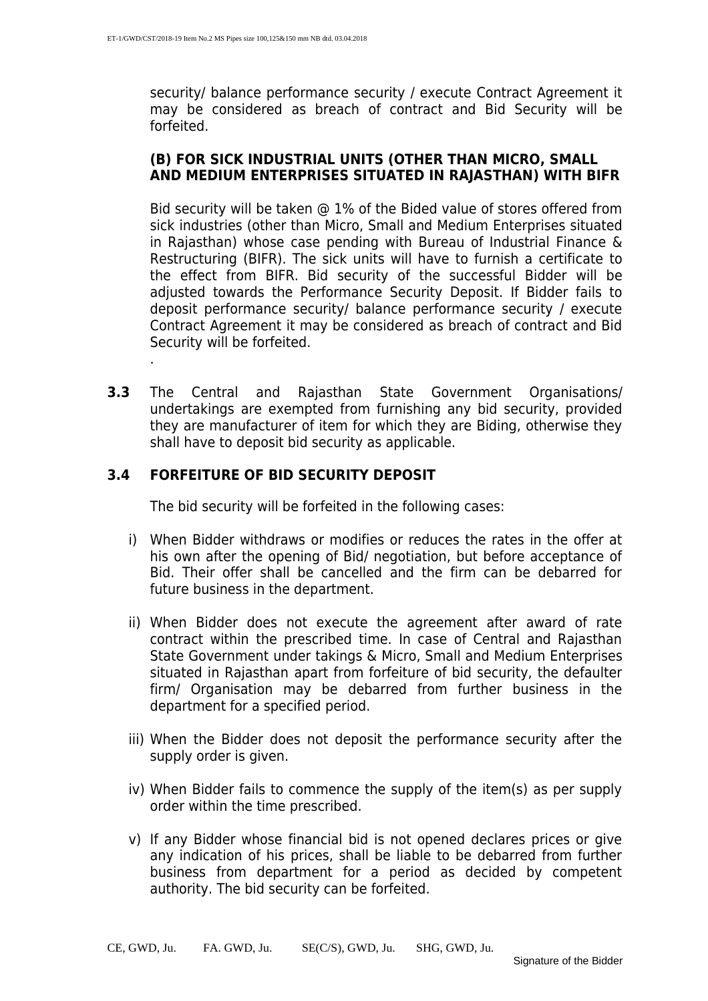security/ balance performance security / execute Contract Agreement it may be considered as breach of contract and Bid Security will be forfeited.

#### **(B) FOR SICK INDUSTRIAL UNITS (OTHER THAN MICRO, SMALL AND MEDIUM ENTERPRISES SITUATED IN RAJASTHAN) WITH BIFR**

Bid security will be taken @ 1% of the Bided value of stores offered from sick industries (other than Micro, Small and Medium Enterprises situated in Rajasthan) whose case pending with Bureau of Industrial Finance & Restructuring (BIFR). The sick units will have to furnish a certificate to the effect from BIFR. Bid security of the successful Bidder will be adjusted towards the Performance Security Deposit. If Bidder fails to deposit performance security/ balance performance security / execute Contract Agreement it may be considered as breach of contract and Bid Security will be forfeited.

**3.3** The Central and Rajasthan State Government Organisations/ undertakings are exempted from furnishing any bid security, provided they are manufacturer of item for which they are Biding, otherwise they shall have to deposit bid security as applicable.

#### **3.4 FORFEITURE OF BID SECURITY DEPOSIT**

.

The bid security will be forfeited in the following cases:

- i) When Bidder withdraws or modifies or reduces the rates in the offer at his own after the opening of Bid/ negotiation, but before acceptance of Bid. Their offer shall be cancelled and the firm can be debarred for future business in the department.
- ii) When Bidder does not execute the agreement after award of rate contract within the prescribed time. In case of Central and Rajasthan State Government under takings & Micro, Small and Medium Enterprises situated in Rajasthan apart from forfeiture of bid security, the defaulter firm/ Organisation may be debarred from further business in the department for a specified period.
- iii) When the Bidder does not deposit the performance security after the supply order is given.
- iv) When Bidder fails to commence the supply of the item(s) as per supply order within the time prescribed.
- v) If any Bidder whose financial bid is not opened declares prices or give any indication of his prices, shall be liable to be debarred from further business from department for a period as decided by competent authority. The bid security can be forfeited.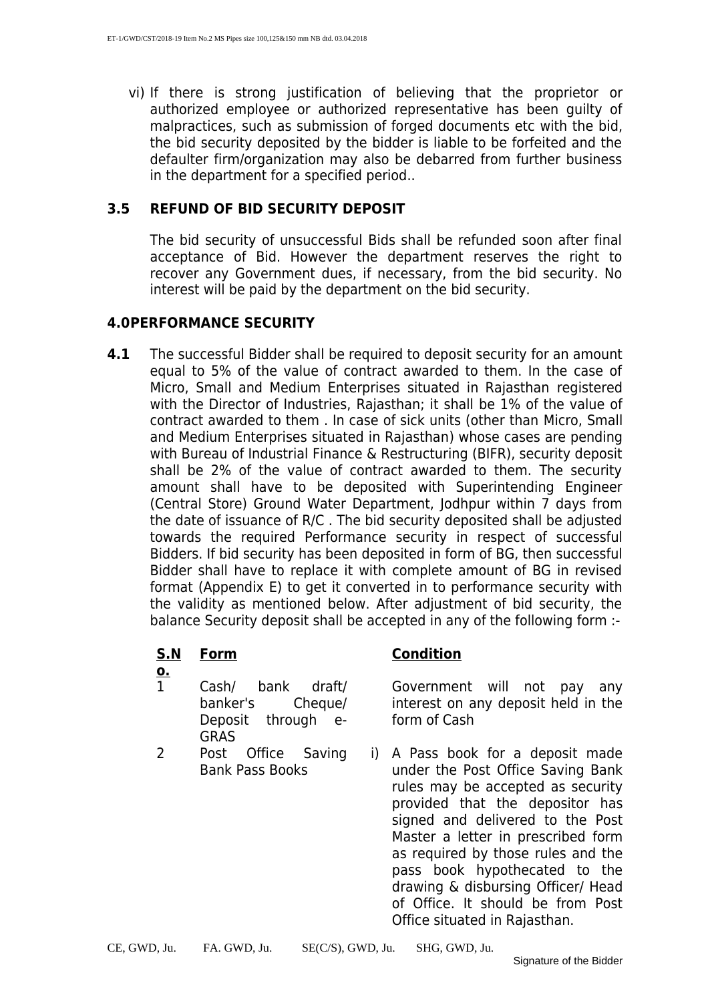vi) If there is strong justification of believing that the proprietor or authorized employee or authorized representative has been guilty of malpractices, such as submission of forged documents etc with the bid, the bid security deposited by the bidder is liable to be forfeited and the defaulter firm/organization may also be debarred from further business in the department for a specified period..

#### **3.5 REFUND OF BID SECURITY DEPOSIT**

The bid security of unsuccessful Bids shall be refunded soon after final acceptance of Bid. However the department reserves the right to recover any Government dues, if necessary, from the bid security. No interest will be paid by the department on the bid security.

#### **4.0PERFORMANCE SECURITY**

**4.1** The successful Bidder shall be required to deposit security for an amount equal to 5% of the value of contract awarded to them. In the case of Micro, Small and Medium Enterprises situated in Rajasthan registered with the Director of Industries, Rajasthan; it shall be 1% of the value of contract awarded to them . In case of sick units (other than Micro, Small and Medium Enterprises situated in Rajasthan) whose cases are pending with Bureau of Industrial Finance & Restructuring (BIFR), security deposit shall be 2% of the value of contract awarded to them. The security amount shall have to be deposited with Superintending Engineer (Central Store) Ground Water Department, Jodhpur within 7 days from the date of issuance of R/C . The bid security deposited shall be adjusted towards the required Performance security in respect of successful Bidders. If bid security has been deposited in form of BG, then successful Bidder shall have to replace it with complete amount of BG in revised format (Appendix E) to get it converted in to performance security with the validity as mentioned below. After adjustment of bid security, the balance Security deposit shall be accepted in any of the following form :-

#### **S.N**

- **o.**
- 1 Cash/ bank draft/ banker's Cheque/ Deposit through e-GRAS
- 2 Post Office Saving Bank Pass Books

#### **Form Condition**

Government will not pay any interest on any deposit held in the form of Cash

i) A Pass book for a deposit made under the Post Office Saving Bank rules may be accepted as security provided that the depositor has signed and delivered to the Post Master a letter in prescribed form as required by those rules and the pass book hypothecated to the drawing & disbursing Officer/ Head of Office. It should be from Post Office situated in Rajasthan.

CE, GWD, Ju. FA. GWD, Ju. SE(C/S), GWD, Ju. SHG, GWD, Ju.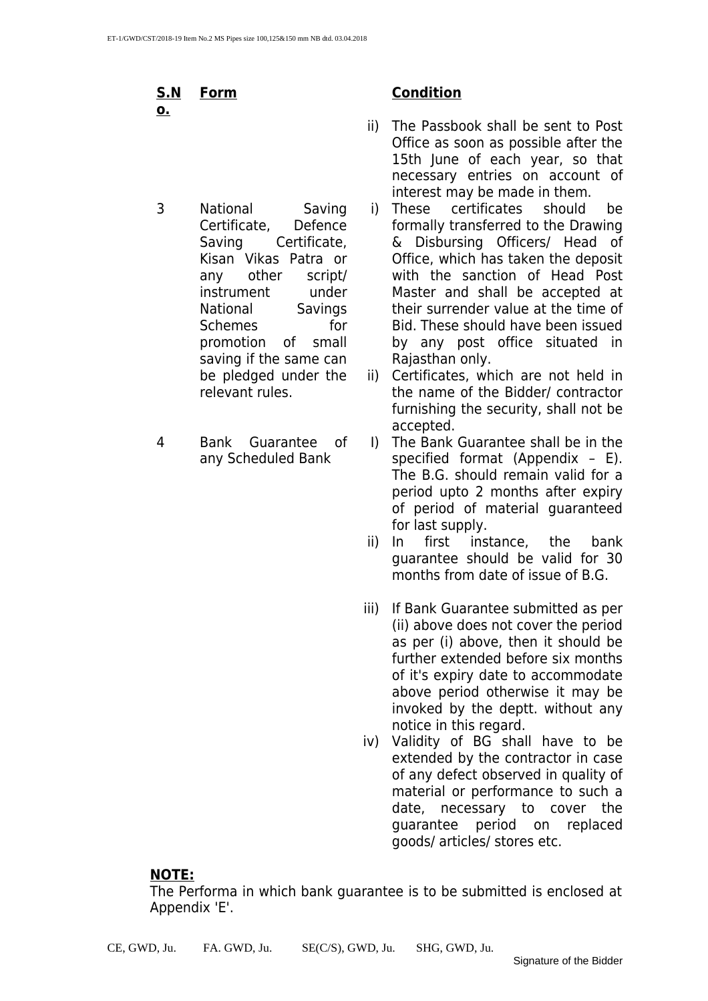**S.N o.**

- 3 National Saving Certificate, Defence Saving Certificate, Kisan Vikas Patra or any other script/ instrument under National Savings Schemes for promotion of small saving if the same can be pledged under the relevant rules.
- 4 Bank Guarantee of any Scheduled Bank

#### **Form Condition**

- ii) The Passbook shall be sent to Post Office as soon as possible after the 15th June of each year, so that necessary entries on account of interest may be made in them.
- i) These certificates should be formally transferred to the Drawing & Disbursing Officers/ Head of Office, which has taken the deposit with the sanction of Head Post Master and shall be accepted at their surrender value at the time of Bid. These should have been issued by any post office situated in Rajasthan only.
- ii) Certificates, which are not held in the name of the Bidder/ contractor furnishing the security, shall not be accepted.
- I) The Bank Guarantee shall be in the specified format (Appendix – E). The B.G. should remain valid for a period upto 2 months after expiry of period of material guaranteed
- for last supply.<br>ii) In first inst first instance, the bank guarantee should be valid for 30 months from date of issue of B.G.
- iii) If Bank Guarantee submitted as per (ii) above does not cover the period as per (i) above, then it should be further extended before six months of it's expiry date to accommodate above period otherwise it may be invoked by the deptt. without any notice in this regard.
- iv) Validity of BG shall have to be extended by the contractor in case of any defect observed in quality of material or performance to such a date, necessary to cover the guarantee period on replaced goods/ articles/ stores etc.

#### **NOTE:**

The Performa in which bank guarantee is to be submitted is enclosed at Appendix 'E'.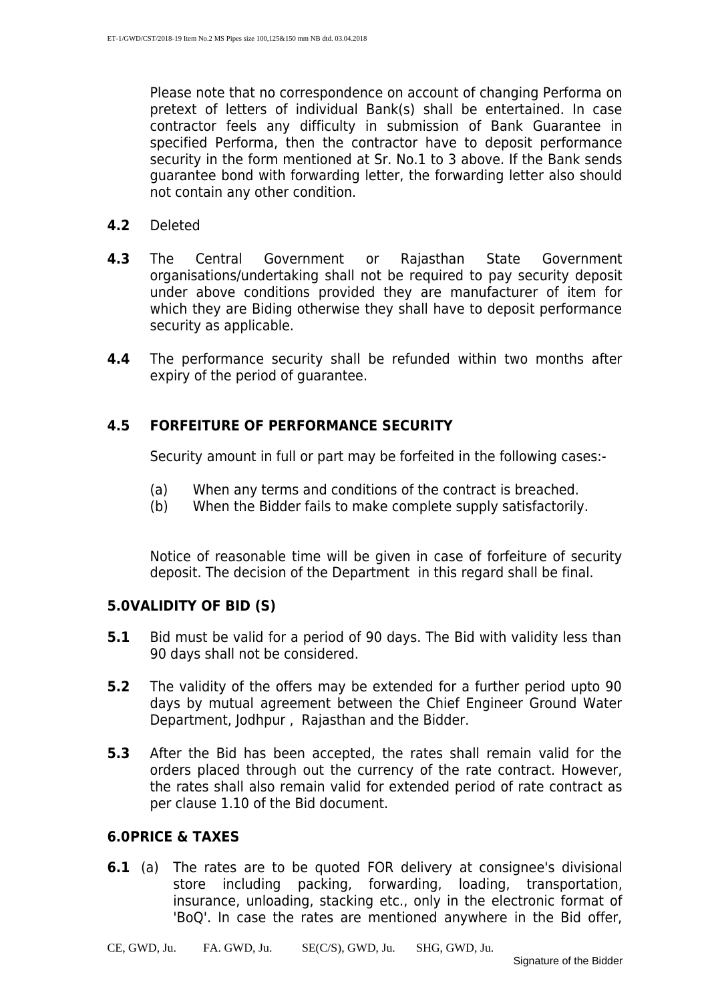Please note that no correspondence on account of changing Performa on pretext of letters of individual Bank(s) shall be entertained. In case contractor feels any difficulty in submission of Bank Guarantee in specified Performa, then the contractor have to deposit performance security in the form mentioned at Sr. No.1 to 3 above. If the Bank sends guarantee bond with forwarding letter, the forwarding letter also should not contain any other condition.

- **4.2** Deleted
- **4.3** The Central Government or Rajasthan State Government organisations/undertaking shall not be required to pay security deposit under above conditions provided they are manufacturer of item for which they are Biding otherwise they shall have to deposit performance security as applicable.
- **4.4** The performance security shall be refunded within two months after expiry of the period of guarantee.

#### **4.5 FORFEITURE OF PERFORMANCE SECURITY**

Security amount in full or part may be forfeited in the following cases:-

- (a) When any terms and conditions of the contract is breached.
- (b) When the Bidder fails to make complete supply satisfactorily.

Notice of reasonable time will be given in case of forfeiture of security deposit. The decision of the Department in this regard shall be final.

#### **5.0VALIDITY OF BID (S)**

- **5.1** Bid must be valid for a period of 90 days. The Bid with validity less than 90 days shall not be considered.
- **5.2** The validity of the offers may be extended for a further period upto 90 days by mutual agreement between the Chief Engineer Ground Water Department, Jodhpur , Rajasthan and the Bidder.
- **5.3** After the Bid has been accepted, the rates shall remain valid for the orders placed through out the currency of the rate contract. However, the rates shall also remain valid for extended period of rate contract as per clause 1.10 of the Bid document.

#### **6.0PRICE & TAXES**

**6.1** (a) The rates are to be quoted FOR delivery at consignee's divisional store including packing, forwarding, loading, transportation, insurance, unloading, stacking etc., only in the electronic format of 'BoQ'. In case the rates are mentioned anywhere in the Bid offer,

CE, GWD, Ju. FA. GWD, Ju. SE(C/S), GWD, Ju. SHG, GWD, Ju.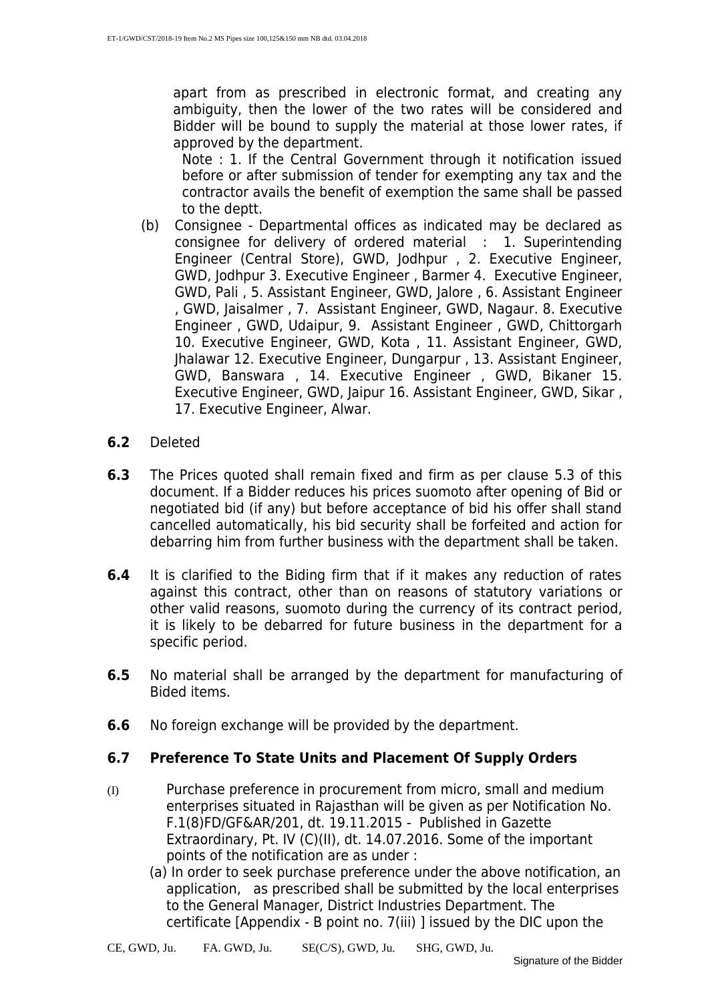apart from as prescribed in electronic format, and creating any ambiguity, then the lower of the two rates will be considered and Bidder will be bound to supply the material at those lower rates, if approved by the department.

Note : 1. If the Central Government through it notification issued before or after submission of tender for exempting any tax and the contractor avails the benefit of exemption the same shall be passed to the deptt.

- (b) Consignee Departmental offices as indicated may be declared as consignee for delivery of ordered material : 1. Superintending Engineer (Central Store), GWD, Jodhpur , 2. Executive Engineer, GWD, Jodhpur 3. Executive Engineer , Barmer 4. Executive Engineer, GWD, Pali , 5. Assistant Engineer, GWD, Jalore , 6. Assistant Engineer , GWD, Jaisalmer , 7. Assistant Engineer, GWD, Nagaur. 8. Executive Engineer , GWD, Udaipur, 9. Assistant Engineer , GWD, Chittorgarh 10. Executive Engineer, GWD, Kota , 11. Assistant Engineer, GWD, Jhalawar 12. Executive Engineer, Dungarpur , 13. Assistant Engineer, GWD, Banswara , 14. Executive Engineer , GWD, Bikaner 15. Executive Engineer, GWD, Jaipur 16. Assistant Engineer, GWD, Sikar , 17. Executive Engineer, Alwar.
- **6.2** Deleted
- **6.3** The Prices quoted shall remain fixed and firm as per clause 5.3 of this document. If a Bidder reduces his prices suomoto after opening of Bid or negotiated bid (if any) but before acceptance of bid his offer shall stand cancelled automatically, his bid security shall be forfeited and action for debarring him from further business with the department shall be taken.
- **6.4** It is clarified to the Biding firm that if it makes any reduction of rates against this contract, other than on reasons of statutory variations or other valid reasons, suomoto during the currency of its contract period, it is likely to be debarred for future business in the department for a specific period.
- **6.5** No material shall be arranged by the department for manufacturing of Bided items.
- **6.6** No foreign exchange will be provided by the department.

#### **6.7 Preference To State Units and Placement Of Supply Orders**

- (I) Purchase preference in procurement from micro, small and medium enterprises situated in Rajasthan will be given as per Notification No. F.1(8)FD/GF&AR/201, dt. 19.11.2015 - Published in Gazette Extraordinary, Pt. IV (C)(II), dt. 14.07.2016. Some of the important points of the notification are as under :
	- (a) In order to seek purchase preference under the above notification, an application, as prescribed shall be submitted by the local enterprises to the General Manager, District Industries Department. The certificate [Appendix - B point no. 7(iii) ] issued by the DIC upon the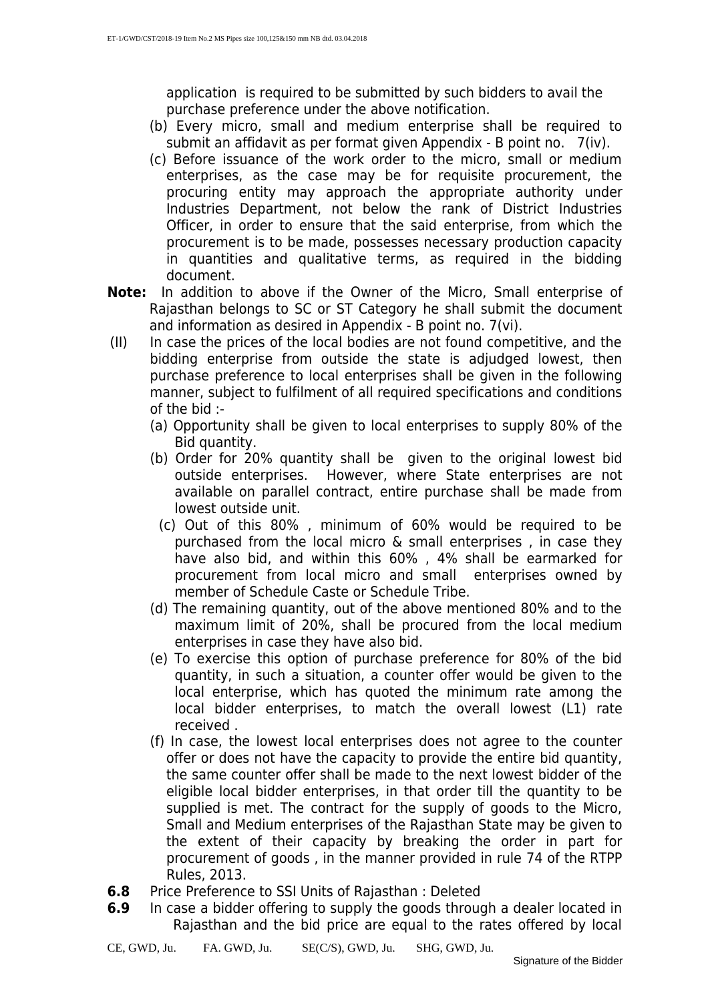application is required to be submitted by such bidders to avail the purchase preference under the above notification.

- (b) Every micro, small and medium enterprise shall be required to submit an affidavit as per format given Appendix - B point no. 7(iv).
- (c) Before issuance of the work order to the micro, small or medium enterprises, as the case may be for requisite procurement, the procuring entity may approach the appropriate authority under Industries Department, not below the rank of District Industries Officer, in order to ensure that the said enterprise, from which the procurement is to be made, possesses necessary production capacity in quantities and qualitative terms, as required in the bidding document.
- **Note:** In addition to above if the Owner of the Micro, Small enterprise of Rajasthan belongs to SC or ST Category he shall submit the document and information as desired in Appendix - B point no. 7(vi).
- (II) In case the prices of the local bodies are not found competitive, and the bidding enterprise from outside the state is adjudged lowest, then purchase preference to local enterprises shall be given in the following manner, subject to fulfilment of all required specifications and conditions of the bid :-
	- (a) Opportunity shall be given to local enterprises to supply 80% of the Bid quantity.
	- (b) Order for 20% quantity shall be given to the original lowest bid outside enterprises. However, where State enterprises are not available on parallel contract, entire purchase shall be made from lowest outside unit.
		- (c) Out of this 80% , minimum of 60% would be required to be purchased from the local micro & small enterprises , in case they have also bid, and within this 60% , 4% shall be earmarked for procurement from local micro and small enterprises owned by member of Schedule Caste or Schedule Tribe.
	- (d) The remaining quantity, out of the above mentioned 80% and to the maximum limit of 20%, shall be procured from the local medium enterprises in case they have also bid.
	- (e) To exercise this option of purchase preference for 80% of the bid quantity, in such a situation, a counter offer would be given to the local enterprise, which has quoted the minimum rate among the local bidder enterprises, to match the overall lowest (L1) rate received .
	- (f) In case, the lowest local enterprises does not agree to the counter offer or does not have the capacity to provide the entire bid quantity, the same counter offer shall be made to the next lowest bidder of the eligible local bidder enterprises, in that order till the quantity to be supplied is met. The contract for the supply of goods to the Micro, Small and Medium enterprises of the Rajasthan State may be given to the extent of their capacity by breaking the order in part for procurement of goods , in the manner provided in rule 74 of the RTPP Rules, 2013.
- **6.8** Price Preference to SSI Units of Rajasthan : Deleted
- **6.9** In case a bidder offering to supply the goods through a dealer located in Rajasthan and the bid price are equal to the rates offered by local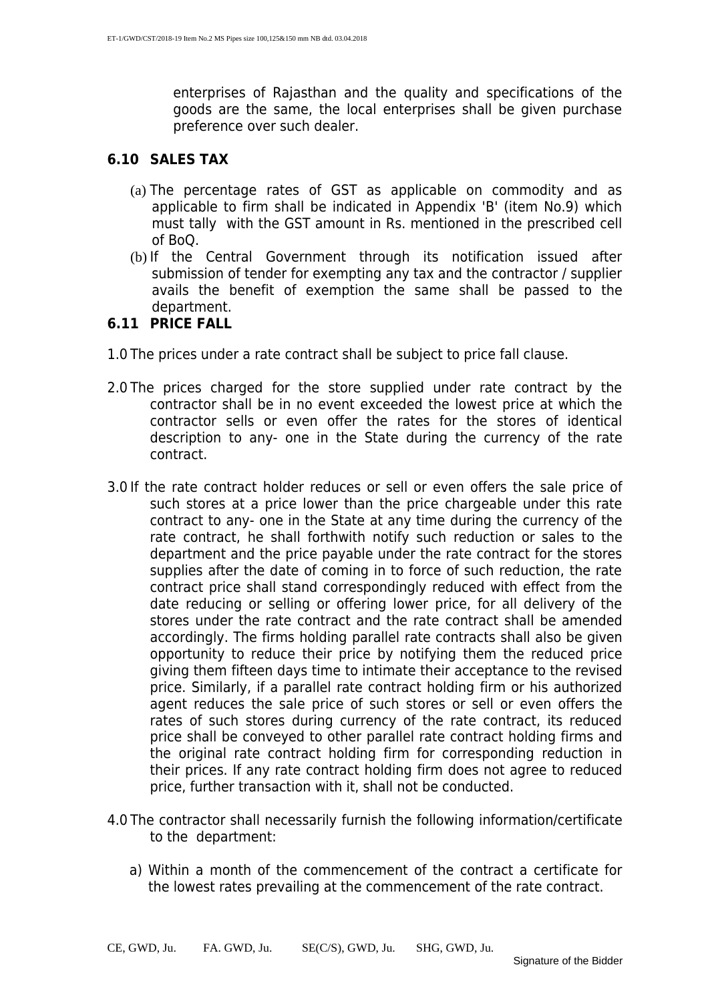enterprises of Rajasthan and the quality and specifications of the goods are the same, the local enterprises shall be given purchase preference over such dealer.

#### **6.10 SALES TAX**

- (a) The percentage rates of GST as applicable on commodity and as applicable to firm shall be indicated in Appendix 'B' (item No.9) which must tally with the GST amount in Rs. mentioned in the prescribed cell of BoQ.
- (b) If the Central Government through its notification issued after submission of tender for exempting any tax and the contractor / supplier avails the benefit of exemption the same shall be passed to the department.

#### **6.11 PRICE FALL**

- 1.0 The prices under a rate contract shall be subject to price fall clause.
- 2.0 The prices charged for the store supplied under rate contract by the contractor shall be in no event exceeded the lowest price at which the contractor sells or even offer the rates for the stores of identical description to any- one in the State during the currency of the rate contract.
- 3.0 If the rate contract holder reduces or sell or even offers the sale price of such stores at a price lower than the price chargeable under this rate contract to any- one in the State at any time during the currency of the rate contract, he shall forthwith notify such reduction or sales to the department and the price payable under the rate contract for the stores supplies after the date of coming in to force of such reduction, the rate contract price shall stand correspondingly reduced with effect from the date reducing or selling or offering lower price, for all delivery of the stores under the rate contract and the rate contract shall be amended accordingly. The firms holding parallel rate contracts shall also be given opportunity to reduce their price by notifying them the reduced price giving them fifteen days time to intimate their acceptance to the revised price. Similarly, if a parallel rate contract holding firm or his authorized agent reduces the sale price of such stores or sell or even offers the rates of such stores during currency of the rate contract, its reduced price shall be conveyed to other parallel rate contract holding firms and the original rate contract holding firm for corresponding reduction in their prices. If any rate contract holding firm does not agree to reduced price, further transaction with it, shall not be conducted.
- 4.0 The contractor shall necessarily furnish the following information/certificate to the department:
	- a) Within a month of the commencement of the contract a certificate for the lowest rates prevailing at the commencement of the rate contract.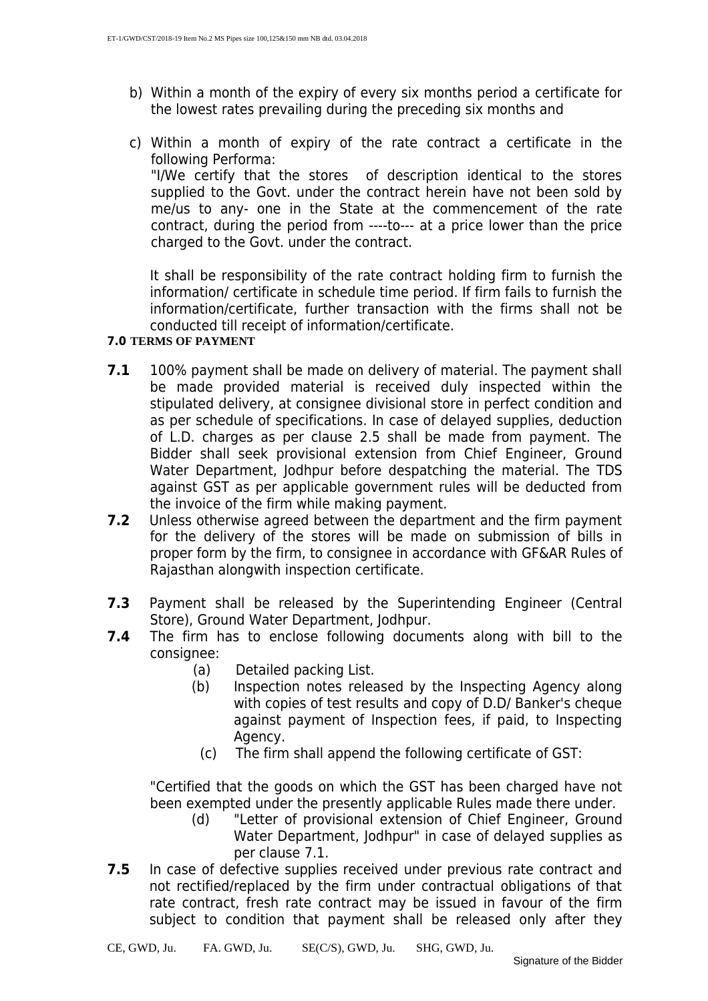- b) Within a month of the expiry of every six months period a certificate for the lowest rates prevailing during the preceding six months and
- c) Within a month of expiry of the rate contract a certificate in the following Performa: "I/We certify that the stores of description identical to the stores supplied to the Govt. under the contract herein have not been sold by me/us to any- one in the State at the commencement of the rate contract, during the period from ----to--- at a price lower than the price charged to the Govt. under the contract.

It shall be responsibility of the rate contract holding firm to furnish the information/ certificate in schedule time period. If firm fails to furnish the information/certificate, further transaction with the firms shall not be conducted till receipt of information/certificate.

#### **7.0 TERMS OF PAYMENT**

- **7.1** 100% payment shall be made on delivery of material. The payment shall be made provided material is received duly inspected within the stipulated delivery, at consignee divisional store in perfect condition and as per schedule of specifications. In case of delayed supplies, deduction of L.D. charges as per clause 2.5 shall be made from payment. The Bidder shall seek provisional extension from Chief Engineer, Ground Water Department, Jodhpur before despatching the material. The TDS against GST as per applicable government rules will be deducted from the invoice of the firm while making payment.
- **7.2** Unless otherwise agreed between the department and the firm payment for the delivery of the stores will be made on submission of bills in proper form by the firm, to consignee in accordance with GF&AR Rules of Rajasthan alongwith inspection certificate.
- **7.3** Payment shall be released by the Superintending Engineer (Central Store), Ground Water Department, Jodhpur.
- **7.4** The firm has to enclose following documents along with bill to the consignee:
	- (a) Detailed packing List.
	- (b) Inspection notes released by the Inspecting Agency along with copies of test results and copy of D.D/ Banker's cheque against payment of Inspection fees, if paid, to Inspecting Agency.
		- (c) The firm shall append the following certificate of GST:

"Certified that the goods on which the GST has been charged have not been exempted under the presently applicable Rules made there under.

- (d) "Letter of provisional extension of Chief Engineer, Ground Water Department, Jodhpur" in case of delayed supplies as per clause 7.1.
- **7.5** In case of defective supplies received under previous rate contract and not rectified/replaced by the firm under contractual obligations of that rate contract, fresh rate contract may be issued in favour of the firm subject to condition that payment shall be released only after they

CE, GWD, Ju. FA. GWD, Ju. SE(C/S), GWD, Ju. SHG, GWD, Ju.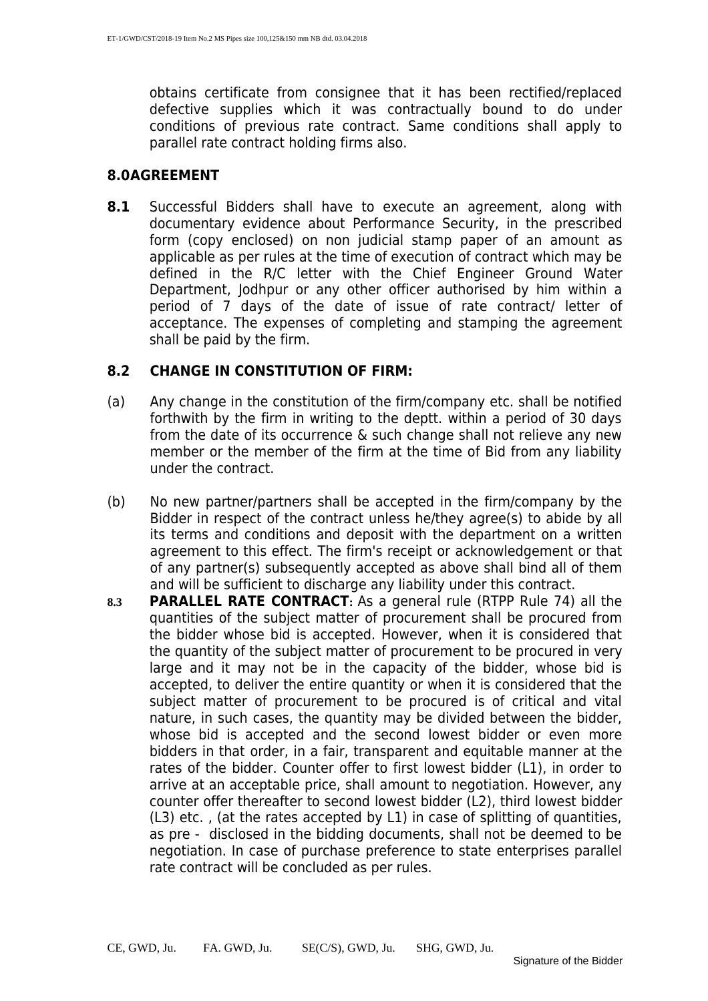obtains certificate from consignee that it has been rectified/replaced defective supplies which it was contractually bound to do under conditions of previous rate contract. Same conditions shall apply to parallel rate contract holding firms also.

#### **8.0AGREEMENT**

**8.1** Successful Bidders shall have to execute an agreement, along with documentary evidence about Performance Security, in the prescribed form (copy enclosed) on non judicial stamp paper of an amount as applicable as per rules at the time of execution of contract which may be defined in the R/C letter with the Chief Engineer Ground Water Department, Jodhpur or any other officer authorised by him within a period of 7 days of the date of issue of rate contract/ letter of acceptance. The expenses of completing and stamping the agreement shall be paid by the firm.

#### **8.2 CHANGE IN CONSTITUTION OF FIRM:**

- (a) Any change in the constitution of the firm/company etc. shall be notified forthwith by the firm in writing to the deptt. within a period of 30 days from the date of its occurrence & such change shall not relieve any new member or the member of the firm at the time of Bid from any liability under the contract.
- (b) No new partner/partners shall be accepted in the firm/company by the Bidder in respect of the contract unless he/they agree(s) to abide by all its terms and conditions and deposit with the department on a written agreement to this effect. The firm's receipt or acknowledgement or that of any partner(s) subsequently accepted as above shall bind all of them and will be sufficient to discharge any liability under this contract.
- **8.3 PARALLEL RATE CONTRACT:** As a general rule (RTPP Rule 74) all the quantities of the subject matter of procurement shall be procured from the bidder whose bid is accepted. However, when it is considered that the quantity of the subject matter of procurement to be procured in very large and it may not be in the capacity of the bidder, whose bid is accepted, to deliver the entire quantity or when it is considered that the subject matter of procurement to be procured is of critical and vital nature, in such cases, the quantity may be divided between the bidder, whose bid is accepted and the second lowest bidder or even more bidders in that order, in a fair, transparent and equitable manner at the rates of the bidder. Counter offer to first lowest bidder (L1), in order to arrive at an acceptable price, shall amount to negotiation. However, any counter offer thereafter to second lowest bidder (L2), third lowest bidder (L3) etc. , (at the rates accepted by L1) in case of splitting of quantities, as pre - disclosed in the bidding documents, shall not be deemed to be negotiation. In case of purchase preference to state enterprises parallel rate contract will be concluded as per rules.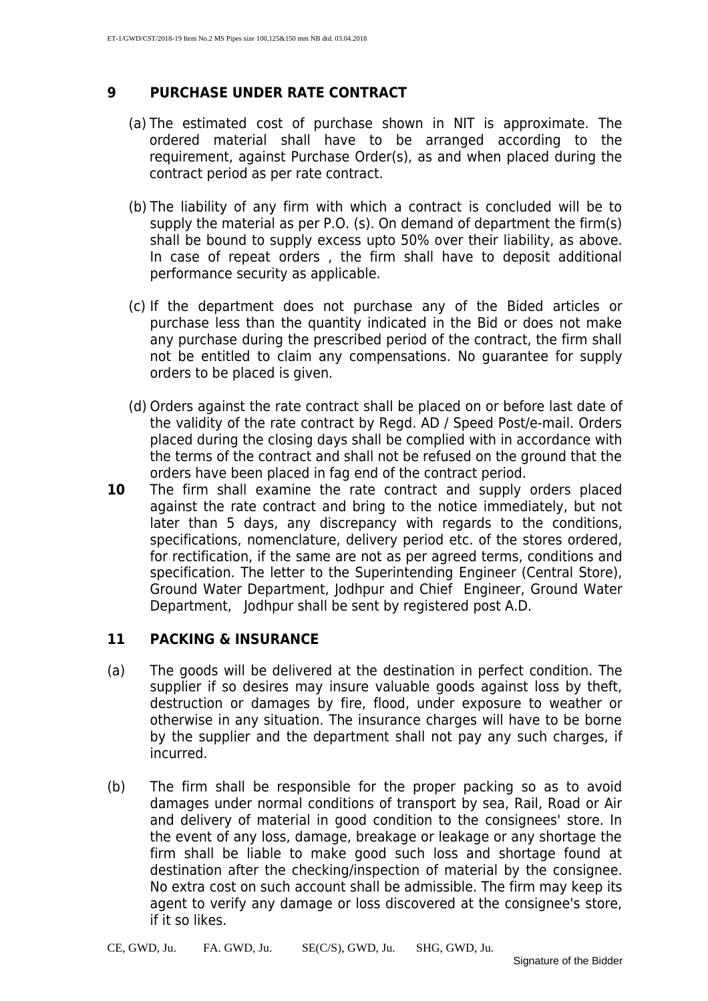#### **9 PURCHASE UNDER RATE CONTRACT**

- (a) The estimated cost of purchase shown in NIT is approximate. The ordered material shall have to be arranged according to the requirement, against Purchase Order(s), as and when placed during the contract period as per rate contract.
- (b) The liability of any firm with which a contract is concluded will be to supply the material as per P.O. (s). On demand of department the firm(s) shall be bound to supply excess upto 50% over their liability, as above. In case of repeat orders , the firm shall have to deposit additional performance security as applicable.
- (c) If the department does not purchase any of the Bided articles or purchase less than the quantity indicated in the Bid or does not make any purchase during the prescribed period of the contract, the firm shall not be entitled to claim any compensations. No guarantee for supply orders to be placed is given.
- (d) Orders against the rate contract shall be placed on or before last date of the validity of the rate contract by Regd. AD / Speed Post/e-mail. Orders placed during the closing days shall be complied with in accordance with the terms of the contract and shall not be refused on the ground that the orders have been placed in fag end of the contract period.
- **10** The firm shall examine the rate contract and supply orders placed against the rate contract and bring to the notice immediately, but not later than 5 days, any discrepancy with regards to the conditions, specifications, nomenclature, delivery period etc. of the stores ordered, for rectification, if the same are not as per agreed terms, conditions and specification. The letter to the Superintending Engineer (Central Store), Ground Water Department, Jodhpur and Chief Engineer, Ground Water Department, Jodhpur shall be sent by registered post A.D.

#### **11 PACKING & INSURANCE**

- (a) The goods will be delivered at the destination in perfect condition. The supplier if so desires may insure valuable goods against loss by theft, destruction or damages by fire, flood, under exposure to weather or otherwise in any situation. The insurance charges will have to be borne by the supplier and the department shall not pay any such charges, if incurred.
- (b) The firm shall be responsible for the proper packing so as to avoid damages under normal conditions of transport by sea, Rail, Road or Air and delivery of material in good condition to the consignees' store. In the event of any loss, damage, breakage or leakage or any shortage the firm shall be liable to make good such loss and shortage found at destination after the checking/inspection of material by the consignee. No extra cost on such account shall be admissible. The firm may keep its agent to verify any damage or loss discovered at the consignee's store, if it so likes.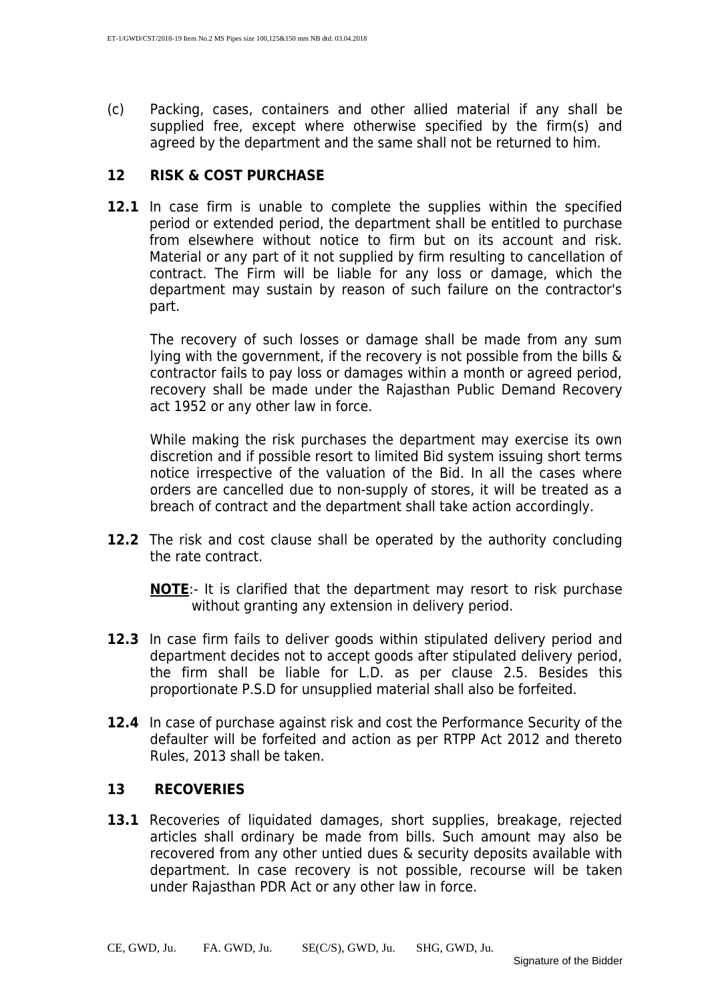(c) Packing, cases, containers and other allied material if any shall be supplied free, except where otherwise specified by the firm(s) and agreed by the department and the same shall not be returned to him.

#### **12 RISK & COST PURCHASE**

**12.1** In case firm is unable to complete the supplies within the specified period or extended period, the department shall be entitled to purchase from elsewhere without notice to firm but on its account and risk. Material or any part of it not supplied by firm resulting to cancellation of contract. The Firm will be liable for any loss or damage, which the department may sustain by reason of such failure on the contractor's part.

The recovery of such losses or damage shall be made from any sum lying with the government, if the recovery is not possible from the bills & contractor fails to pay loss or damages within a month or agreed period, recovery shall be made under the Rajasthan Public Demand Recovery act 1952 or any other law in force.

While making the risk purchases the department may exercise its own discretion and if possible resort to limited Bid system issuing short terms notice irrespective of the valuation of the Bid. In all the cases where orders are cancelled due to non-supply of stores, it will be treated as a breach of contract and the department shall take action accordingly.

**12.2** The risk and cost clause shall be operated by the authority concluding the rate contract.

**NOTE**:- It is clarified that the department may resort to risk purchase without granting any extension in delivery period.

- **12.3** In case firm fails to deliver goods within stipulated delivery period and department decides not to accept goods after stipulated delivery period, the firm shall be liable for L.D. as per clause 2.5. Besides this proportionate P.S.D for unsupplied material shall also be forfeited.
- **12.4** In case of purchase against risk and cost the Performance Security of the defaulter will be forfeited and action as per RTPP Act 2012 and thereto Rules, 2013 shall be taken.

#### **13 RECOVERIES**

13.1 Recoveries of liquidated damages, short supplies, breakage, rejected articles shall ordinary be made from bills. Such amount may also be recovered from any other untied dues & security deposits available with department. In case recovery is not possible, recourse will be taken under Rajasthan PDR Act or any other law in force.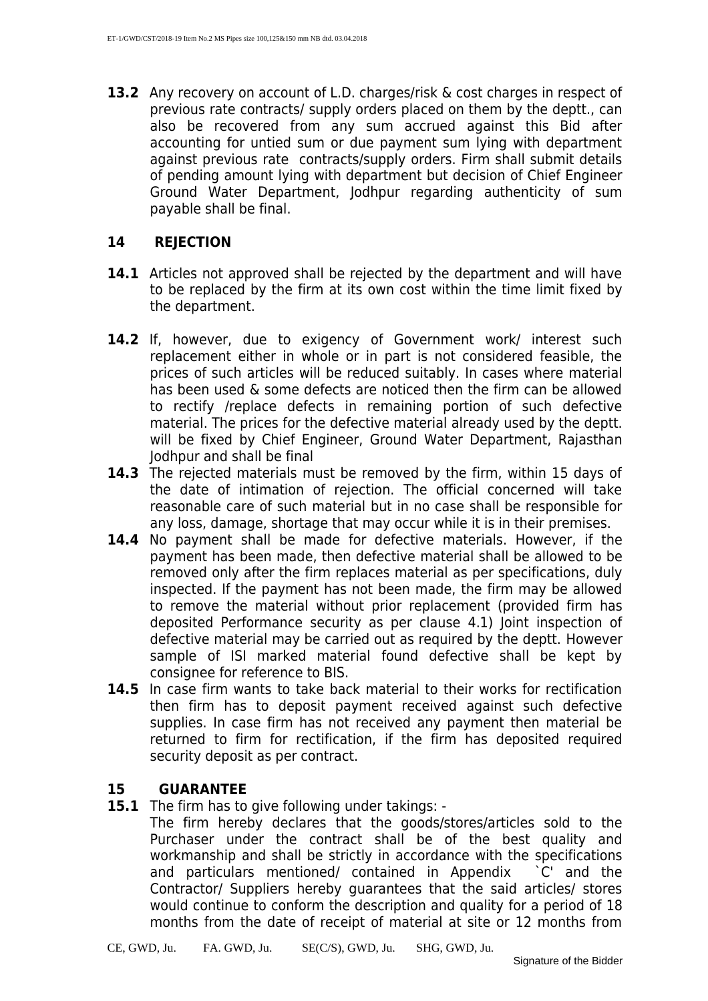**13.2** Any recovery on account of L.D. charges/risk & cost charges in respect of previous rate contracts/ supply orders placed on them by the deptt., can also be recovered from any sum accrued against this Bid after accounting for untied sum or due payment sum lying with department against previous rate contracts/supply orders. Firm shall submit details of pending amount lying with department but decision of Chief Engineer Ground Water Department, Jodhpur regarding authenticity of sum payable shall be final.

#### **14 REJECTION**

- **14.1** Articles not approved shall be rejected by the department and will have to be replaced by the firm at its own cost within the time limit fixed by the department.
- **14.2** If, however, due to exigency of Government work/ interest such replacement either in whole or in part is not considered feasible, the prices of such articles will be reduced suitably. In cases where material has been used & some defects are noticed then the firm can be allowed to rectify /replace defects in remaining portion of such defective material. The prices for the defective material already used by the deptt. will be fixed by Chief Engineer, Ground Water Department, Rajasthan Jodhpur and shall be final
- **14.3** The rejected materials must be removed by the firm, within 15 days of the date of intimation of rejection. The official concerned will take reasonable care of such material but in no case shall be responsible for any loss, damage, shortage that may occur while it is in their premises.
- **14.4** No payment shall be made for defective materials. However, if the payment has been made, then defective material shall be allowed to be removed only after the firm replaces material as per specifications, duly inspected. If the payment has not been made, the firm may be allowed to remove the material without prior replacement (provided firm has deposited Performance security as per clause 4.1) Joint inspection of defective material may be carried out as required by the deptt. However sample of ISI marked material found defective shall be kept by consignee for reference to BIS.
- **14.5** In case firm wants to take back material to their works for rectification then firm has to deposit payment received against such defective supplies. In case firm has not received any payment then material be returned to firm for rectification, if the firm has deposited required security deposit as per contract.

#### **15 GUARANTEE**

**15.1** The firm has to give following under takings: -

The firm hereby declares that the goods/stores/articles sold to the Purchaser under the contract shall be of the best quality and workmanship and shall be strictly in accordance with the specifications and particulars mentioned/ contained in Appendix `C' and the Contractor/ Suppliers hereby guarantees that the said articles/ stores would continue to conform the description and quality for a period of 18 months from the date of receipt of material at site or 12 months from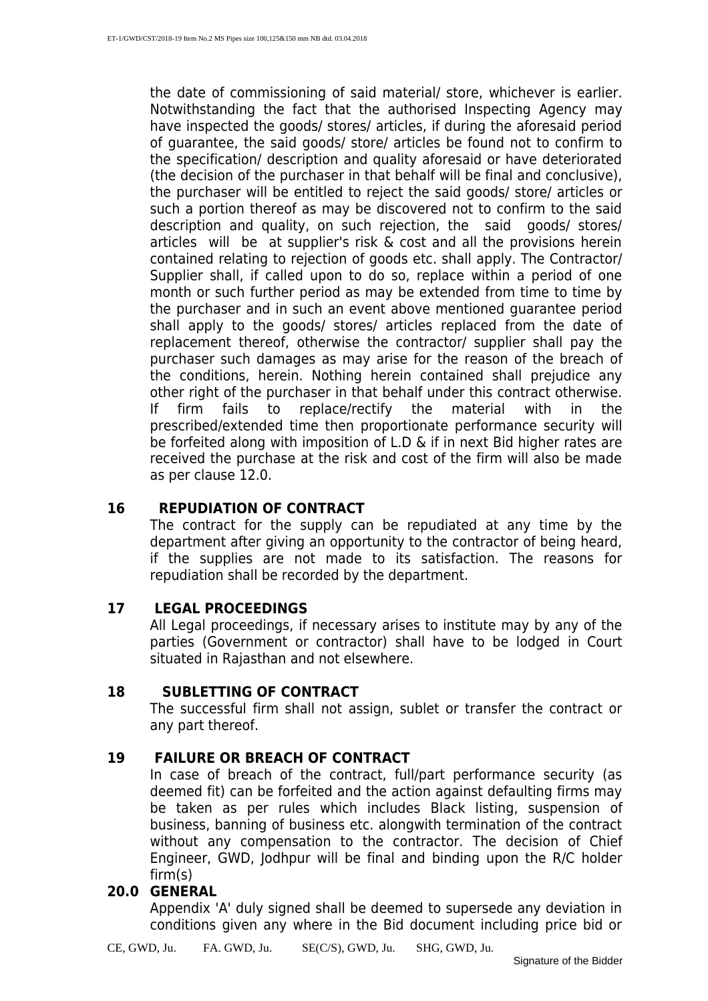the date of commissioning of said material/ store, whichever is earlier. Notwithstanding the fact that the authorised Inspecting Agency may have inspected the goods/ stores/ articles, if during the aforesaid period of guarantee, the said goods/ store/ articles be found not to confirm to the specification/ description and quality aforesaid or have deteriorated (the decision of the purchaser in that behalf will be final and conclusive), the purchaser will be entitled to reject the said goods/ store/ articles or such a portion thereof as may be discovered not to confirm to the said description and quality, on such rejection, the said goods/ stores/ articles will be at supplier's risk & cost and all the provisions herein contained relating to rejection of goods etc. shall apply. The Contractor/ Supplier shall, if called upon to do so, replace within a period of one month or such further period as may be extended from time to time by the purchaser and in such an event above mentioned guarantee period shall apply to the goods/ stores/ articles replaced from the date of replacement thereof, otherwise the contractor/ supplier shall pay the purchaser such damages as may arise for the reason of the breach of the conditions, herein. Nothing herein contained shall prejudice any other right of the purchaser in that behalf under this contract otherwise. If firm fails to replace/rectify the material with in the prescribed/extended time then proportionate performance security will be forfeited along with imposition of L.D & if in next Bid higher rates are received the purchase at the risk and cost of the firm will also be made as per clause 12.0.

#### **16 REPUDIATION OF CONTRACT**

The contract for the supply can be repudiated at any time by the department after giving an opportunity to the contractor of being heard, if the supplies are not made to its satisfaction. The reasons for repudiation shall be recorded by the department.

#### **17 LEGAL PROCEEDINGS**

All Legal proceedings, if necessary arises to institute may by any of the parties (Government or contractor) shall have to be lodged in Court situated in Rajasthan and not elsewhere.

#### **18 SUBLETTING OF CONTRACT**

The successful firm shall not assign, sublet or transfer the contract or any part thereof.

#### **19 FAILURE OR BREACH OF CONTRACT**

In case of breach of the contract, full/part performance security (as deemed fit) can be forfeited and the action against defaulting firms may be taken as per rules which includes Black listing, suspension of business, banning of business etc. alongwith termination of the contract without any compensation to the contractor. The decision of Chief Engineer, GWD, Jodhpur will be final and binding upon the R/C holder firm(s)

#### **20.0 GENERAL**

Appendix 'A' duly signed shall be deemed to supersede any deviation in conditions given any where in the Bid document including price bid or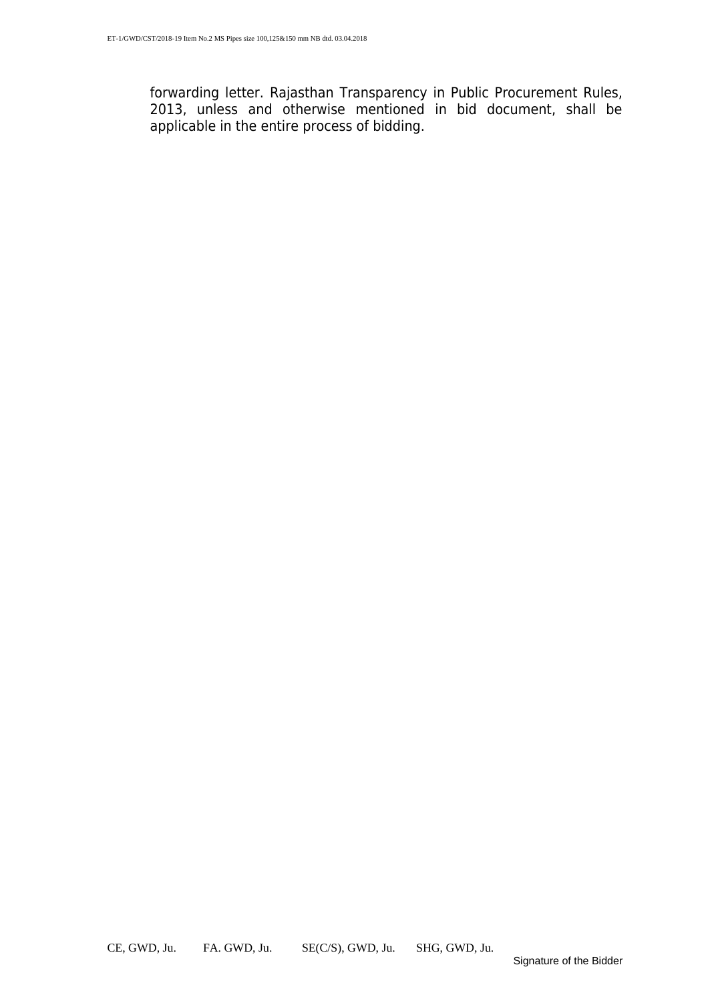forwarding letter. Rajasthan Transparency in Public Procurement Rules, 2013, unless and otherwise mentioned in bid document, shall be applicable in the entire process of bidding.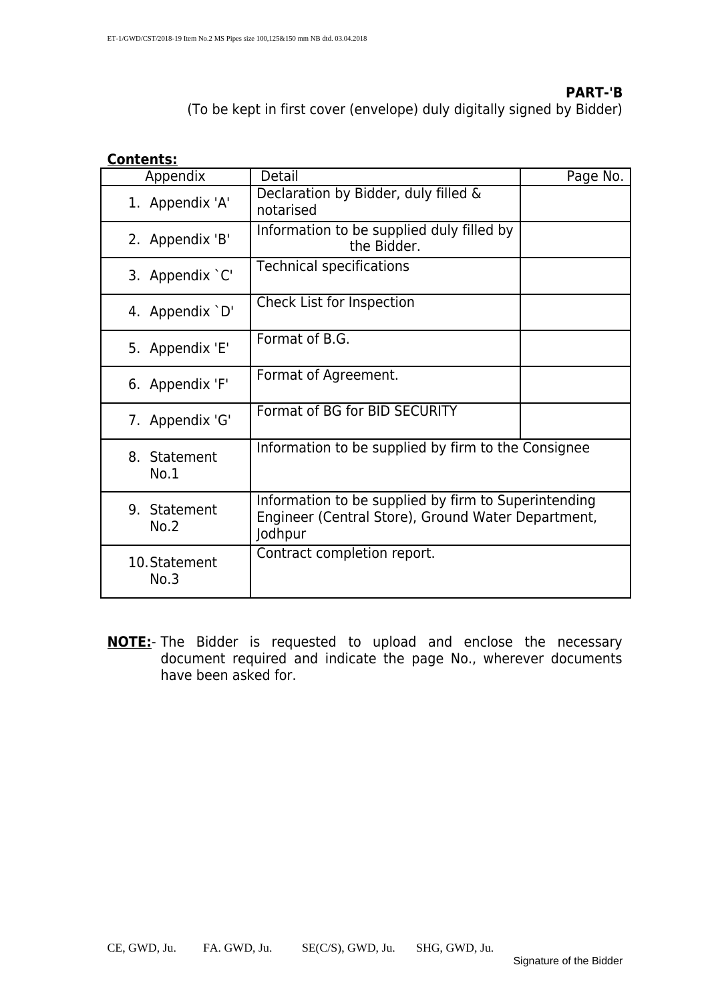#### **PART-'B**

(To be kept in first cover (envelope) duly digitally signed by Bidder)

#### **Contents:**

| Appendix              | Detail                                                                                                                | Page No. |
|-----------------------|-----------------------------------------------------------------------------------------------------------------------|----------|
| 1. Appendix 'A'       | Declaration by Bidder, duly filled &<br>notarised                                                                     |          |
| 2. Appendix 'B'       | Information to be supplied duly filled by<br>the Bidder.                                                              |          |
| 3. Appendix `C'       | <b>Technical specifications</b>                                                                                       |          |
| 4. Appendix `D'       | Check List for Inspection                                                                                             |          |
| 5. Appendix 'E'       | Format of B.G.                                                                                                        |          |
| 6. Appendix 'F'       | Format of Agreement.                                                                                                  |          |
| 7. Appendix 'G'       | Format of BG for BID SECURITY                                                                                         |          |
| 8. Statement<br>No.1  | Information to be supplied by firm to the Consignee                                                                   |          |
| 9. Statement<br>No.2  | Information to be supplied by firm to Superintending<br>Engineer (Central Store), Ground Water Department,<br>Jodhpur |          |
| 10. Statement<br>No.3 | Contract completion report.                                                                                           |          |

**NOTE:**- The Bidder is requested to upload and enclose the necessary document required and indicate the page No., wherever documents have been asked for.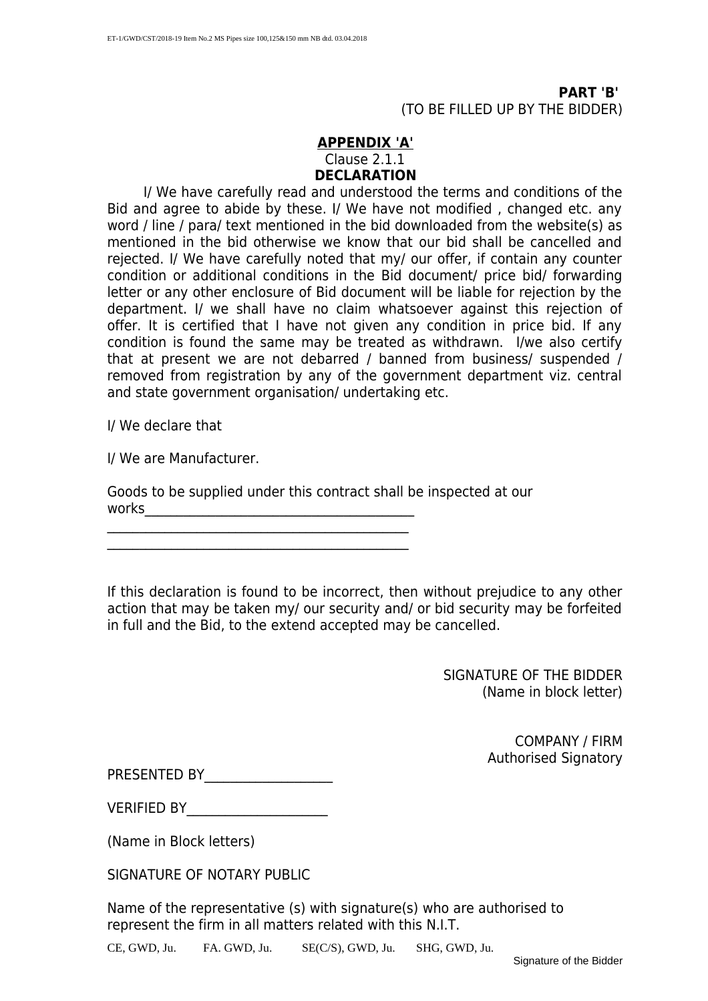**PART 'B'** (TO BE FILLED UP BY THE BIDDER)

#### **APPENDIX 'A'** Clause 2.1.1 **DECLARATION**

 I/ We have carefully read and understood the terms and conditions of the Bid and agree to abide by these. I/ We have not modified , changed etc. any word / line / para/ text mentioned in the bid downloaded from the website(s) as mentioned in the bid otherwise we know that our bid shall be cancelled and rejected. I/ We have carefully noted that my/ our offer, if contain any counter condition or additional conditions in the Bid document/ price bid/ forwarding letter or any other enclosure of Bid document will be liable for rejection by the department. I/ we shall have no claim whatsoever against this rejection of offer. It is certified that I have not given any condition in price bid. If any condition is found the same may be treated as withdrawn. I/we also certify that at present we are not debarred / banned from business/ suspended / removed from registration by any of the government department viz. central and state government organisation/ undertaking etc.

I/ We declare that

I/ We are Manufacturer.

Goods to be supplied under this contract shall be inspected at our  ${\tt works}$ 

 $\mathcal{L}_\text{max}$  , and the set of the set of the set of the set of the set of the set of the set of the set of the set of the set of the set of the set of the set of the set of the set of the set of the set of the set of the  $\mathcal{L}_\text{max}$  , and the set of the set of the set of the set of the set of the set of the set of the set of the set of the set of the set of the set of the set of the set of the set of the set of the set of the set of the

If this declaration is found to be incorrect, then without prejudice to any other action that may be taken my/ our security and/ or bid security may be forfeited in full and the Bid, to the extend accepted may be cancelled.

> SIGNATURE OF THE BIDDER (Name in block letter)

> > COMPANY / FIRM Authorised Signatory

PRESENTED BY

VERIFIED BY

(Name in Block letters)

SIGNATURE OF NOTARY PUBLIC

Name of the representative (s) with signature(s) who are authorised to represent the firm in all matters related with this N.I.T.

CE, GWD, Ju. FA. GWD, Ju. SE(C/S), GWD, Ju. SHG, GWD, Ju.

Signature of the Bidder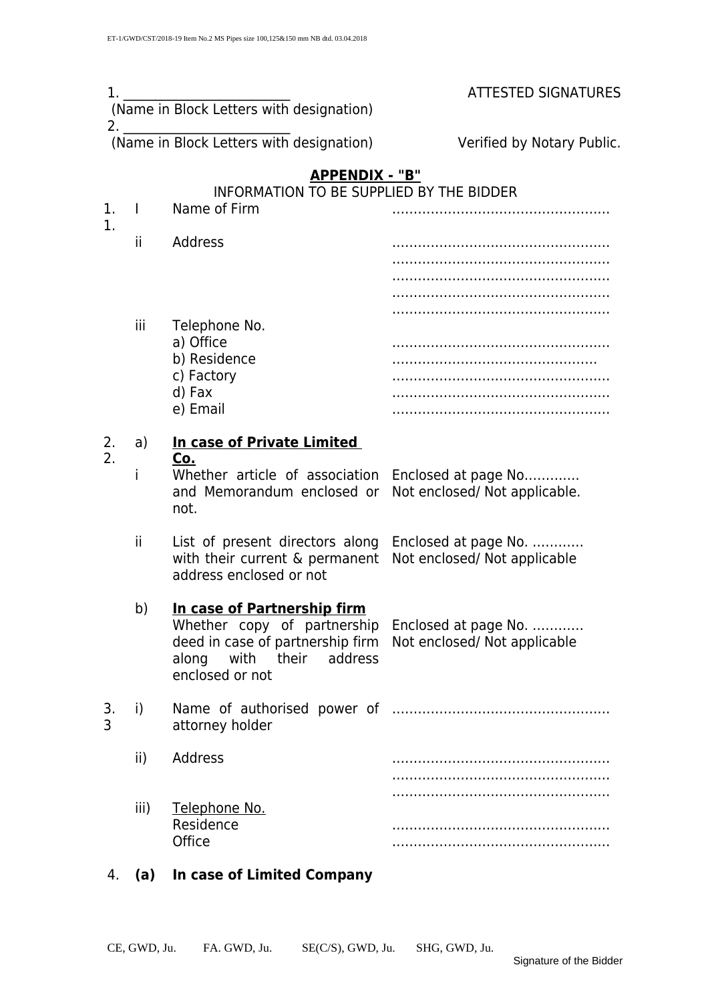| 1.       |              | (Name in Block Letters with designation)                                                                                                         | <b>ATTESTED SIGNATURES</b>                           |
|----------|--------------|--------------------------------------------------------------------------------------------------------------------------------------------------|------------------------------------------------------|
| 2.       |              | (Name in Block Letters with designation)                                                                                                         | Verified by Notary Public.                           |
|          |              | APPENDIX - "B"<br>INFORMATION TO BE SUPPLIED BY THE BIDDER                                                                                       |                                                      |
| 1.       | $\mathbf{I}$ | Name of Firm                                                                                                                                     |                                                      |
| 1.       | ïi           | Address                                                                                                                                          |                                                      |
|          |              |                                                                                                                                                  |                                                      |
|          | iii          | Telephone No.<br>a) Office                                                                                                                       |                                                      |
|          |              | b) Residence<br>c) Factory<br>d) Fax                                                                                                             |                                                      |
|          |              | e) Email                                                                                                                                         |                                                      |
| 2.<br>2. | a)           | In case of Private Limited<br><u>Co.</u>                                                                                                         |                                                      |
|          | i            | Whether article of association Enclosed at page No<br>and Memorandum enclosed or<br>not.                                                         | Not enclosed/ Not applicable.                        |
|          | ïi           | List of present directors along<br>with their current & permanent<br>address enclosed or not                                                     | Enclosed at page No.<br>Not enclosed/ Not applicable |
|          | b)           | In case of Partnership firm<br>Whether copy of partnership<br>deed in case of partnership firm<br>along with their<br>address<br>enclosed or not | Enclosed at page No.<br>Not enclosed/ Not applicable |
| 3.<br>3  | i)           | attorney holder                                                                                                                                  |                                                      |
|          | ii)          | Address                                                                                                                                          |                                                      |
|          | iii)         | Telephone No.<br>Residence<br>Office                                                                                                             |                                                      |

4. **(a) In case of Limited Company**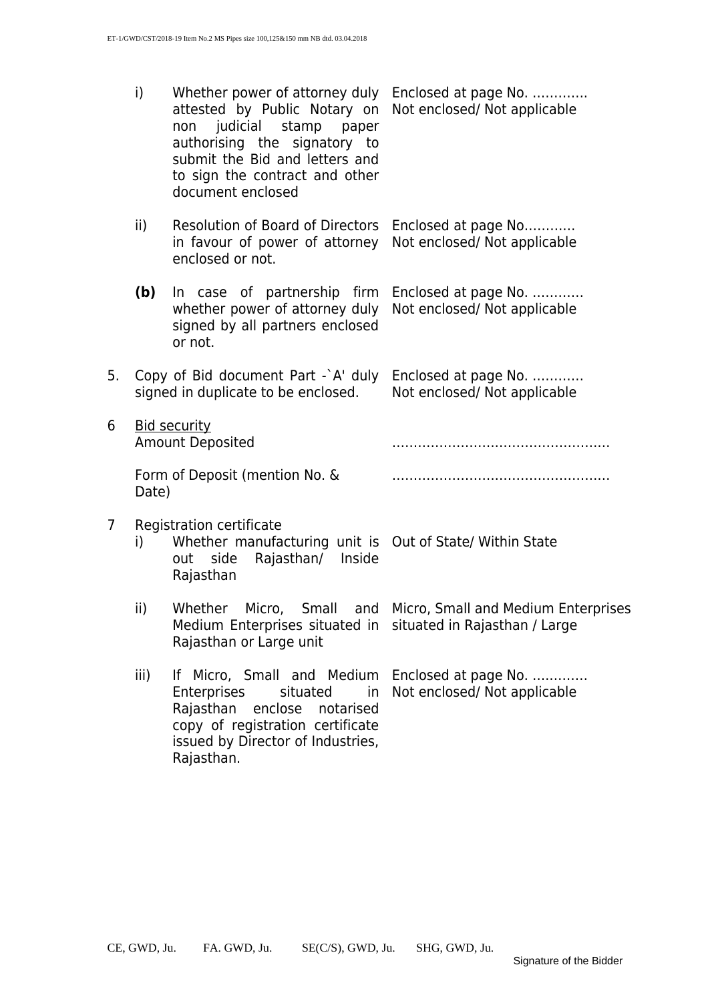|    | i)<br>Whether power of attorney duly Enclosed at page No.<br>attested by Public Notary on Not enclosed/Not applicable<br>non judicial stamp paper<br>authorising the signatory to<br>submit the Bid and letters and<br>to sign the contract and other<br>document enclosed |                                                                                                                                                                                                                     |                                                              |  |  |
|----|----------------------------------------------------------------------------------------------------------------------------------------------------------------------------------------------------------------------------------------------------------------------------|---------------------------------------------------------------------------------------------------------------------------------------------------------------------------------------------------------------------|--------------------------------------------------------------|--|--|
|    | ii)                                                                                                                                                                                                                                                                        | Resolution of Board of Directors Enclosed at page No<br>in favour of power of attorney Not enclosed/Not applicable<br>enclosed or not.                                                                              |                                                              |  |  |
|    | (b)                                                                                                                                                                                                                                                                        | In case of partnership firm Enclosed at page No.<br>whether power of attorney duly Not enclosed/Not applicable<br>signed by all partners enclosed<br>or not.                                                        |                                                              |  |  |
| 5. | Copy of Bid document Part -`A' duly Enclosed at page No.<br>signed in duplicate to be enclosed.                                                                                                                                                                            |                                                                                                                                                                                                                     | Not enclosed/ Not applicable                                 |  |  |
| 6  | <b>Bid security</b><br><b>Amount Deposited</b>                                                                                                                                                                                                                             |                                                                                                                                                                                                                     |                                                              |  |  |
|    | Date)                                                                                                                                                                                                                                                                      | Form of Deposit (mention No. &                                                                                                                                                                                      |                                                              |  |  |
| 7  | Registration certificate<br>Whether manufacturing unit is Out of State/ Within State<br>i)<br>Rajasthan/ Inside<br>out side<br>Rajasthan                                                                                                                                   |                                                                                                                                                                                                                     |                                                              |  |  |
|    | ii)                                                                                                                                                                                                                                                                        | Medium Enterprises situated in situated in Rajasthan / Large<br>Rajasthan or Large unit                                                                                                                             | Whether Micro, Small and Micro, Small and Medium Enterprises |  |  |
|    | iii)                                                                                                                                                                                                                                                                       | If Micro, Small and Medium Enclosed at page No.<br>situated<br>in<br><b>Enterprises</b><br>Rajasthan<br>enclose<br>notarised<br>copy of registration certificate<br>issued by Director of Industries,<br>Rajasthan. | Not enclosed/ Not applicable                                 |  |  |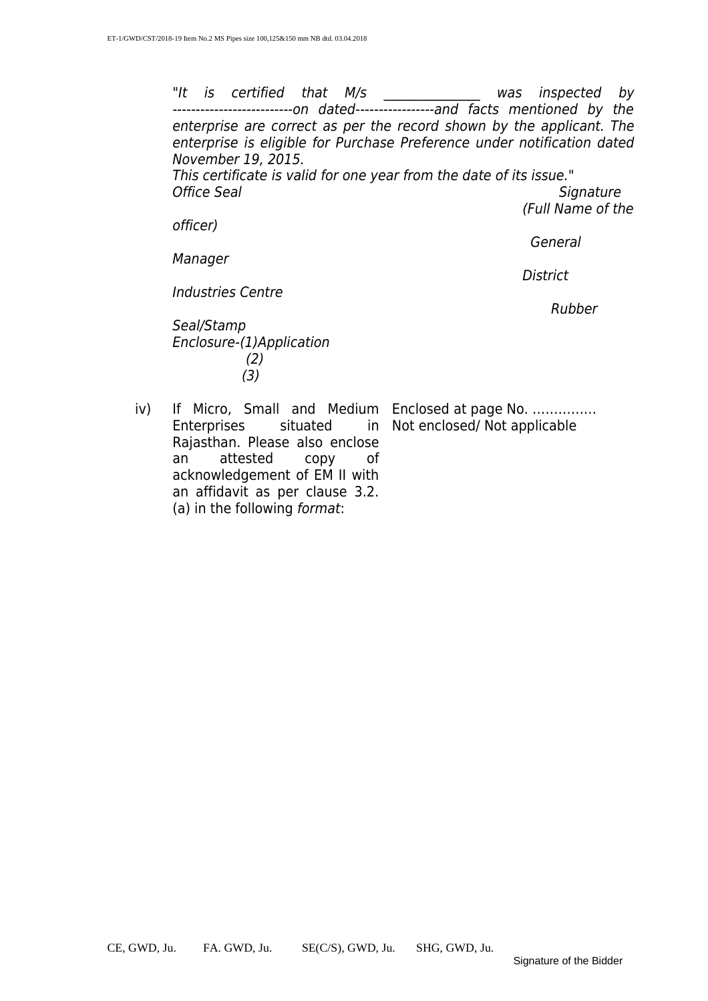"It is certified that M/s and was inspected by ---------------------------on dated------------------and facts mentioned by the enterprise are correct as per the record shown by the applicant. The enterprise is eligible for Purchase Preference under notification dated November 19, 2015. This certificate is valid for one year from the date of its issue." Office Seal Signature (Full Name of the

officer)

General

**District** 

Manager

Industries Centre

en der den andere den den andere genom den andere genom den andere genom den andere genom den andere genom de

Seal/Stamp Enclosure-(1)Application (2) (3)

iv) If Micro, Small and Medium Enclosed at page No. …………… in Not enclosed/ Not applicable

Enterprises situated Rajasthan. Please also enclose an attested copy of acknowledgement of EM II with an affidavit as per clause 3.2. (a) in the following format: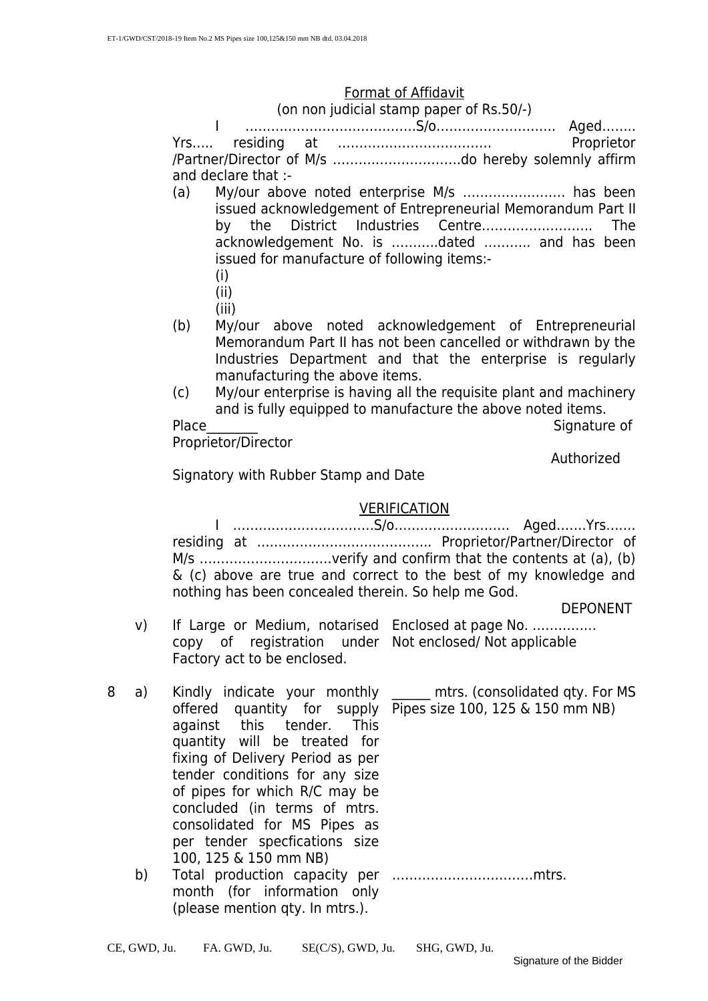#### Format of Affidavit

(on non judicial stamp paper of Rs.50/-)

I ………………………………….S/o………………………. Aged…….. Yrs….. residing at ……………………………… Proprietor /Partner/Director of M/s …………………………do hereby solemnly affirm and declare that :-

- (a) My/our above noted enterprise M/s …………………… has been issued acknowledgement of Entrepreneurial Memorandum Part II by the District Industries Centre…………………….. The acknowledgement No. is ………..dated ……….. and has been issued for manufacture of following items:-
	- (i)
	- (ii)
	- (iii)
- (b) My/our above noted acknowledgement of Entrepreneurial Memorandum Part II has not been cancelled or withdrawn by the Industries Department and that the enterprise is regularly manufacturing the above items.
- (c) My/our enterprise is having all the requisite plant and machinery and is fully equipped to manufacture the above noted items.

Place Signature of Signature of Signature of Signature of Signature of Signature of Signature of Signature of Signature of Signature of Signature of Signature of Signature of Signature of Signature of Signature of Signatur Proprietor/Director

Authorized

Signatory with Rubber Stamp and Date

#### VERIFICATION

I ……………………………S/o……………………… Aged…….Yrs……. residing at ………………………………….. Proprietor/Partner/Director of M/s ………………………….verify and confirm that the contents at (a), (b) & (c) above are true and correct to the best of my knowledge and nothing has been concealed therein. So help me God.

DEPONENT

- v) If Large or Medium, notarised Enclosed at page No. …………… copy of registration under Not enclosed/ Not applicable Factory act to be enclosed.
- 8 a) Kindly indicate your monthly offered quantity for supply Pipes size 100, 125 & 150 mm NB) against this tender. This quantity will be treated for fixing of Delivery Period as per tender conditions for any size of pipes for which R/C may be concluded (in terms of mtrs. consolidated for MS Pipes as per tender specfications size 100, 125 & 150 mm NB)
	- b) Total production capacity per ……………………………mtrs. month (for information only (please mention qty. In mtrs.).

\_\_\_\_\_\_ mtrs. (consolidated qty. For MS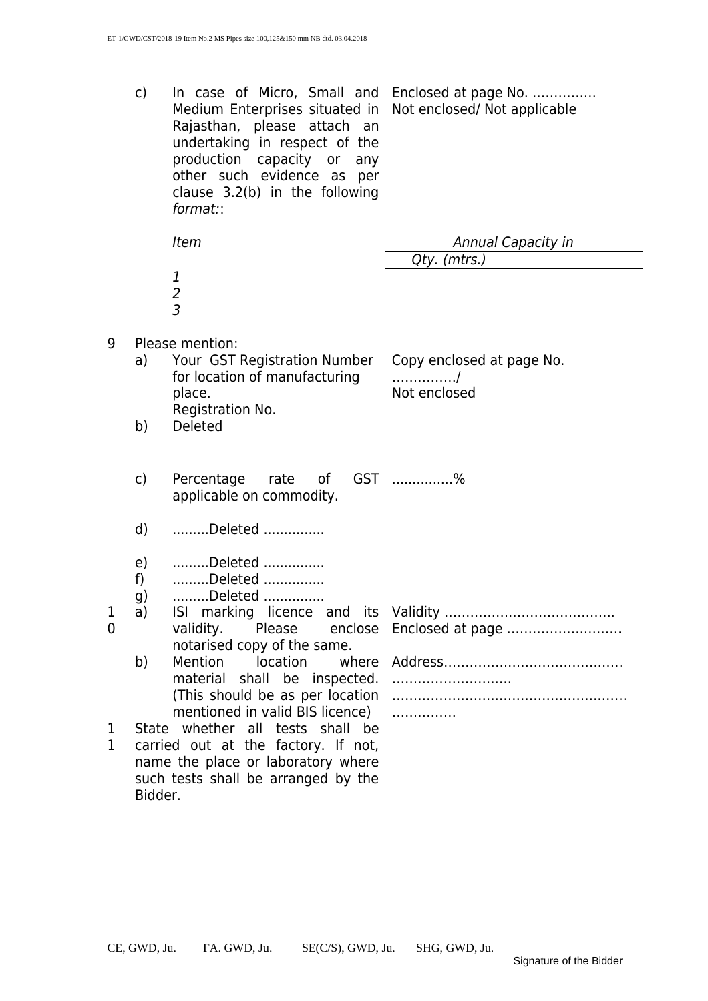c) In case of Micro, Small and Enclosed at page No. …………… Medium Enterprises situated in Not enclosed/ Not applicable Rajasthan, please attach an undertaking in respect of the production capacity or any other such evidence as per clause 3.2(b) in the following format::

|                     |                | <b>Item</b>                                                                                                               | Annual Capacity in                               |
|---------------------|----------------|---------------------------------------------------------------------------------------------------------------------------|--------------------------------------------------|
|                     |                |                                                                                                                           | Qty. (mtrs.)                                     |
|                     |                | $\frac{1}{2}$                                                                                                             |                                                  |
| 9                   | a)             | Please mention:<br>Your GST Registration Number<br>for location of manufacturing<br>place.<br>Registration No.            | Copy enclosed at page No.<br>. /<br>Not enclosed |
|                     | b)             | Deleted                                                                                                                   |                                                  |
|                     | $\mathsf{C}$   | Percentage<br>rate of<br>applicable on commodity.                                                                         | GST %                                            |
|                     | d)             | Deleted                                                                                                                   |                                                  |
|                     | e)<br>f)<br>g) | Deleted<br>Deleted<br>Deleted                                                                                             |                                                  |
| 1<br>$\overline{0}$ | a)             | validity.<br>Please<br>enclose<br>notarised copy of the same.                                                             | Enclosed at page                                 |
|                     | b)             | Mention<br>location<br>material shall be inspected.<br>(This should be as per location<br>mentioned in valid BIS licence) | .                                                |
| 1                   |                | State whether all tests shall be<br>corriad out at the foster of net                                                      |                                                  |

1 1 carried out at the factory. If not, name the place or laboratory where such tests shall be arranged by the Bidder.

1  $\Omega$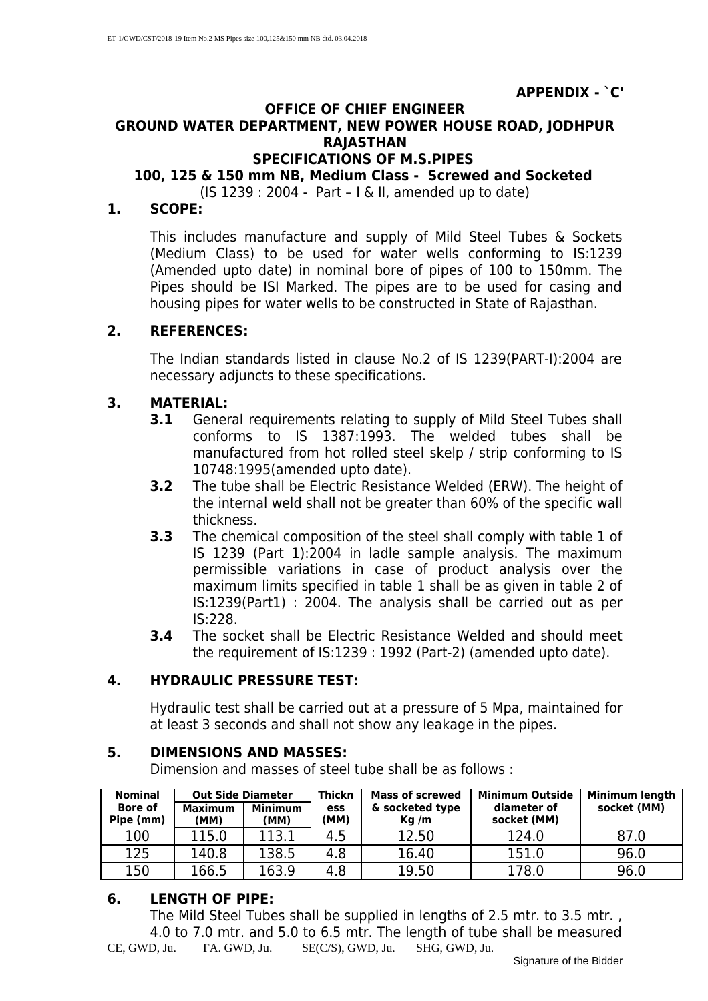#### **APPENDIX - `C'**

#### **OFFICE OF CHIEF ENGINEER GROUND WATER DEPARTMENT, NEW POWER HOUSE ROAD, JODHPUR RAJASTHAN**

#### **SPECIFICATIONS OF M.S.PIPES**

#### **100, 125 & 150 mm NB, Medium Class - Screwed and Socketed**

(IS 1239 : 2004 - Part – I & II, amended up to date)

#### **1. SCOPE:**

This includes manufacture and supply of Mild Steel Tubes & Sockets (Medium Class) to be used for water wells conforming to IS:1239 (Amended upto date) in nominal bore of pipes of 100 to 150mm. The Pipes should be ISI Marked. The pipes are to be used for casing and housing pipes for water wells to be constructed in State of Rajasthan.

#### **2. REFERENCES:**

The Indian standards listed in clause No.2 of IS 1239(PART-I):2004 are necessary adjuncts to these specifications.

#### **3. MATERIAL:**

- **3.1** General requirements relating to supply of Mild Steel Tubes shall conforms to IS 1387:1993. The welded tubes shall be manufactured from hot rolled steel skelp / strip conforming to IS 10748:1995(amended upto date).
- **3.2** The tube shall be Electric Resistance Welded (ERW). The height of the internal weld shall not be greater than 60% of the specific wall thickness.
- **3.3** The chemical composition of the steel shall comply with table 1 of IS 1239 (Part 1):2004 in ladle sample analysis. The maximum permissible variations in case of product analysis over the maximum limits specified in table 1 shall be as given in table 2 of IS:1239(Part1) : 2004. The analysis shall be carried out as per IS:228.
- **3.4** The socket shall be Electric Resistance Welded and should meet the requirement of IS:1239 : 1992 (Part-2) (amended upto date).

#### **4. HYDRAULIC PRESSURE TEST:**

Hydraulic test shall be carried out at a pressure of 5 Mpa, maintained for at least 3 seconds and shall not show any leakage in the pipes.

#### **5. DIMENSIONS AND MASSES:**

Dimension and masses of steel tube shall be as follows :

| <b>Nominal</b>              | <b>Out Side Diameter</b> |                        | <b>Thickn</b> | <b>Mass of screwed</b>  | <b>Minimum Outside</b>     | Minimum length |
|-----------------------------|--------------------------|------------------------|---------------|-------------------------|----------------------------|----------------|
| <b>Bore of</b><br>Pipe (mm) | <b>Maximum</b><br>(MM)   | <b>Minimum</b><br>(MM) | ess<br>(MM)   | & socketed type<br>Kq/m | diameter of<br>socket (MM) | socket (MM)    |
| 100                         | 115.0                    | 113.1                  | 4.5           | 12.50                   | 124.0                      | 87.0           |
| 125                         | 140.8                    | 138.5                  | 4.8           | 16.40                   | 151.0                      | 96.0           |
| 150                         | 166.5                    | 163.9                  | 4.8           | 19.50                   | 178.0                      | 96.0           |

#### **6. LENGTH OF PIPE:**

The Mild Steel Tubes shall be supplied in lengths of 2.5 mtr. to 3.5 mtr., 4.0 to 7.0 mtr. and 5.0 to 6.5 mtr. The length of tube shall be measured CE, GWD, Ju. FA. GWD, Ju. SE(C/S), GWD, Ju. SHG, GWD, Ju.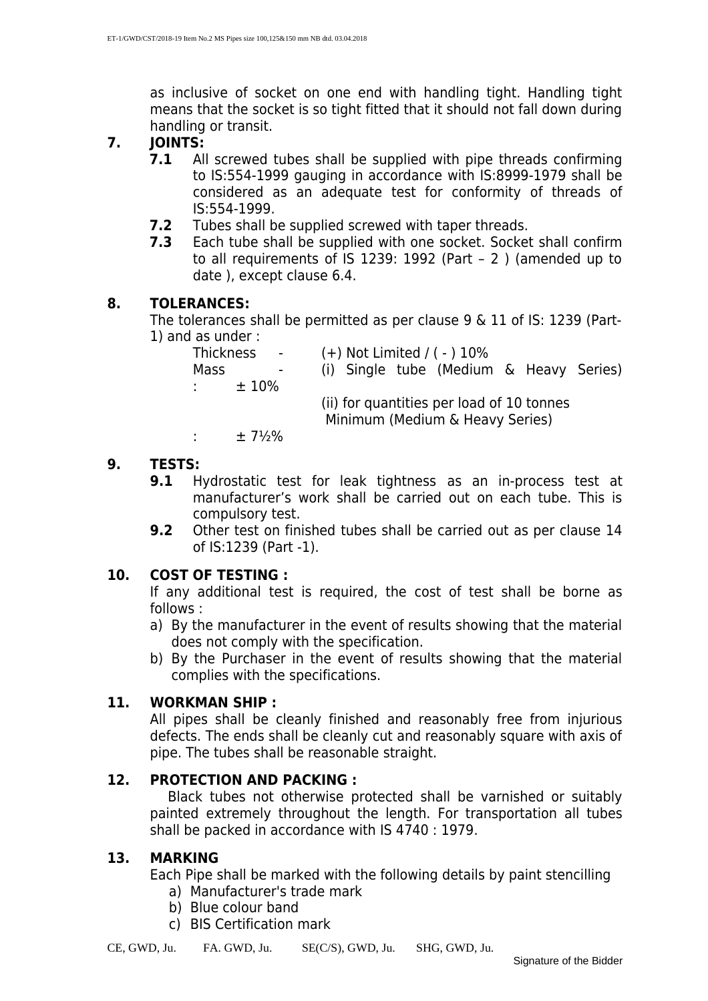as inclusive of socket on one end with handling tight. Handling tight means that the socket is so tight fitted that it should not fall down during handling or transit.

- **7. JOINTS:** 
	- **7.1** All screwed tubes shall be supplied with pipe threads confirming to IS:554-1999 gauging in accordance with IS:8999-1979 shall be considered as an adequate test for conformity of threads of IS:554-1999.
	- **7.2** Tubes shall be supplied screwed with taper threads.
	- **7.3** Each tube shall be supplied with one socket. Socket shall confirm to all requirements of IS 1239: 1992 (Part – 2 ) (amended up to date ), except clause 6.4.

#### **8. TOLERANCES:**

The tolerances shall be permitted as per clause 9 & 11 of IS: 1239 (Part-1) and as under :

| Thickness      | <b>Contract Contract</b> |  | $(+)$ Not Limited / ( $-$ ) 10%                                              |  |  |
|----------------|--------------------------|--|------------------------------------------------------------------------------|--|--|
| Mass           | $\sim$                   |  | (i) Single tube (Medium & Heavy Series)                                      |  |  |
| <b>Alberta</b> | $±10\%$                  |  |                                                                              |  |  |
|                |                          |  | (ii) for quantities per load of 10 tonnes<br>Minimum (Medium & Heavy Series) |  |  |
|                |                          |  |                                                                              |  |  |

:  $\pm 7\frac{1}{2}\%$ 

#### **9. TESTS:**

- **9.1** Hydrostatic test for leak tightness as an in-process test at manufacturer's work shall be carried out on each tube. This is compulsory test.
- **9.2** Other test on finished tubes shall be carried out as per clause 14 of IS:1239 (Part -1).

#### **10. COST OF TESTING :**

If any additional test is required, the cost of test shall be borne as follows :

- a) By the manufacturer in the event of results showing that the material does not comply with the specification.
- b) By the Purchaser in the event of results showing that the material complies with the specifications.

#### **11. WORKMAN SHIP :**

All pipes shall be cleanly finished and reasonably free from injurious defects. The ends shall be cleanly cut and reasonably square with axis of pipe. The tubes shall be reasonable straight.

#### **12. PROTECTION AND PACKING :**

Black tubes not otherwise protected shall be varnished or suitably painted extremely throughout the length. For transportation all tubes shall be packed in accordance with IS 4740 : 1979.

#### **13. MARKING**

Each Pipe shall be marked with the following details by paint stencilling a) Manufacturer's trade mark

- b) Blue colour band
- c) BIS Certification mark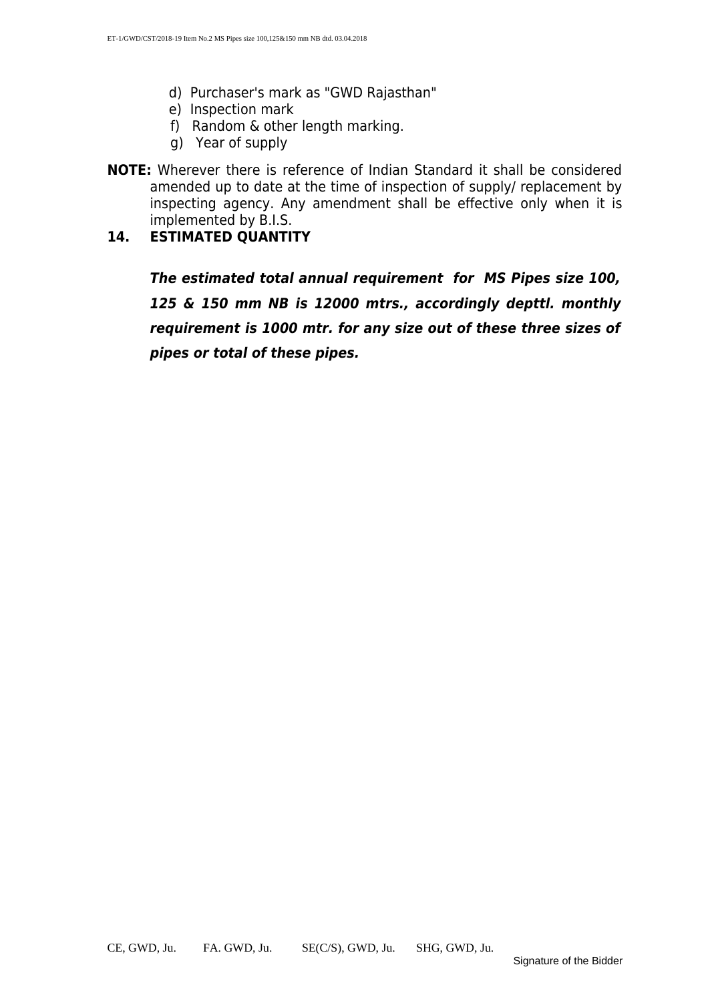- d) Purchaser's mark as "GWD Rajasthan"
- e) Inspection mark
- f) Random & other length marking.
- g) Year of supply
- **NOTE:** Wherever there is reference of Indian Standard it shall be considered amended up to date at the time of inspection of supply/ replacement by inspecting agency. Any amendment shall be effective only when it is implemented by B.I.S.

#### **14. ESTIMATED QUANTITY**

**The estimated total annual requirement for MS Pipes size 100, 125 & 150 mm NB is 12000 mtrs., accordingly depttl. monthly requirement is 1000 mtr. for any size out of these three sizes of pipes or total of these pipes.**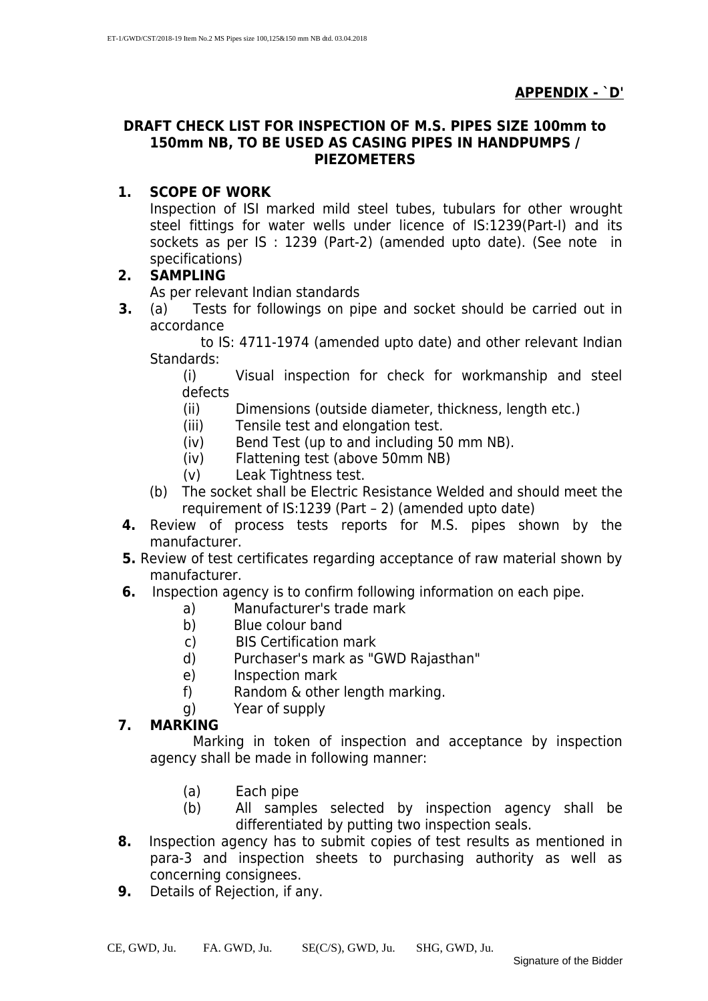#### **DRAFT CHECK LIST FOR INSPECTION OF M.S. PIPES SIZE 100mm to 150mm NB, TO BE USED AS CASING PIPES IN HANDPUMPS / PIEZOMETERS**

#### **1. SCOPE OF WORK**

Inspection of ISI marked mild steel tubes, tubulars for other wrought steel fittings for water wells under licence of IS:1239(Part-I) and its sockets as per IS : 1239 (Part-2) (amended upto date). (See note in specifications)

#### **2. SAMPLING**

As per relevant Indian standards

**3.** (a) Tests for followings on pipe and socket should be carried out in accordance

to IS: 4711-1974 (amended upto date) and other relevant Indian Standards:

(i) Visual inspection for check for workmanship and steel defects

- (ii) Dimensions (outside diameter, thickness, length etc.)
- (iii) Tensile test and elongation test.
- (iv) Bend Test (up to and including 50 mm NB).
- (iv) Flattening test (above 50mm NB)
- (v) Leak Tightness test.
- (b) The socket shall be Electric Resistance Welded and should meet the requirement of IS:1239 (Part – 2) (amended upto date)
- **4.** Review of process tests reports for M.S. pipes shown by the manufacturer.
- **5.** Review of test certificates regarding acceptance of raw material shown by manufacturer.
- **6.** Inspection agency is to confirm following information on each pipe.
	- a) Manufacturer's trade mark
	- b) Blue colour band
	- c) BIS Certification mark
	- d) Purchaser's mark as "GWD Rajasthan"
	- e) Inspection mark
	- f) Random & other length marking.
	- g) Year of supply

#### **7. MARKING**

 Marking in token of inspection and acceptance by inspection agency shall be made in following manner:

- (a) Each pipe
- (b) All samples selected by inspection agency shall be differentiated by putting two inspection seals.
- **8.** Inspection agency has to submit copies of test results as mentioned in para-3 and inspection sheets to purchasing authority as well as concerning consignees.
- **9.** Details of Rejection, if any.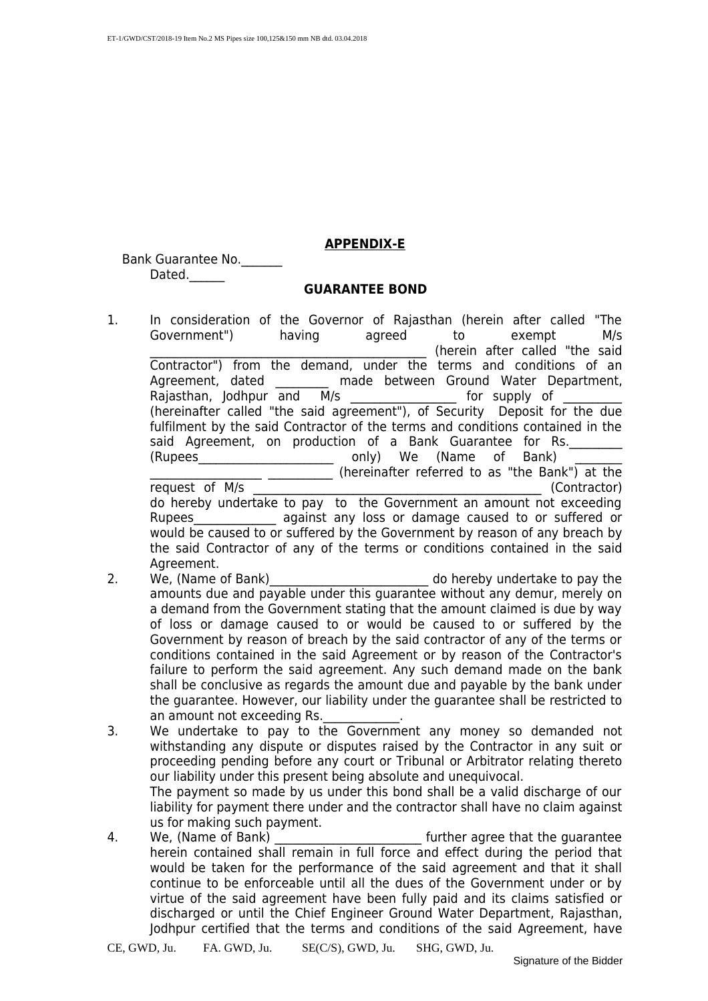#### **APPENDIX-E**

Bank Guarantee No. Dated.

#### **GUARANTEE BOND**

1. In consideration of the Governor of Rajasthan (herein after called "The Government") having agreed to exempt M/s (herein after called "the said Contractor") from the demand, under the terms and conditions of an Agreement, dated \_\_\_\_\_\_\_\_\_ made between Ground Water Department, Rajasthan, Jodhpur and M/s \_\_\_\_\_\_\_\_\_\_\_\_\_\_\_\_\_\_\_\_\_\_\_ for supply of (hereinafter called "the said agreement"), of Security Deposit for the due fulfilment by the said Contractor of the terms and conditions contained in the said Agreement, on production of a Bank Guarantee for Rs. (Rupees\_\_\_\_\_\_\_\_\_\_\_\_\_\_\_\_\_\_\_\_\_\_\_ only) We (Name of Bank) \_\_\_\_\_\_\_\_ \_\_\_\_\_\_\_\_\_\_\_\_\_\_\_\_\_\_\_ \_\_\_\_\_\_\_\_\_\_\_ (hereinafter referred to as "the Bank") at the

request of M/s (Contractor) do hereby undertake to pay to the Government an amount not exceeding Rupees against any loss or damage caused to or suffered or would be caused to or suffered by the Government by reason of any breach by the said Contractor of any of the terms or conditions contained in the said Agreement.

- 2. We, (Name of Bank) and the contract of the do hereby undertake to pay the amounts due and payable under this guarantee without any demur, merely on a demand from the Government stating that the amount claimed is due by way of loss or damage caused to or would be caused to or suffered by the Government by reason of breach by the said contractor of any of the terms or conditions contained in the said Agreement or by reason of the Contractor's failure to perform the said agreement. Any such demand made on the bank shall be conclusive as regards the amount due and payable by the bank under the guarantee. However, our liability under the guarantee shall be restricted to an amount not exceeding Rs.
- 3. We undertake to pay to the Government any money so demanded not withstanding any dispute or disputes raised by the Contractor in any suit or proceeding pending before any court or Tribunal or Arbitrator relating thereto our liability under this present being absolute and unequivocal. The payment so made by us under this bond shall be a valid discharge of our liability for payment there under and the contractor shall have no claim against us for making such payment.
- 4. We, (Name of Bank) **Example 20 Set all 20 Set also use** further agree that the guarantee herein contained shall remain in full force and effect during the period that would be taken for the performance of the said agreement and that it shall continue to be enforceable until all the dues of the Government under or by virtue of the said agreement have been fully paid and its claims satisfied or discharged or until the Chief Engineer Ground Water Department, Rajasthan, Jodhpur certified that the terms and conditions of the said Agreement, have

CE, GWD, Ju. FA. GWD, Ju. SE(C/S), GWD, Ju. SHG, GWD, Ju.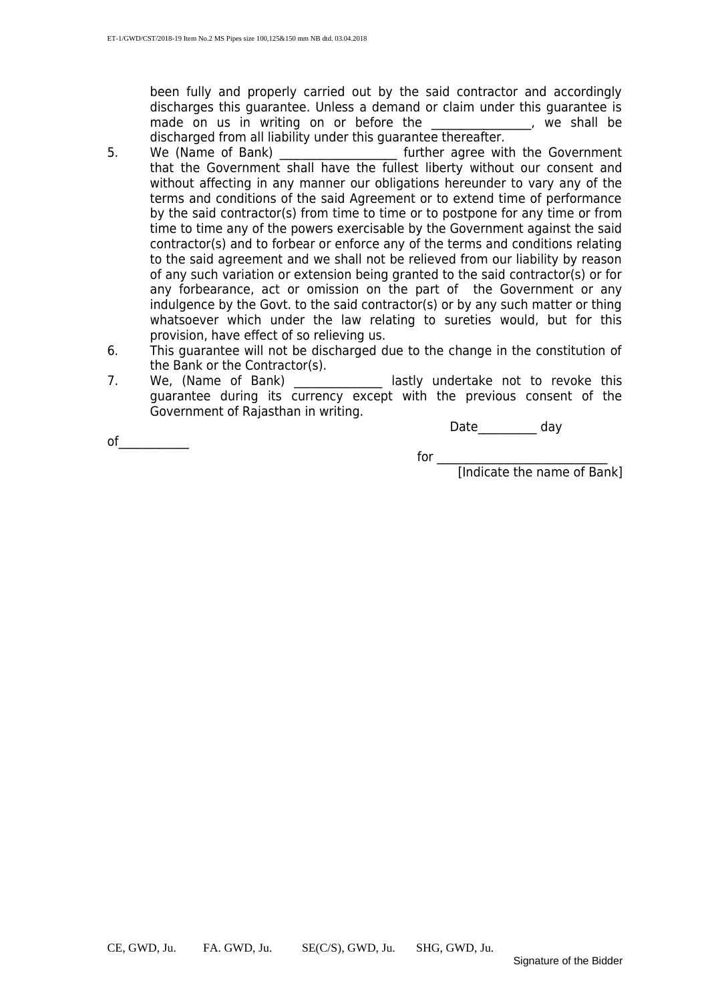been fully and properly carried out by the said contractor and accordingly discharges this guarantee. Unless a demand or claim under this guarantee is made on us in writing on or before the fine the the shall be made on us in writing on or before the discharged from all liability under this guarantee thereafter.

- 5. We (Name of Bank) **Example 2** further agree with the Government that the Government shall have the fullest liberty without our consent and without affecting in any manner our obligations hereunder to vary any of the terms and conditions of the said Agreement or to extend time of performance by the said contractor(s) from time to time or to postpone for any time or from time to time any of the powers exercisable by the Government against the said contractor(s) and to forbear or enforce any of the terms and conditions relating to the said agreement and we shall not be relieved from our liability by reason of any such variation or extension being granted to the said contractor(s) or for any forbearance, act or omission on the part of the Government or any indulgence by the Govt. to the said contractor(s) or by any such matter or thing whatsoever which under the law relating to sureties would, but for this provision, have effect of so relieving us.
- 6. This guarantee will not be discharged due to the change in the constitution of the Bank or the Contractor(s).
- 7. We, (Name of Bank) \_\_\_\_\_\_\_\_\_\_\_\_\_\_ lastly undertake not to revoke this guarantee during its currency except with the previous consent of the Government of Rajasthan in writing.

Date\_\_\_\_\_\_\_\_\_\_ day

of  $\qquad \qquad \qquad$ 

for  $\Box$ 

[Indicate the name of Bank]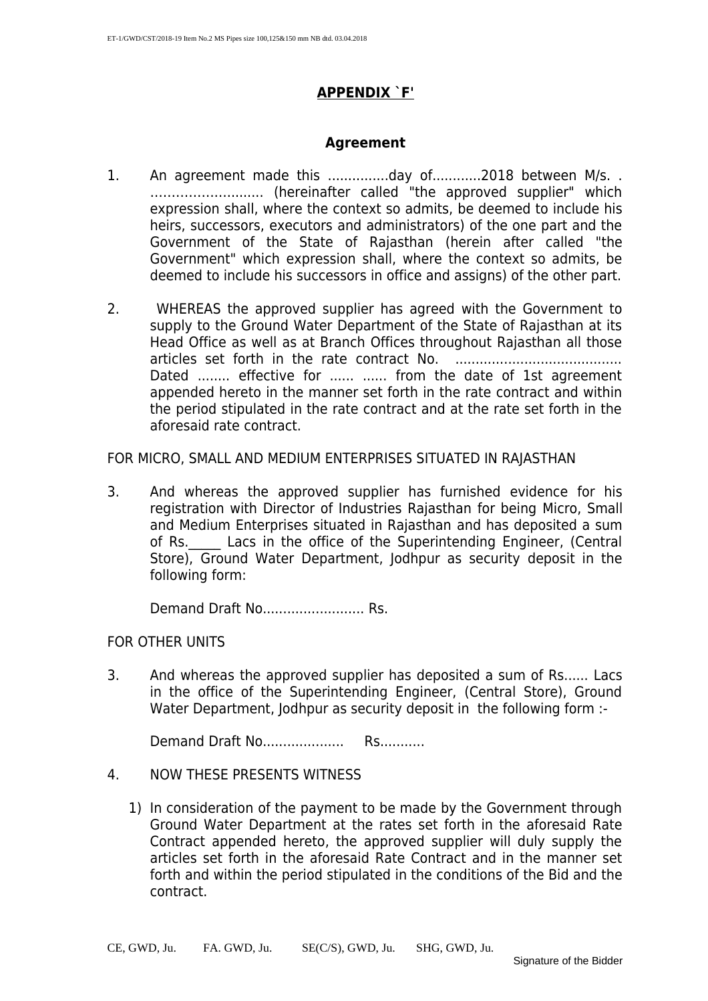#### **APPENDIX `F'**

#### **Agreement**

- 1. An agreement made this .................day of.............2018 between M/s. . ………………......... (hereinafter called "the approved supplier" which expression shall, where the context so admits, be deemed to include his heirs, successors, executors and administrators) of the one part and the Government of the State of Rajasthan (herein after called "the Government" which expression shall, where the context so admits, be deemed to include his successors in office and assigns) of the other part.
- 2. WHEREAS the approved supplier has agreed with the Government to supply to the Ground Water Department of the State of Rajasthan at its Head Office as well as at Branch Offices throughout Rajasthan all those articles set forth in the rate contract No. ......................................... Dated ........ effective for ...... ...... from the date of 1st agreement appended hereto in the manner set forth in the rate contract and within the period stipulated in the rate contract and at the rate set forth in the aforesaid rate contract.

FOR MICRO, SMALL AND MEDIUM ENTERPRISES SITUATED IN RAJASTHAN

3. And whereas the approved supplier has furnished evidence for his registration with Director of Industries Rajasthan for being Micro, Small and Medium Enterprises situated in Rajasthan and has deposited a sum of Rs. Lacs in the office of the Superintending Engineer, (Central Store), Ground Water Department, Jodhpur as security deposit in the following form:

Demand Draft No......................... Rs.

#### FOR OTHER UNITS

3. And whereas the approved supplier has deposited a sum of Rs...... Lacs in the office of the Superintending Engineer, (Central Store), Ground Water Department, Jodhpur as security deposit in the following form :-

Demand Draft No.................... Rs...........

- 4. NOW THESE PRESENTS WITNESS
	- 1) In consideration of the payment to be made by the Government through Ground Water Department at the rates set forth in the aforesaid Rate Contract appended hereto, the approved supplier will duly supply the articles set forth in the aforesaid Rate Contract and in the manner set forth and within the period stipulated in the conditions of the Bid and the contract.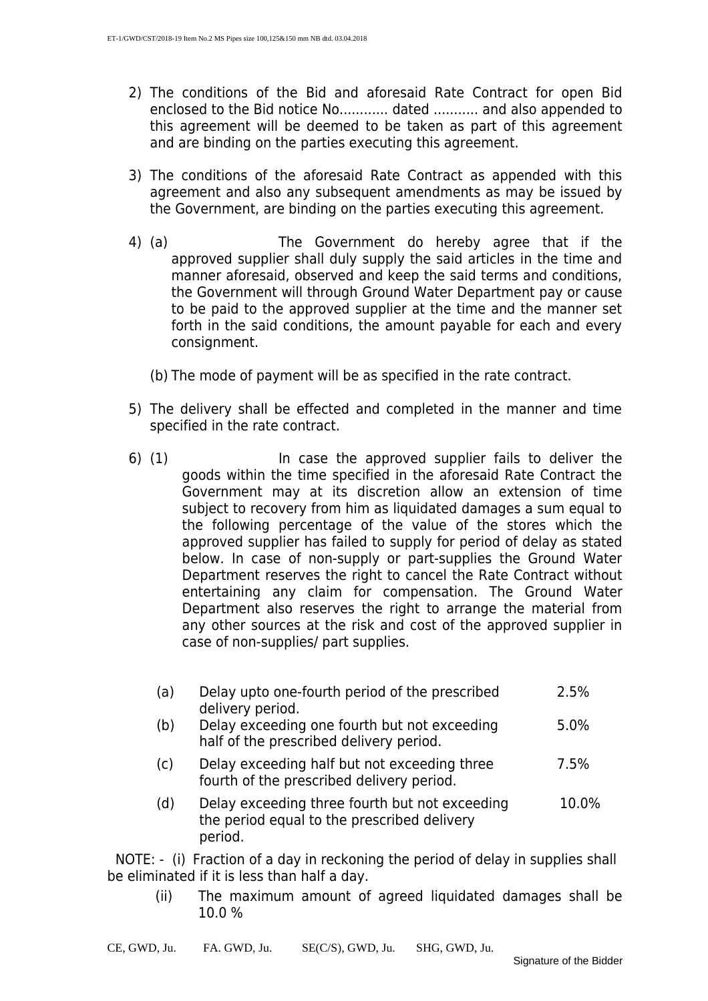- 2) The conditions of the Bid and aforesaid Rate Contract for open Bid enclosed to the Bid notice No............ dated ........... and also appended to this agreement will be deemed to be taken as part of this agreement and are binding on the parties executing this agreement.
- 3) The conditions of the aforesaid Rate Contract as appended with this agreement and also any subsequent amendments as may be issued by the Government, are binding on the parties executing this agreement.
- 4) (a) The Government do hereby agree that if the approved supplier shall duly supply the said articles in the time and manner aforesaid, observed and keep the said terms and conditions, the Government will through Ground Water Department pay or cause to be paid to the approved supplier at the time and the manner set forth in the said conditions, the amount payable for each and every consignment.
	- (b) The mode of payment will be as specified in the rate contract.
- 5) The delivery shall be effected and completed in the manner and time specified in the rate contract.
- 6) (1) In case the approved supplier fails to deliver the goods within the time specified in the aforesaid Rate Contract the Government may at its discretion allow an extension of time subject to recovery from him as liquidated damages a sum equal to the following percentage of the value of the stores which the approved supplier has failed to supply for period of delay as stated below. In case of non-supply or part-supplies the Ground Water Department reserves the right to cancel the Rate Contract without entertaining any claim for compensation. The Ground Water Department also reserves the right to arrange the material from any other sources at the risk and cost of the approved supplier in case of non-supplies/ part supplies.
	- (a) Delay upto one-fourth period of the prescribed delivery period. 2.5%
	- (b) Delay exceeding one fourth but not exceeding half of the prescribed delivery period. 5.0%
	- (c) Delay exceeding half but not exceeding three fourth of the prescribed delivery period. 7.5%
	- (d) Delay exceeding three fourth but not exceeding the period equal to the prescribed delivery period. 10.0%

 NOTE: - (i) Fraction of a day in reckoning the period of delay in supplies shall be eliminated if it is less than half a day.

(ii) The maximum amount of agreed liquidated damages shall be 10.0 %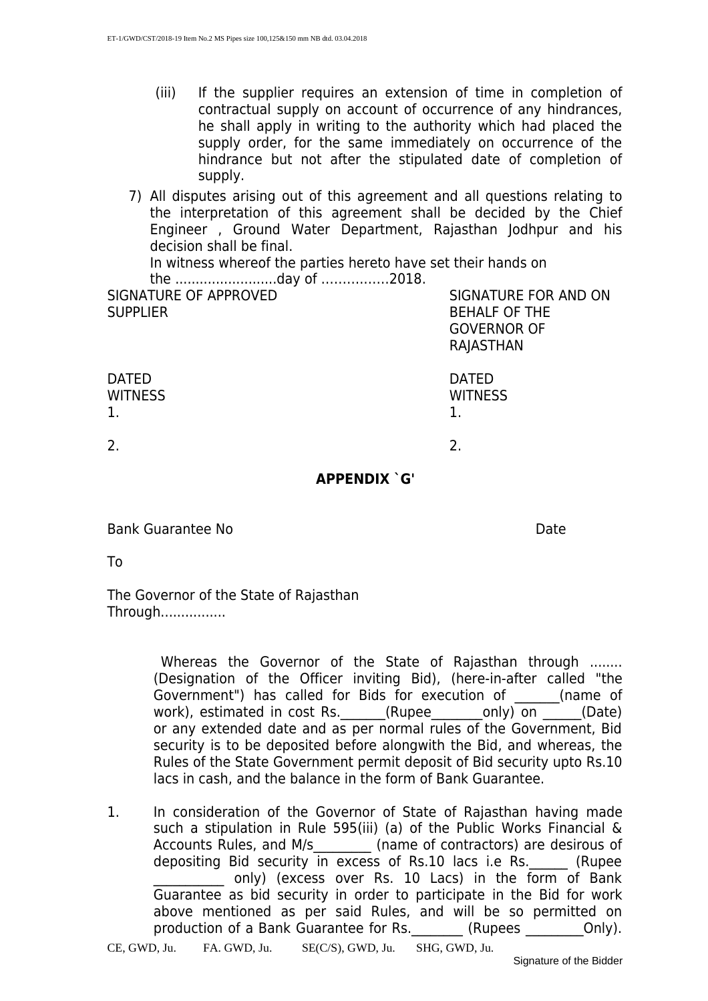- (iii) If the supplier requires an extension of time in completion of contractual supply on account of occurrence of any hindrances, he shall apply in writing to the authority which had placed the supply order, for the same immediately on occurrence of the hindrance but not after the stipulated date of completion of supply.
- 7) All disputes arising out of this agreement and all questions relating to the interpretation of this agreement shall be decided by the Chief Engineer , Ground Water Department, Rajasthan Jodhpur and his decision shall be final.

In witness whereof the parties hereto have set their hands on

the .........................day of ……….……2018.

SIGNATURE OF APPROVED **SUPPLIER** 

SIGNATURE FOR AND ON BEHALF OF THE GOVERNOR OF RAJASTHAN

| <b>DATED</b><br>WITNESS<br>1. | <b>DATED</b><br><b>WITNESS</b> |
|-------------------------------|--------------------------------|
|                               |                                |

 $2.$ 

#### **APPENDIX `G'**

Bank Guarantee No Date

To

The Governor of the State of Rajasthan Through................

> Whereas the Governor of the State of Rajasthan through ........ (Designation of the Officer inviting Bid), (here-in-after called "the Government") has called for Bids for execution of (name of work), estimated in cost Rs. \_\_\_\_\_\_(Rupee\_\_\_\_\_\_\_\_only) on \_\_\_\_\_(Date) or any extended date and as per normal rules of the Government, Bid security is to be deposited before alongwith the Bid, and whereas, the Rules of the State Government permit deposit of Bid security upto Rs.10 lacs in cash, and the balance in the form of Bank Guarantee.

1. In consideration of the Governor of State of Rajasthan having made such a stipulation in Rule 595(iii) (a) of the Public Works Financial & Accounts Rules, and M/s\_\_\_\_\_\_\_\_\_ (name of contractors) are desirous of depositing Bid security in excess of Rs.10 lacs i.e Rs. \_\_\_\_\_ (Rupee only) (excess over Rs. 10 Lacs) in the form of Bank Guarantee as bid security in order to participate in the Bid for work above mentioned as per said Rules, and will be so permitted on production of a Bank Guarantee for Rs. (Rupees only).

CE, GWD, Ju. FA. GWD, Ju. SE(C/S), GWD, Ju. SHG, GWD, Ju.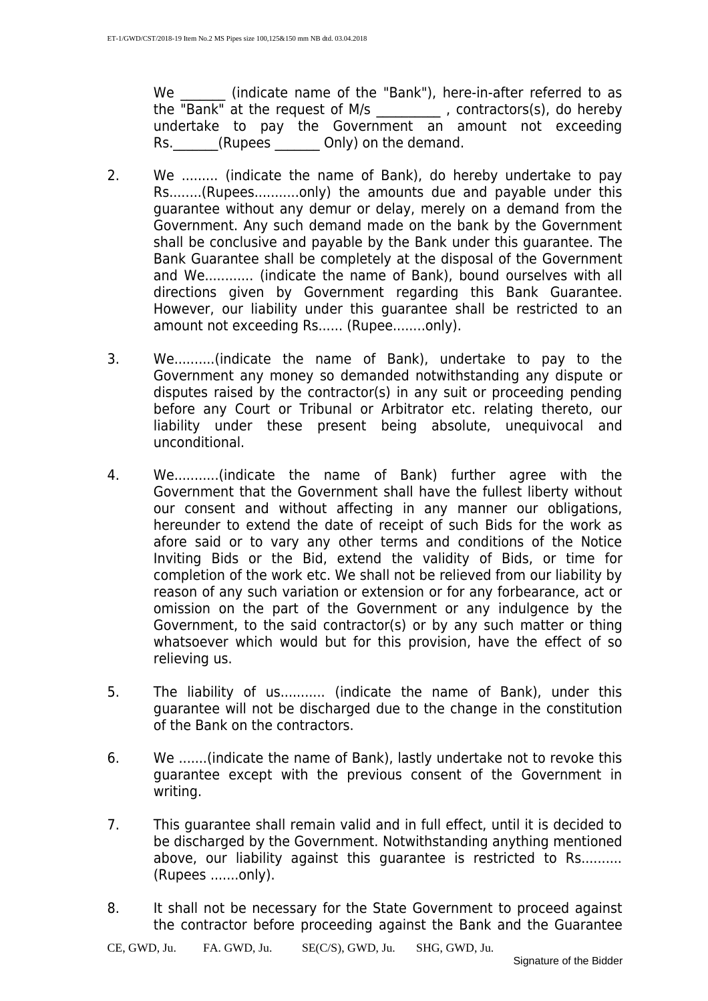We **Indicate name of the "Bank")**, here-in-after referred to as the "Bank" at the request of M/s \_\_\_\_\_\_\_\_\_\_ , contractors(s), do hereby undertake to pay the Government an amount not exceeding Rs. (Rupees Only) on the demand.

- 2. We ......... (indicate the name of Bank), do hereby undertake to pay Rs........(Rupees...........only) the amounts due and payable under this guarantee without any demur or delay, merely on a demand from the Government. Any such demand made on the bank by the Government shall be conclusive and payable by the Bank under this guarantee. The Bank Guarantee shall be completely at the disposal of the Government and We............ (indicate the name of Bank), bound ourselves with all directions given by Government regarding this Bank Guarantee. However, our liability under this guarantee shall be restricted to an amount not exceeding Rs...... (Rupee........only).
- 3. We..........(indicate the name of Bank), undertake to pay to the Government any money so demanded notwithstanding any dispute or disputes raised by the contractor(s) in any suit or proceeding pending before any Court or Tribunal or Arbitrator etc. relating thereto, our liability under these present being absolute, unequivocal and unconditional.
- 4. We...........(indicate the name of Bank) further agree with the Government that the Government shall have the fullest liberty without our consent and without affecting in any manner our obligations, hereunder to extend the date of receipt of such Bids for the work as afore said or to vary any other terms and conditions of the Notice Inviting Bids or the Bid, extend the validity of Bids, or time for completion of the work etc. We shall not be relieved from our liability by reason of any such variation or extension or for any forbearance, act or omission on the part of the Government or any indulgence by the Government, to the said contractor(s) or by any such matter or thing whatsoever which would but for this provision, have the effect of so relieving us.
- 5. The liability of us........... (indicate the name of Bank), under this guarantee will not be discharged due to the change in the constitution of the Bank on the contractors.
- 6. We .......(indicate the name of Bank), lastly undertake not to revoke this guarantee except with the previous consent of the Government in writing.
- 7. This guarantee shall remain valid and in full effect, until it is decided to be discharged by the Government. Notwithstanding anything mentioned above, our liability against this quarantee is restricted to Rs.......... (Rupees .......only).
- 8. It shall not be necessary for the State Government to proceed against the contractor before proceeding against the Bank and the Guarantee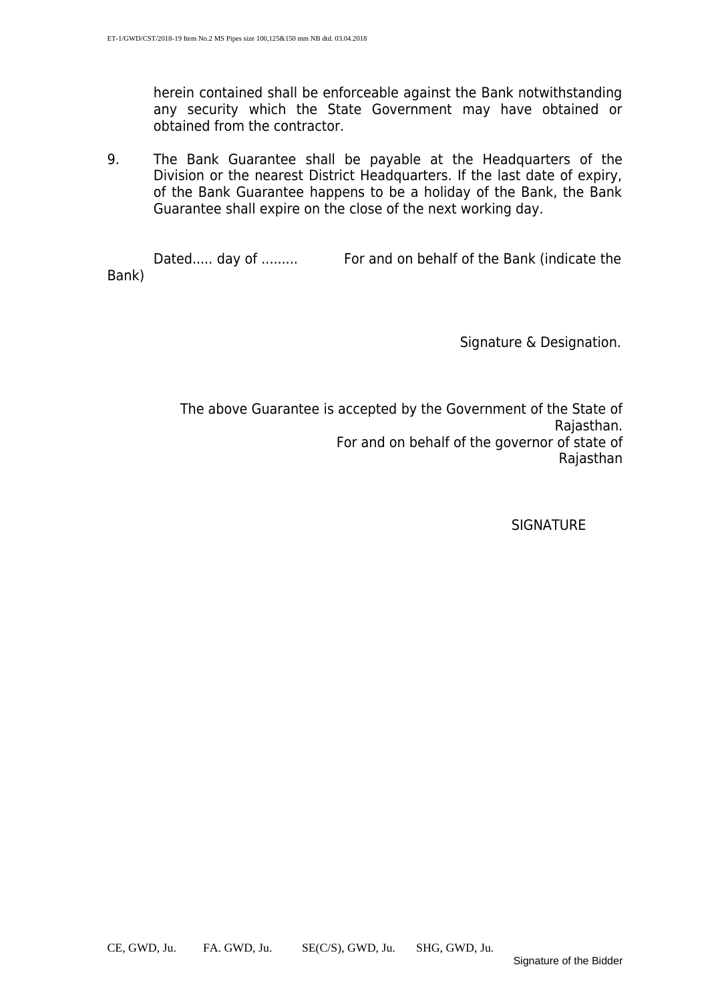herein contained shall be enforceable against the Bank notwithstanding any security which the State Government may have obtained or obtained from the contractor.

9. The Bank Guarantee shall be payable at the Headquarters of the Division or the nearest District Headquarters. If the last date of expiry, of the Bank Guarantee happens to be a holiday of the Bank, the Bank Guarantee shall expire on the close of the next working day.

Dated..... day of ......... For and on behalf of the Bank (indicate the Bank)

Signature & Designation.

The above Guarantee is accepted by the Government of the State of Rajasthan. For and on behalf of the governor of state of Rajasthan

**SIGNATURE**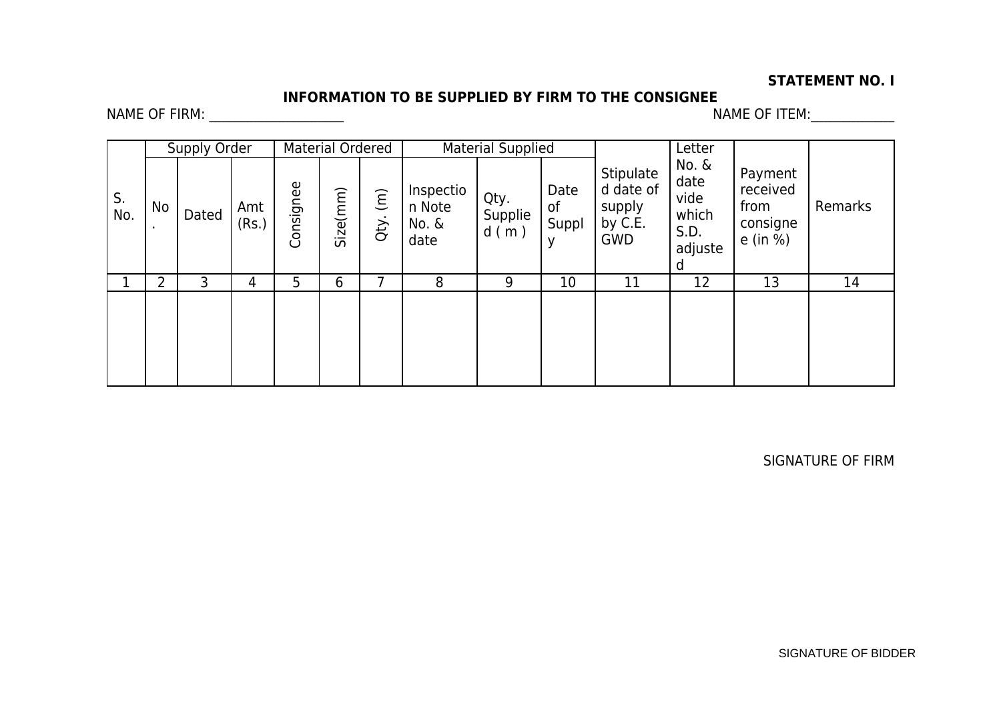#### **STATEMENT NO. I**

## **INFORMATION TO BE SUPPLIED BY FIRM TO THE CONSIGNEE**

NAME OF FIRM: \_\_\_\_\_\_\_\_\_\_\_\_\_\_\_\_\_\_\_\_\_ NAME OF ITEM:\_\_\_\_\_\_\_\_\_\_\_\_\_

| S.<br>No.<br>$\blacksquare$ | Supply Order |       |              | Material Ordered |          |                                  | Material Supplied                    |                         |                     |                                                           | Letter                                                 |                                                     |         |
|-----------------------------|--------------|-------|--------------|------------------|----------|----------------------------------|--------------------------------------|-------------------------|---------------------|-----------------------------------------------------------|--------------------------------------------------------|-----------------------------------------------------|---------|
|                             | No           | Dated | Amt<br>(Rs.) | Consignee        | Size(mm) | $\widehat{(\mathsf{m})}$<br>Qty. | Inspectio<br>n Note<br>No. &<br>date | Qty.<br>Supplie<br>d(m) | Date<br>of<br>Suppl | Stipulate<br>d date of<br>supply<br>by C.E.<br><b>GWD</b> | No. &<br>date<br>vide<br>which<br>S.D.<br>adjuste<br>d | Payment<br>received<br>from<br>consigne<br>e (in %) | Remarks |
|                             | າ            | 3     | 4            | 5                | 6        |                                  | 8                                    | 9                       | 10                  | 11                                                        | 12                                                     | 13                                                  | 14      |
|                             |              |       |              |                  |          |                                  |                                      |                         |                     |                                                           |                                                        |                                                     |         |

SIGNATURE OF FIRM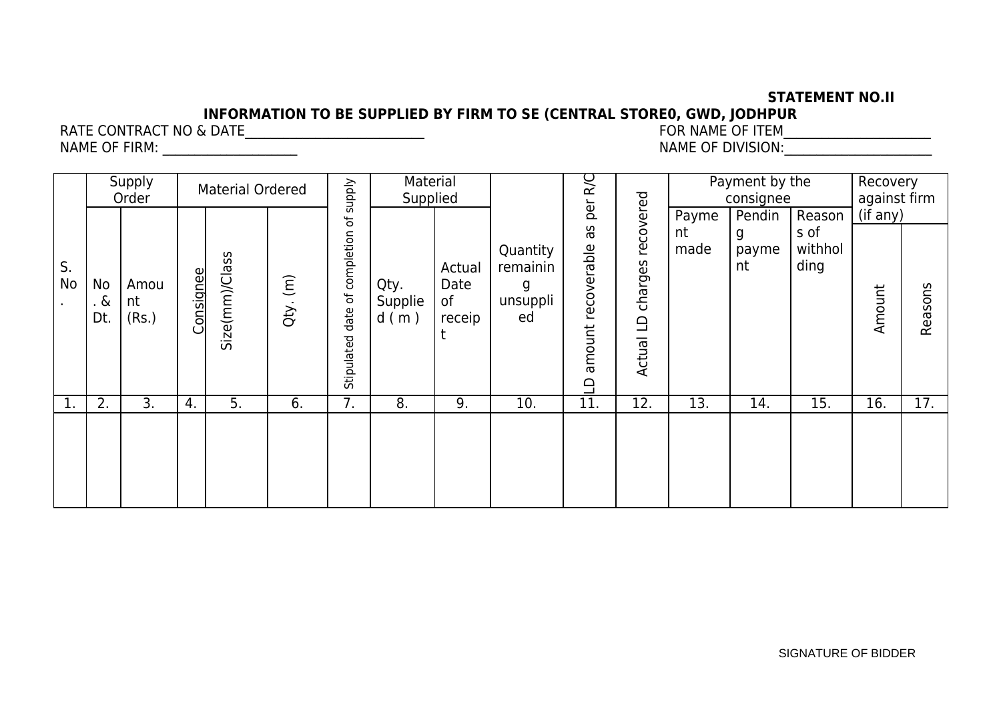#### **STATEMENT NO.II**

# **INFORMATION TO BE SUPPLIED BY FIRM TO SE (CENTRAL STORE0, GWD, JODHPUR**

RATE CONTRACT NO & DATE\_\_\_\_\_\_\_\_\_\_\_\_\_\_\_\_\_\_\_\_\_\_\_\_\_\_\_\_ FOR NAME OF ITEM\_\_\_\_\_\_\_\_\_\_\_\_\_\_\_\_\_\_\_\_\_\_\_

NAME OF FIRM: \_\_\_\_\_\_\_\_\_\_\_\_\_\_\_\_\_\_\_\_\_ NAME OF DIVISION:\_\_\_\_\_\_\_\_\_\_\_\_\_\_\_\_\_\_\_\_\_\_\_

| S.<br>No<br>No<br>. &<br>$\bullet$<br>Dt. |                     | Supply<br>Order |                | <b>Material Ordered</b> | $\widehat{(\pi)}$  | supply<br>৳<br>of completion | Material<br>Supplied<br>Qty. | Actual<br>Date      | Quantity<br>remainin   | <b>R/C</b><br>per<br>δg<br>recoverable | recovered<br>charges | Payme<br>nt<br>made | Payment by the<br>consignee<br>Pendin<br>g<br>payme<br>nt | Reason<br>s of<br>withhol<br>ding | Recovery<br>against firm<br>(if any) |  |
|-------------------------------------------|---------------------|-----------------|----------------|-------------------------|--------------------|------------------------------|------------------------------|---------------------|------------------------|----------------------------------------|----------------------|---------------------|-----------------------------------------------------------|-----------------------------------|--------------------------------------|--|
|                                           | Amou<br>nt<br>(Rs.) | Consignee       | Size(mm)/Class | Qty.                    | date<br>Stipulated | Supplie<br>d(m)              | of<br>receip                 | g<br>unsuppli<br>ed | amount<br>$\triangleq$ | $\Omega$<br>Actual                     |                      |                     |                                                           | Amount                            |                                      |  |
| 1.                                        | 2.                  | 3.              | 4.             | 5.                      | 6.                 | 7.                           | 8.                           | 9.                  | 10.                    | 11.                                    | 12.                  | 13.                 | 14.                                                       | 15.                               | 16.                                  |  |
|                                           |                     |                 |                |                         |                    |                              |                              |                     |                        |                                        |                      |                     |                                                           |                                   |                                      |  |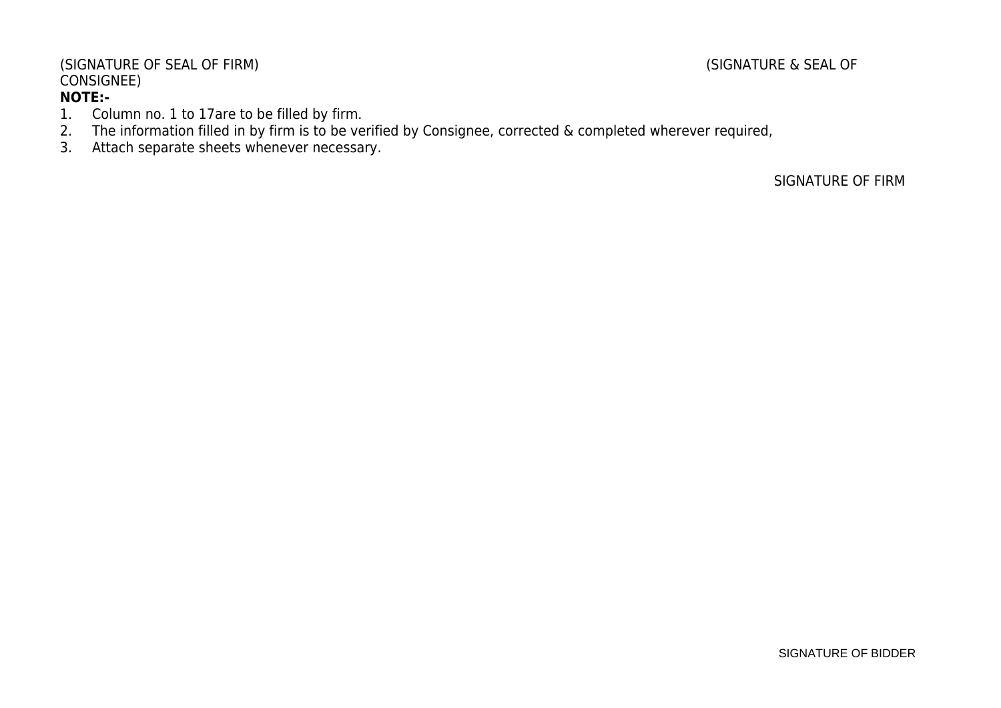#### (SIGNATURE OF SEAL OF FIRM) (SIGNATURE & SEAL OF CONSIGNEE) **NOTE:-**

#### 1. Column no. 1 to 17are to be filled by firm.

- 2. The information filled in by firm is to be verified by Consignee, corrected & completed wherever required,
- 3. Attach separate sheets whenever necessary.

SIGNATURE OF FIRM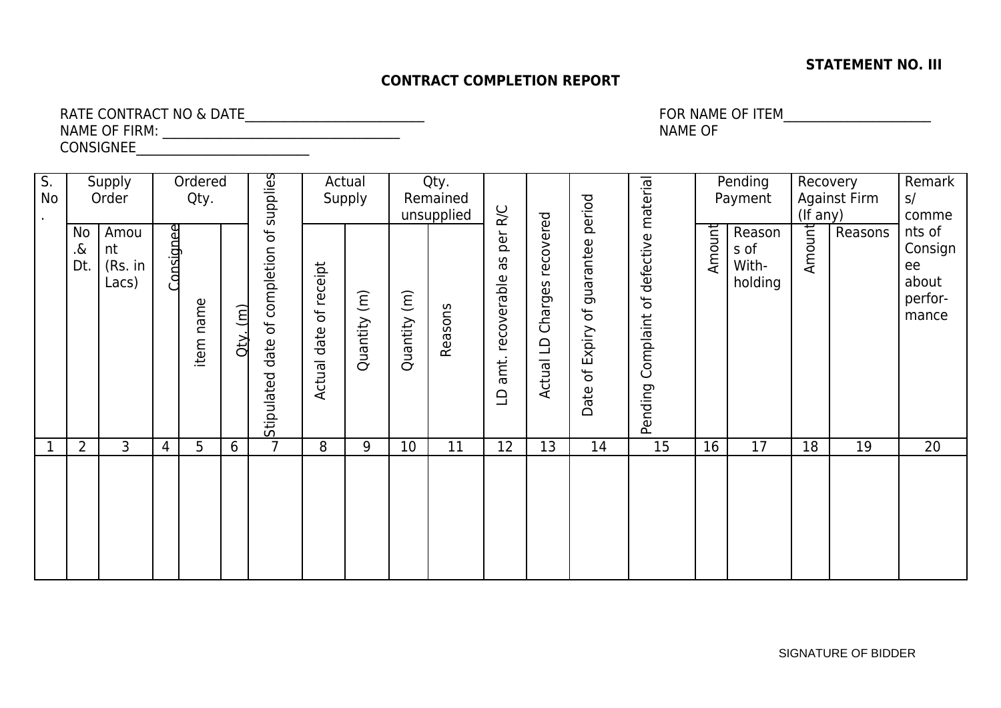#### **STATEMENT NO. III**

#### **CONTRACT COMPLETION REPORT**

RATE CONTRACT NO & DATE\_\_\_\_\_\_\_\_\_\_\_\_\_\_\_\_\_\_\_\_\_\_\_\_\_\_\_\_ FOR NAME OF ITEM\_\_\_\_\_\_\_\_\_\_\_\_\_\_\_\_\_\_\_\_\_\_\_ NAME OF FIRM: \_\_\_\_\_\_\_\_\_\_\_\_\_\_\_\_\_\_\_\_\_\_\_\_\_\_\_\_\_\_\_\_\_\_\_\_\_ NAME OF CONSIGNEE

 $\overline{S}$ . No . Supply Order **Ordered** Qty. Stip ulate ddate of c ompletio nof s upplie s**Actual** Supply Qty. Remained unsupplied  $\Box$ amt. re covera  $\frac{\omega}{\Omega}$ თ<br>ო per R/C Actu al L DCharg es re covere dDate of E xpiry of g uara nte eperio dPendin gComplaint of d efe ctiv e $\mathsf{E}% _{T}$ aterial **Pending** Payment **Recovery** Against Firm (If any) Remark s/ comme nts of Consign ee about performance No Amou .& Dt. (Rs. in nt Lacs) onsig neeite  $\mathsf{E}% _{T}$ nameQty. (m) Actu ਰ<br>ਫ ate of re ceipt Quantity (m) Quantity (m) Reas ons Amount With-Reason s of holding Amount Reasons 1 2 3 4 5 6 7 8 9 10 11 12 13 14 15 16 17 18 19 20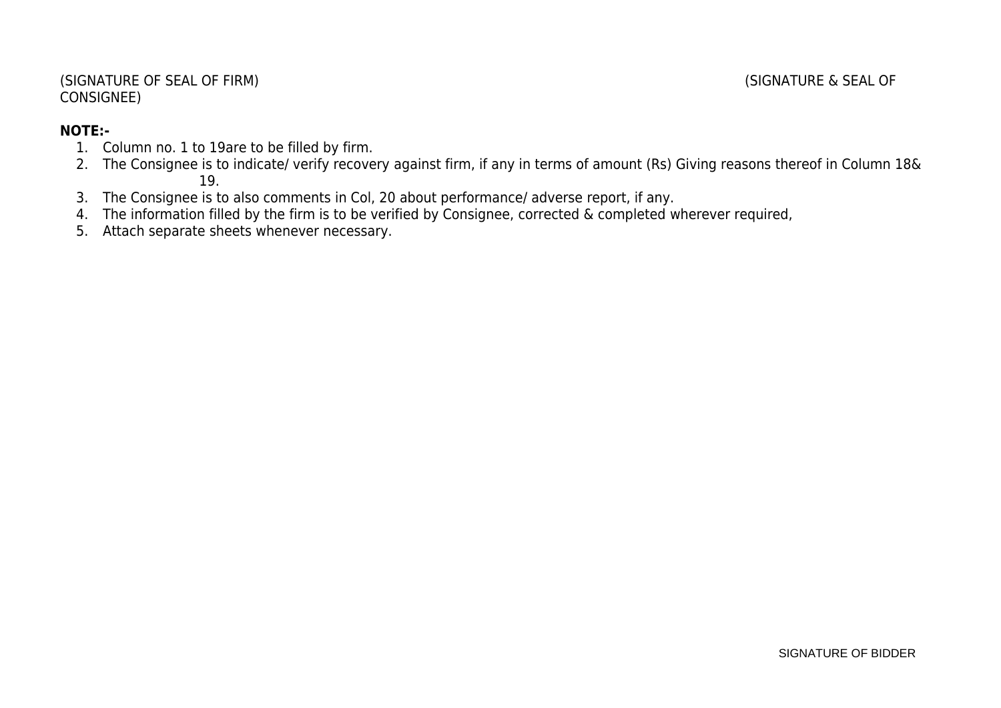#### **NOTE:-**

- 1. Column no. 1 to 19are to be filled by firm.
- 2. The Consignee is to indicate/ verify recovery against firm, if any in terms of amount (Rs) Giving reasons thereof in Column 18& 19.
- 3. The Consignee is to also comments in Col, 20 about performance/ adverse report, if any.
- 4. The information filled by the firm is to be verified by Consignee, corrected & completed wherever required,
- 5. Attach separate sheets whenever necessary.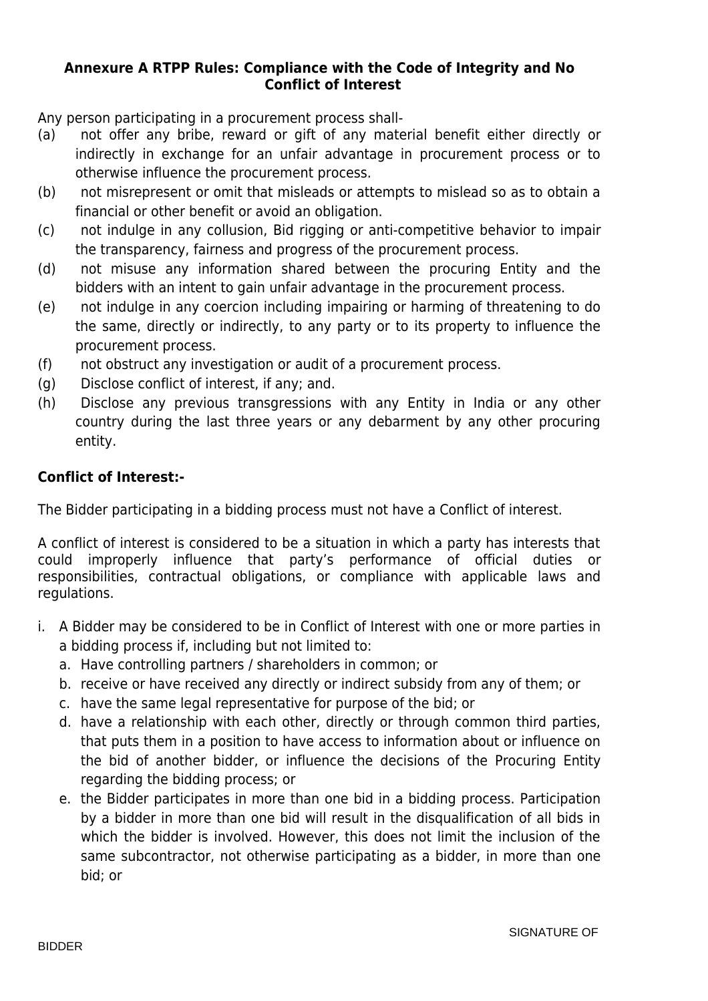#### **Annexure A RTPP Rules: Compliance with the Code of Integrity and No Conflict of Interest**

Any person participating in a procurement process shall-

- (a) not offer any bribe, reward or gift of any material benefit either directly or indirectly in exchange for an unfair advantage in procurement process or to otherwise influence the procurement process.
- (b) not misrepresent or omit that misleads or attempts to mislead so as to obtain a financial or other benefit or avoid an obligation.
- (c) not indulge in any collusion, Bid rigging or anti-competitive behavior to impair the transparency, fairness and progress of the procurement process.
- (d) not misuse any information shared between the procuring Entity and the bidders with an intent to gain unfair advantage in the procurement process.
- (e) not indulge in any coercion including impairing or harming of threatening to do the same, directly or indirectly, to any party or to its property to influence the procurement process.
- (f) not obstruct any investigation or audit of a procurement process.
- (g) Disclose conflict of interest, if any; and.
- (h) Disclose any previous transgressions with any Entity in India or any other country during the last three years or any debarment by any other procuring entity.

#### **Conflict of Interest:-**

The Bidder participating in a bidding process must not have a Conflict of interest.

A conflict of interest is considered to be a situation in which a party has interests that could improperly influence that party's performance of official duties or responsibilities, contractual obligations, or compliance with applicable laws and regulations.

- i. A Bidder may be considered to be in Conflict of Interest with one or more parties in a bidding process if, including but not limited to:
	- a. Have controlling partners / shareholders in common; or
	- b. receive or have received any directly or indirect subsidy from any of them; or
	- c. have the same legal representative for purpose of the bid; or
	- d. have a relationship with each other, directly or through common third parties, that puts them in a position to have access to information about or influence on the bid of another bidder, or influence the decisions of the Procuring Entity regarding the bidding process; or
	- e. the Bidder participates in more than one bid in a bidding process. Participation by a bidder in more than one bid will result in the disqualification of all bids in which the bidder is involved. However, this does not limit the inclusion of the same subcontractor, not otherwise participating as a bidder, in more than one bid; or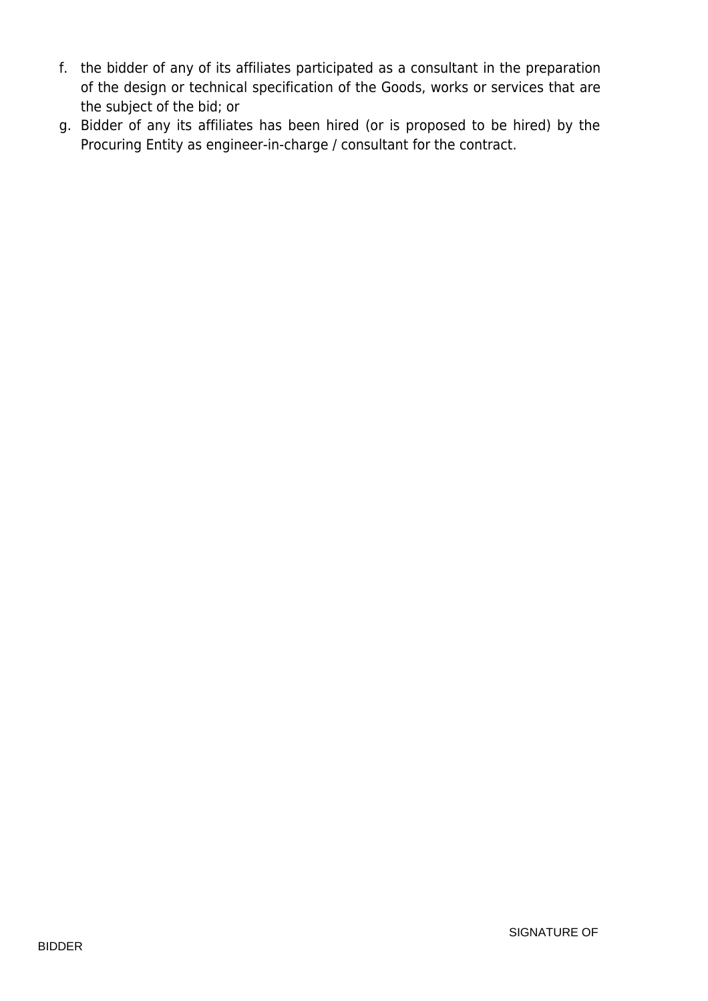- f. the bidder of any of its affiliates participated as a consultant in the preparation of the design or technical specification of the Goods, works or services that are the subject of the bid; or
- g. Bidder of any its affiliates has been hired (or is proposed to be hired) by the Procuring Entity as engineer-in-charge / consultant for the contract.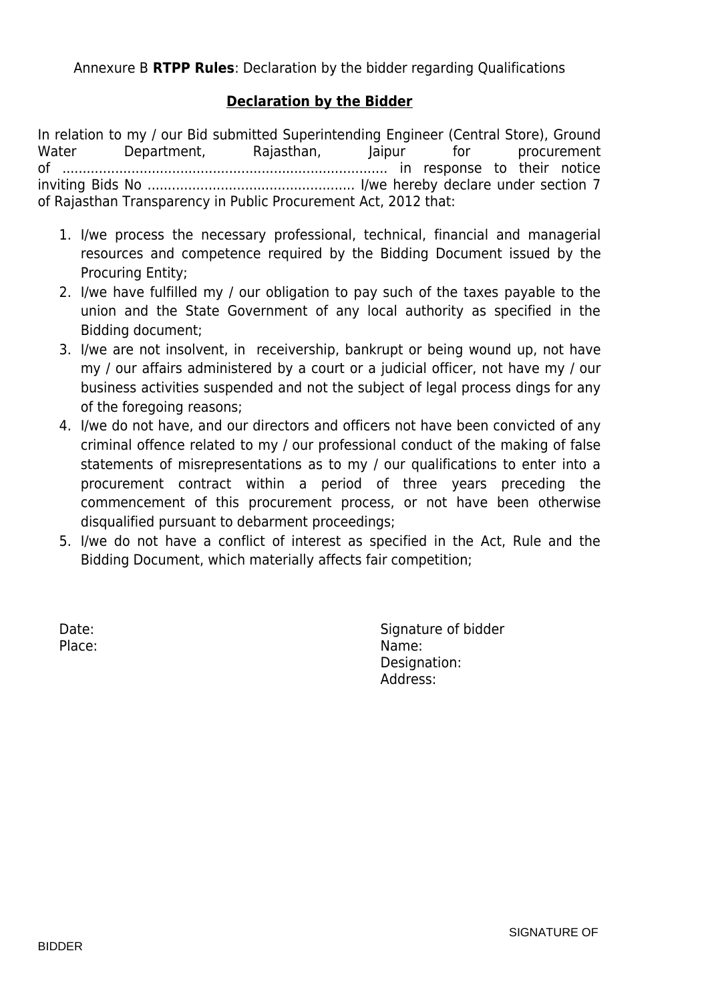#### **Declaration by the Bidder**

In relation to my / our Bid submitted Superintending Engineer (Central Store), Ground Water Department, Rajasthan, Jaipur for procurement of ................................................................................ in response to their notice inviting Bids No ................................................... I/we hereby declare under section 7 of Rajasthan Transparency in Public Procurement Act, 2012 that:

- 1. I/we process the necessary professional, technical, financial and managerial resources and competence required by the Bidding Document issued by the Procuring Entity;
- 2. I/we have fulfilled my / our obligation to pay such of the taxes payable to the union and the State Government of any local authority as specified in the Bidding document;
- 3. I/we are not insolvent, in receivership, bankrupt or being wound up, not have my / our affairs administered by a court or a judicial officer, not have my / our business activities suspended and not the subject of legal process dings for any of the foregoing reasons;
- 4. I/we do not have, and our directors and officers not have been convicted of any criminal offence related to my / our professional conduct of the making of false statements of misrepresentations as to my / our qualifications to enter into a procurement contract within a period of three years preceding the commencement of this procurement process, or not have been otherwise disqualified pursuant to debarment proceedings;
- 5. I/we do not have a conflict of interest as specified in the Act, Rule and the Bidding Document, which materially affects fair competition;

Date: Case of bidder and the Signature of bidder Place: Name: Name: Name: Name: Name: Name: Name: Name: Name: Name: Name: Name: Name: Name: Name: Name: Name: Name:  $\mathbb{N}$ Designation: Address: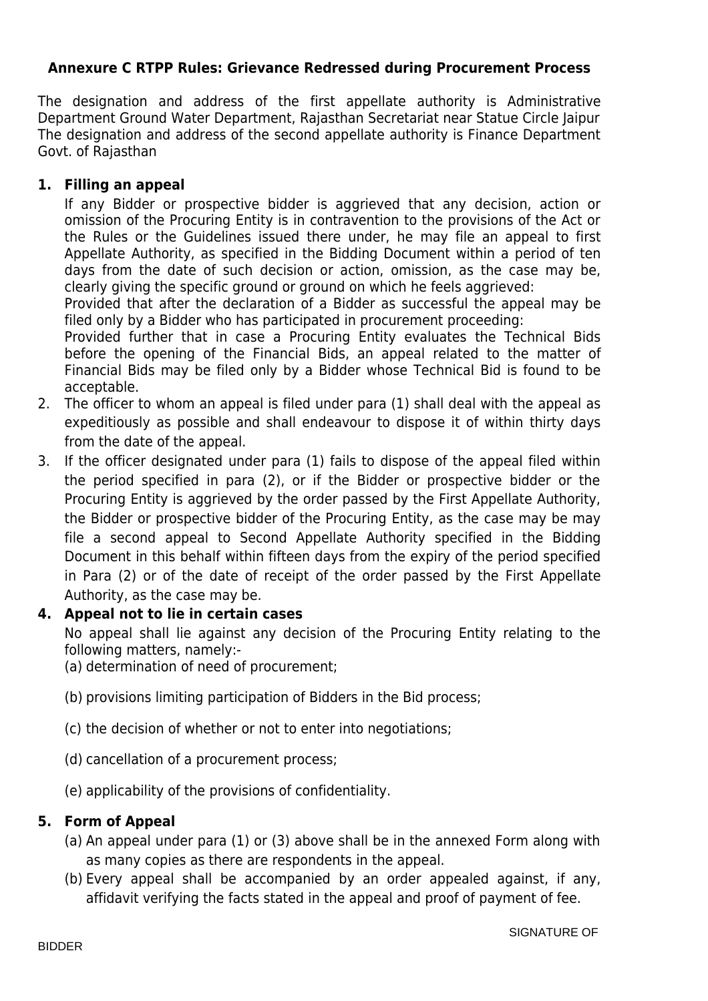#### **Annexure C RTPP Rules: Grievance Redressed during Procurement Process**

The designation and address of the first appellate authority is Administrative Department Ground Water Department, Rajasthan Secretariat near Statue Circle Jaipur The designation and address of the second appellate authority is Finance Department Govt. of Rajasthan

#### **1. Filling an appeal**

If any Bidder or prospective bidder is aggrieved that any decision, action or omission of the Procuring Entity is in contravention to the provisions of the Act or the Rules or the Guidelines issued there under, he may file an appeal to first Appellate Authority, as specified in the Bidding Document within a period of ten days from the date of such decision or action, omission, as the case may be, clearly giving the specific ground or ground on which he feels aggrieved:

Provided that after the declaration of a Bidder as successful the appeal may be filed only by a Bidder who has participated in procurement proceeding:

Provided further that in case a Procuring Entity evaluates the Technical Bids before the opening of the Financial Bids, an appeal related to the matter of Financial Bids may be filed only by a Bidder whose Technical Bid is found to be acceptable.

- 2. The officer to whom an appeal is filed under para (1) shall deal with the appeal as expeditiously as possible and shall endeavour to dispose it of within thirty days from the date of the appeal.
- 3. If the officer designated under para (1) fails to dispose of the appeal filed within the period specified in para (2), or if the Bidder or prospective bidder or the Procuring Entity is aggrieved by the order passed by the First Appellate Authority, the Bidder or prospective bidder of the Procuring Entity, as the case may be may file a second appeal to Second Appellate Authority specified in the Bidding Document in this behalf within fifteen days from the expiry of the period specified in Para (2) or of the date of receipt of the order passed by the First Appellate Authority, as the case may be.

#### **4. Appeal not to lie in certain cases**

No appeal shall lie against any decision of the Procuring Entity relating to the following matters, namely:-

(a) determination of need of procurement;

- (b) provisions limiting participation of Bidders in the Bid process;
- (c) the decision of whether or not to enter into negotiations;
- (d) cancellation of a procurement process;
- (e) applicability of the provisions of confidentiality.

#### **5. Form of Appeal**

- (a) An appeal under para (1) or (3) above shall be in the annexed Form along with as many copies as there are respondents in the appeal.
- (b) Every appeal shall be accompanied by an order appealed against, if any, affidavit verifying the facts stated in the appeal and proof of payment of fee.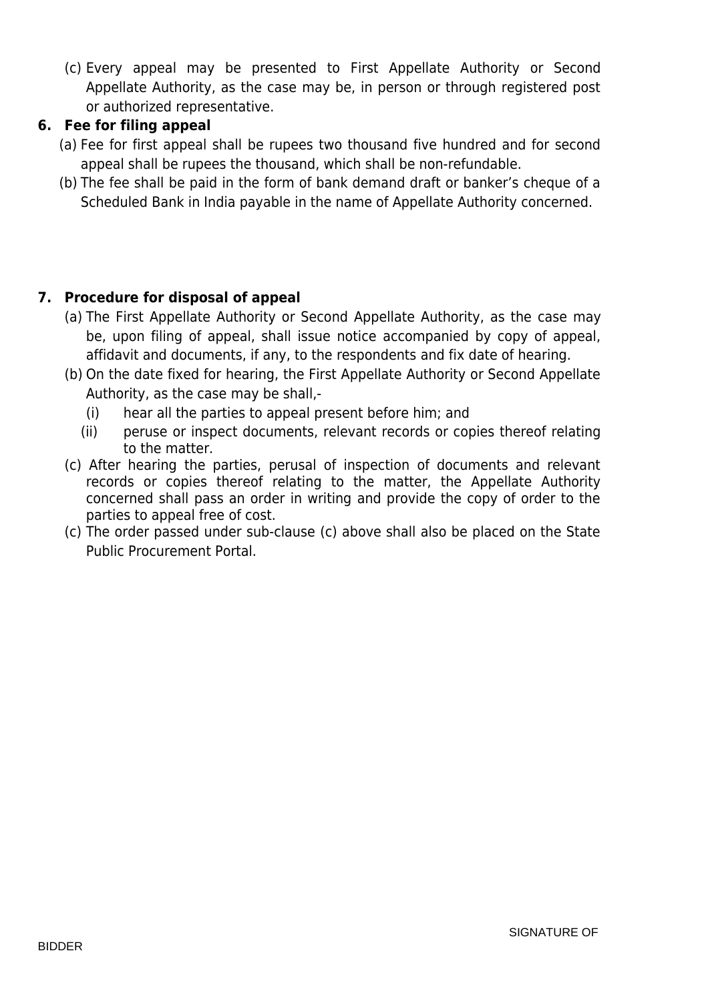(c) Every appeal may be presented to First Appellate Authority or Second Appellate Authority, as the case may be, in person or through registered post or authorized representative.

#### **6. Fee for filing appeal**

- (a) Fee for first appeal shall be rupees two thousand five hundred and for second appeal shall be rupees the thousand, which shall be non-refundable.
- (b) The fee shall be paid in the form of bank demand draft or banker's cheque of a Scheduled Bank in India payable in the name of Appellate Authority concerned.

#### **7. Procedure for disposal of appeal**

- (a) The First Appellate Authority or Second Appellate Authority, as the case may be, upon filing of appeal, shall issue notice accompanied by copy of appeal, affidavit and documents, if any, to the respondents and fix date of hearing.
- (b) On the date fixed for hearing, the First Appellate Authority or Second Appellate Authority, as the case may be shall,-
	- (i) hear all the parties to appeal present before him; and
	- (ii) peruse or inspect documents, relevant records or copies thereof relating to the matter.
- (c) After hearing the parties, perusal of inspection of documents and relevant records or copies thereof relating to the matter, the Appellate Authority concerned shall pass an order in writing and provide the copy of order to the parties to appeal free of cost.
- (c) The order passed under sub-clause (c) above shall also be placed on the State Public Procurement Portal.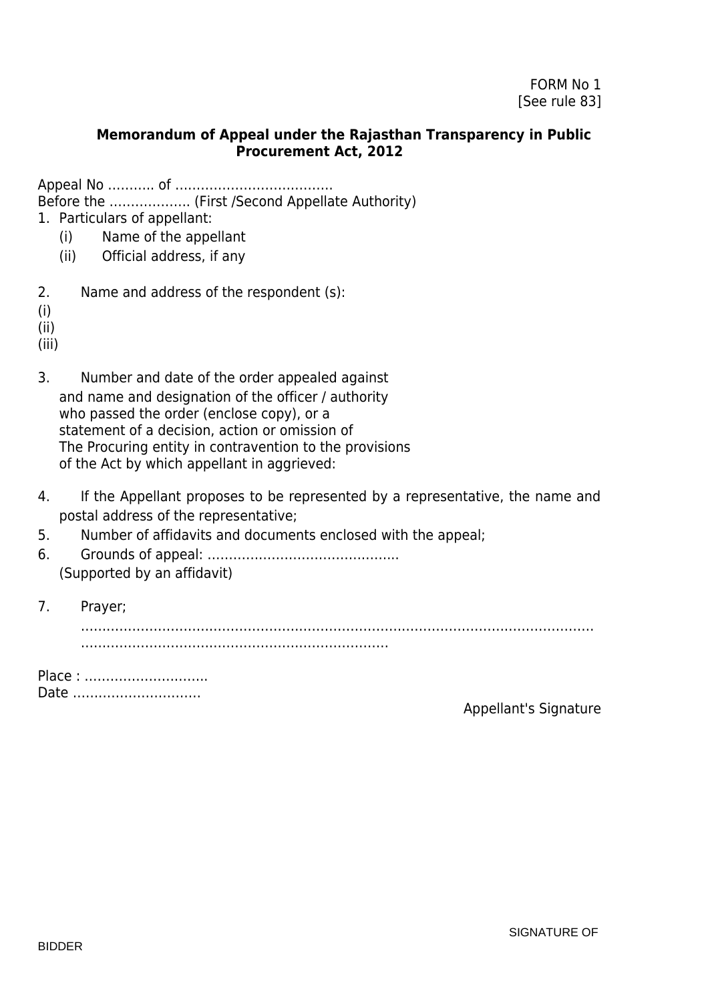#### **Memorandum of Appeal under the Rajasthan Transparency in Public Procurement Act, 2012**

Appeal No ……….. of ………………………………. Before the ………………. (First /Second Appellate Authority)

1. Particulars of appellant:

- (i) Name of the appellant
- (ii) Official address, if any
- 2. Name and address of the respondent (s):

(i)

(ii)

(iii)

- 3. Number and date of the order appealed against and name and designation of the officer / authority who passed the order (enclose copy), or a statement of a decision, action or omission of The Procuring entity in contravention to the provisions of the Act by which appellant in aggrieved:
- 4. If the Appellant proposes to be represented by a representative, the name and postal address of the representative;
- 5. Number of affidavits and documents enclosed with the appeal;
- 6. Grounds of appeal: ……………………………………... (Supported by an affidavit)
- 7. Prayer;

………………………………………………………………………………………………………… ………………………………………………………………

Place : ……………………….. Date …………………………

Appellant's Signature